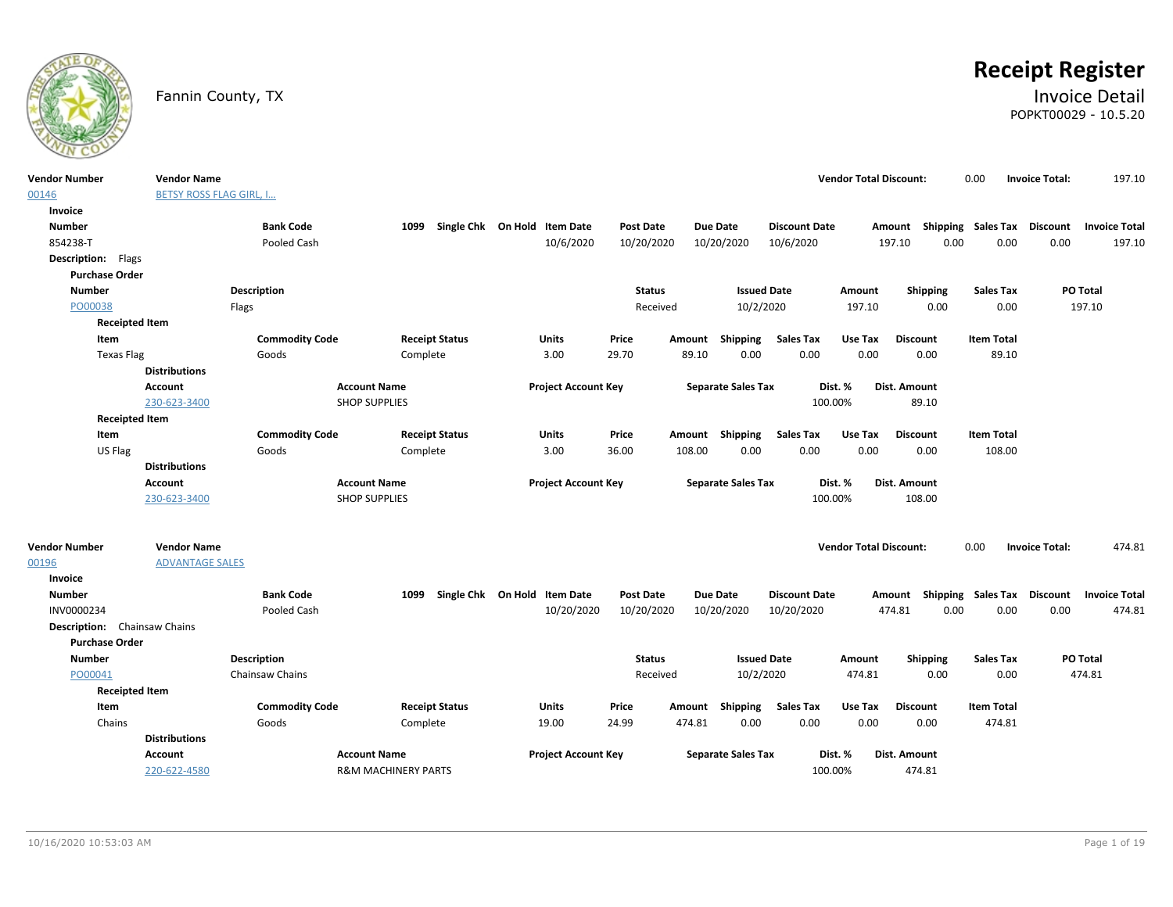

# **Receipt Register**

### Fannin County, TX **Invoice Detail** POPKT00029 - 10.5.20

| Vendor Number                | <b>Vendor Name</b>             |                       |                                |                                   |                  |                           |                      | <b>Vendor Total Discount:</b> |                           | 0.00              | <b>Invoice Total:</b> | 197.10               |
|------------------------------|--------------------------------|-----------------------|--------------------------------|-----------------------------------|------------------|---------------------------|----------------------|-------------------------------|---------------------------|-------------------|-----------------------|----------------------|
| 00146                        | <b>BETSY ROSS FLAG GIRL, I</b> |                       |                                |                                   |                  |                           |                      |                               |                           |                   |                       |                      |
| Invoice                      |                                |                       |                                |                                   |                  |                           |                      |                               |                           |                   |                       |                      |
| <b>Number</b>                |                                | <b>Bank Code</b>      |                                | 1099 Single Chk On Hold Item Date | <b>Post Date</b> | <b>Due Date</b>           | <b>Discount Date</b> |                               | Amount Shipping Sales Tax |                   | <b>Discount</b>       | <b>Invoice Total</b> |
| 854238-T                     |                                | Pooled Cash           |                                | 10/6/2020                         | 10/20/2020       | 10/20/2020                | 10/6/2020            |                               | 0.00<br>197.10            | 0.00              | 0.00                  | 197.10               |
| <b>Description:</b> Flags    |                                |                       |                                |                                   |                  |                           |                      |                               |                           |                   |                       |                      |
| <b>Purchase Order</b>        |                                |                       |                                |                                   |                  |                           |                      |                               |                           |                   |                       |                      |
| <b>Number</b>                |                                | <b>Description</b>    |                                |                                   | <b>Status</b>    |                           | <b>Issued Date</b>   | Amount                        | <b>Shipping</b>           | <b>Sales Tax</b>  | PO Total              |                      |
| PO00038                      |                                | Flags                 |                                |                                   | Received         |                           | 10/2/2020            | 197.10                        | 0.00                      | 0.00              | 197.10                |                      |
| <b>Receipted Item</b>        |                                |                       |                                |                                   |                  |                           |                      |                               |                           |                   |                       |                      |
| Item                         |                                | <b>Commodity Code</b> | <b>Receipt Status</b>          | Units                             | Price            | Shipping<br>Amount        | <b>Sales Tax</b>     | Use Tax                       | <b>Discount</b>           | <b>Item Total</b> |                       |                      |
| <b>Texas Flag</b>            |                                | Goods                 | Complete                       | 3.00                              | 29.70            | 89.10<br>0.00             | 0.00                 | 0.00                          | 0.00                      | 89.10             |                       |                      |
|                              | <b>Distributions</b>           |                       |                                |                                   |                  |                           |                      |                               |                           |                   |                       |                      |
|                              | <b>Account</b>                 |                       | <b>Account Name</b>            | <b>Project Account Key</b>        |                  | <b>Separate Sales Tax</b> |                      | Dist. %                       | Dist. Amount              |                   |                       |                      |
|                              | 230-623-3400                   |                       | <b>SHOP SUPPLIES</b>           |                                   |                  |                           |                      | 100.00%                       | 89.10                     |                   |                       |                      |
| <b>Receipted Item</b>        |                                |                       |                                |                                   |                  |                           |                      |                               |                           |                   |                       |                      |
| Item                         |                                | <b>Commodity Code</b> | <b>Receipt Status</b>          | Units                             | Price            | Amount Shipping           | <b>Sales Tax</b>     | Use Tax                       | <b>Discount</b>           | <b>Item Total</b> |                       |                      |
| US Flag                      |                                | Goods                 | Complete                       | 3.00                              | 36.00            | 108.00<br>0.00            | 0.00                 | 0.00                          | 0.00                      | 108.00            |                       |                      |
|                              | <b>Distributions</b>           |                       |                                |                                   |                  |                           |                      |                               |                           |                   |                       |                      |
|                              | <b>Account</b>                 |                       | <b>Account Name</b>            | <b>Project Account Key</b>        |                  | <b>Separate Sales Tax</b> |                      | Dist. %                       | Dist. Amount              |                   |                       |                      |
|                              | 230-623-3400                   |                       | <b>SHOP SUPPLIES</b>           |                                   |                  |                           |                      | 100.00%                       | 108.00                    |                   |                       |                      |
|                              |                                |                       |                                |                                   |                  |                           |                      |                               |                           |                   |                       |                      |
| Vendor Number                | <b>Vendor Name</b>             |                       |                                |                                   |                  |                           |                      | <b>Vendor Total Discount:</b> |                           | 0.00              | <b>Invoice Total:</b> | 474.81               |
| 00196                        | <b>ADVANTAGE SALES</b>         |                       |                                |                                   |                  |                           |                      |                               |                           |                   |                       |                      |
| Invoice                      |                                |                       |                                |                                   |                  |                           |                      |                               |                           |                   |                       |                      |
| Number                       |                                | <b>Bank Code</b>      | 1099                           | Single Chk On Hold Item Date      | Post Date        | Due Date                  | <b>Discount Date</b> |                               | Amount Shipping Sales Tax |                   | Discount              | <b>Invoice Total</b> |
| INV0000234                   |                                | Pooled Cash           |                                | 10/20/2020                        | 10/20/2020       | 10/20/2020                | 10/20/2020           |                               | 474.81<br>0.00            | 0.00              | 0.00                  | 474.81               |
| Description: Chainsaw Chains |                                |                       |                                |                                   |                  |                           |                      |                               |                           |                   |                       |                      |
| <b>Purchase Order</b>        |                                |                       |                                |                                   |                  |                           |                      |                               |                           |                   |                       |                      |
| <b>Number</b>                |                                | <b>Description</b>    |                                |                                   | <b>Status</b>    |                           | <b>Issued Date</b>   | Amount                        | <b>Shipping</b>           | <b>Sales Tax</b>  | PO Total              |                      |
| PO00041                      |                                | Chainsaw Chains       |                                |                                   | Received         |                           | 10/2/2020            | 474.81                        | 0.00                      | 0.00              | 474.81                |                      |
| <b>Receipted Item</b>        |                                |                       |                                |                                   |                  |                           |                      |                               |                           |                   |                       |                      |
| Item                         |                                | <b>Commodity Code</b> | <b>Receipt Status</b>          | Units                             | Price            | Amount Shipping           | <b>Sales Tax</b>     | Use Tax                       | <b>Discount</b>           | <b>Item Total</b> |                       |                      |
| Chains                       |                                | Goods                 | Complete                       | 19.00                             | 24.99            | 474.81<br>0.00            | 0.00                 | 0.00                          | 0.00                      | 474.81            |                       |                      |
|                              | <b>Distributions</b>           |                       |                                |                                   |                  |                           |                      |                               |                           |                   |                       |                      |
|                              | Account                        |                       | <b>Account Name</b>            | <b>Project Account Key</b>        |                  | <b>Separate Sales Tax</b> |                      | Dist. %                       | Dist. Amount              |                   |                       |                      |
|                              | 220-622-4580                   |                       | <b>R&amp;M MACHINERY PARTS</b> |                                   |                  |                           |                      | 100.00%                       | 474.81                    |                   |                       |                      |
|                              |                                |                       |                                |                                   |                  |                           |                      |                               |                           |                   |                       |                      |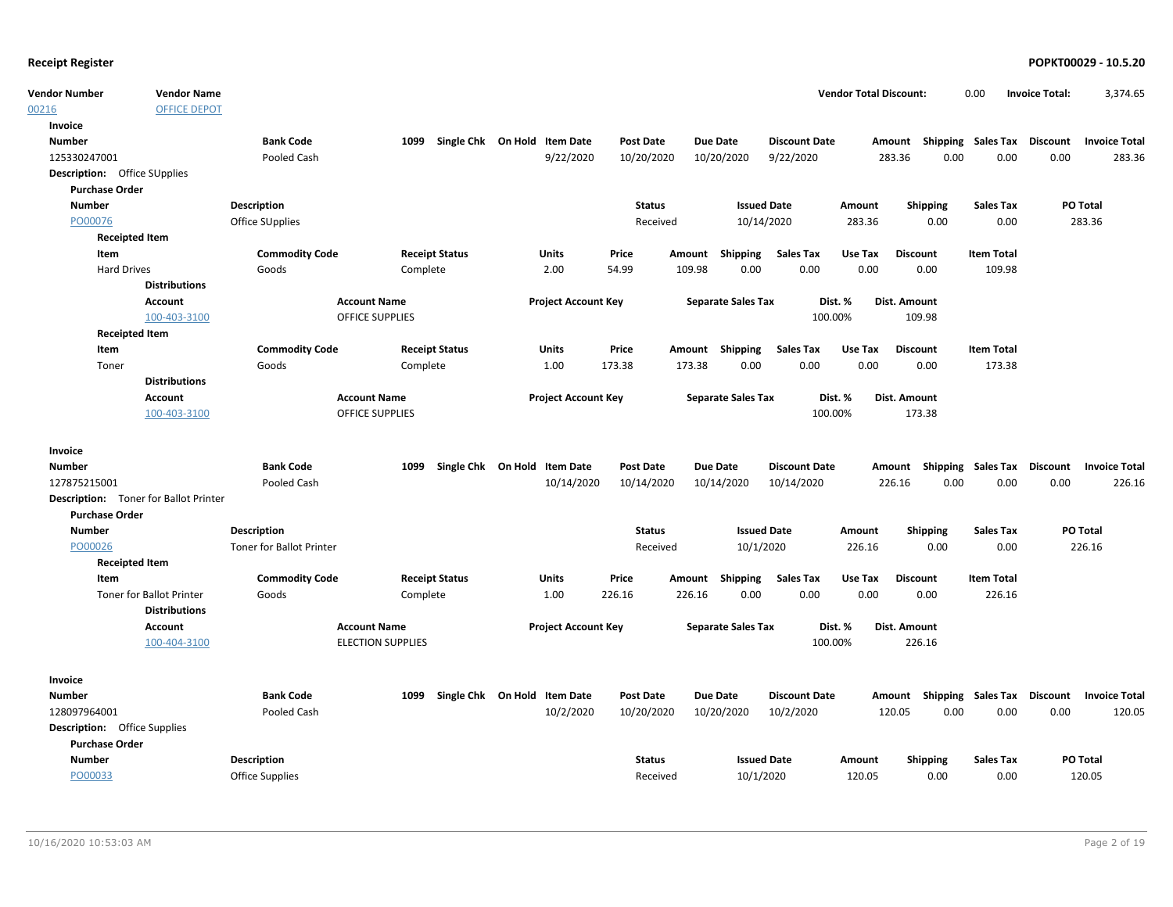| endor Total Discount: | 3.374.65              |
|-----------------------|-----------------------|
| 0.00                  | <b>Invoice Total:</b> |

| <b>Vendor Number</b>                                         | <b>Vendor Name</b>              |                                 |                            |                              |                  |                           |                      | <b>Vendor Total Discount:</b> |                           | 0.00                              | <b>Invoice Total:</b>   | 3,374.65             |
|--------------------------------------------------------------|---------------------------------|---------------------------------|----------------------------|------------------------------|------------------|---------------------------|----------------------|-------------------------------|---------------------------|-----------------------------------|-------------------------|----------------------|
| 00216                                                        | <b>OFFICE DEPOT</b>             |                                 |                            |                              |                  |                           |                      |                               |                           |                                   |                         |                      |
| Invoice                                                      |                                 |                                 |                            |                              |                  |                           |                      |                               |                           |                                   |                         |                      |
| <b>Number</b>                                                |                                 | <b>Bank Code</b>                | 1099                       | Single Chk On Hold Item Date | <b>Post Date</b> | <b>Due Date</b>           | <b>Discount Date</b> |                               | Amount Shipping Sales Tax |                                   | <b>Discount</b>         | <b>Invoice Total</b> |
| 125330247001                                                 |                                 | Pooled Cash                     |                            | 9/22/2020                    | 10/20/2020       | 10/20/2020                | 9/22/2020            | 283.36                        | 0.00                      | 0.00                              | 0.00                    | 283.36               |
| <b>Description:</b> Office SUpplies                          |                                 |                                 |                            |                              |                  |                           |                      |                               |                           |                                   |                         |                      |
| <b>Purchase Order</b>                                        |                                 |                                 |                            |                              |                  |                           |                      |                               |                           |                                   |                         |                      |
| <b>Number</b>                                                |                                 | <b>Description</b>              |                            |                              | <b>Status</b>    |                           | <b>Issued Date</b>   | Amount                        | <b>Shipping</b>           | <b>Sales Tax</b>                  | PO Total                |                      |
| PO00076                                                      |                                 | Office SUpplies                 |                            |                              | Received         |                           | 10/14/2020           | 283.36                        | 0.00                      | 0.00                              | 283.36                  |                      |
| <b>Receipted Item</b>                                        |                                 |                                 |                            |                              |                  |                           |                      |                               |                           |                                   |                         |                      |
| Item                                                         |                                 | <b>Commodity Code</b>           | <b>Receipt Status</b>      | Units                        | Price            | Amount Shipping           | <b>Sales Tax</b>     | Use Tax                       | <b>Discount</b>           | <b>Item Total</b>                 |                         |                      |
| <b>Hard Drives</b>                                           |                                 | Goods                           | Complete                   | 2.00                         | 54.99            | 109.98<br>0.00            | 0.00                 | 0.00                          | 0.00                      | 109.98                            |                         |                      |
|                                                              | <b>Distributions</b>            |                                 |                            |                              |                  |                           |                      |                               |                           |                                   |                         |                      |
|                                                              | <b>Account</b>                  | <b>Account Name</b>             |                            | <b>Project Account Key</b>   |                  | <b>Separate Sales Tax</b> |                      | Dist. %                       | <b>Dist. Amount</b>       |                                   |                         |                      |
|                                                              | 100-403-3100                    |                                 | OFFICE SUPPLIES            |                              |                  |                           | 100.00%              |                               | 109.98                    |                                   |                         |                      |
| <b>Receipted Item</b>                                        |                                 |                                 |                            |                              |                  |                           |                      |                               |                           |                                   |                         |                      |
| Item                                                         |                                 | <b>Commodity Code</b>           | <b>Receipt Status</b>      | Units                        | Price            | Amount Shipping           | <b>Sales Tax</b>     | Use Tax                       | <b>Discount</b>           | <b>Item Total</b>                 |                         |                      |
| Toner                                                        |                                 | Goods                           | Complete                   | 1.00                         | 173.38           | 173.38<br>0.00            | 0.00                 | 0.00                          | 0.00                      | 173.38                            |                         |                      |
|                                                              | <b>Distributions</b>            |                                 |                            |                              |                  |                           |                      |                               |                           |                                   |                         |                      |
|                                                              | Account                         |                                 | <b>Account Name</b>        | <b>Project Account Key</b>   |                  | <b>Separate Sales Tax</b> |                      | Dist. %                       | Dist. Amount              |                                   |                         |                      |
|                                                              | 100-403-3100                    |                                 | <b>OFFICE SUPPLIES</b>     |                              |                  |                           | 100.00%              |                               | 173.38                    |                                   |                         |                      |
|                                                              |                                 |                                 |                            |                              |                  |                           |                      |                               |                           |                                   |                         |                      |
| Invoice                                                      |                                 |                                 |                            |                              |                  |                           |                      |                               |                           |                                   |                         |                      |
| <b>Number</b>                                                |                                 | <b>Bank Code</b>                | Single Chk On Hold<br>1099 | <b>Item Date</b>             | <b>Post Date</b> | Due Date                  | <b>Discount Date</b> | Amount                        |                           | Shipping Sales Tax                | Discount                | <b>Invoice Total</b> |
| 127875215001                                                 |                                 | Pooled Cash                     |                            | 10/14/2020                   | 10/14/2020       | 10/14/2020                | 10/14/2020           | 226.16                        | 0.00                      | 0.00                              | 0.00                    | 226.16               |
| <b>Description:</b> Toner for Ballot Printer                 |                                 |                                 |                            |                              |                  |                           |                      |                               |                           |                                   |                         |                      |
| <b>Purchase Order</b>                                        |                                 |                                 |                            |                              |                  |                           |                      |                               |                           |                                   |                         |                      |
| <b>Number</b>                                                |                                 | <b>Description</b>              |                            |                              |                  |                           |                      |                               |                           |                                   |                         |                      |
| PO00026                                                      |                                 |                                 |                            |                              | <b>Status</b>    |                           | <b>Issued Date</b>   | Amount                        | <b>Shipping</b>           | <b>Sales Tax</b>                  | PO Total                |                      |
|                                                              |                                 | <b>Toner for Ballot Printer</b> |                            |                              | Received         |                           | 10/1/2020            | 226.16                        | 0.00                      | 0.00                              | 226.16                  |                      |
| <b>Receipted Item</b>                                        |                                 |                                 |                            |                              |                  |                           |                      |                               |                           |                                   |                         |                      |
| Item                                                         |                                 | <b>Commodity Code</b>           | <b>Receipt Status</b>      | <b>Units</b>                 | Price            | Amount Shipping           | <b>Sales Tax</b>     | Use Tax                       | <b>Discount</b>           | <b>Item Total</b>                 |                         |                      |
|                                                              | <b>Toner for Ballot Printer</b> | Goods                           | Complete                   | 1.00                         | 226.16           | 226.16<br>0.00            | 0.00                 | 0.00                          | 0.00                      | 226.16                            |                         |                      |
|                                                              | <b>Distributions</b>            |                                 |                            |                              |                  |                           |                      |                               |                           |                                   |                         |                      |
|                                                              | Account                         |                                 | <b>Account Name</b>        | <b>Project Account Key</b>   |                  | <b>Separate Sales Tax</b> |                      | Dist. %                       | Dist. Amount              |                                   |                         |                      |
|                                                              | 100-404-3100                    |                                 | <b>ELECTION SUPPLIES</b>   |                              |                  |                           | 100.00%              |                               | 226.16                    |                                   |                         |                      |
| Invoice                                                      |                                 |                                 |                            |                              |                  |                           |                      |                               |                           |                                   |                         |                      |
| <b>Number</b>                                                |                                 | <b>Bank Code</b>                | 1099                       | Single Chk On Hold Item Date | <b>Post Date</b> | <b>Due Date</b>           | <b>Discount Date</b> | Amount                        |                           |                                   |                         | <b>Invoice Total</b> |
| 128097964001                                                 |                                 | Pooled Cash                     |                            |                              | 10/20/2020       | 10/20/2020                |                      | 120.05                        | 0.00                      | <b>Shipping Sales Tax</b><br>0.00 | <b>Discount</b><br>0.00 | 120.05               |
|                                                              |                                 |                                 |                            | 10/2/2020                    |                  |                           | 10/2/2020            |                               |                           |                                   |                         |                      |
| <b>Description:</b> Office Supplies<br><b>Purchase Order</b> |                                 |                                 |                            |                              |                  |                           |                      |                               |                           |                                   |                         |                      |
| <b>Number</b>                                                |                                 | <b>Description</b>              |                            |                              | <b>Status</b>    |                           | <b>Issued Date</b>   | Amount                        | <b>Shipping</b>           | <b>Sales Tax</b>                  | PO Total                |                      |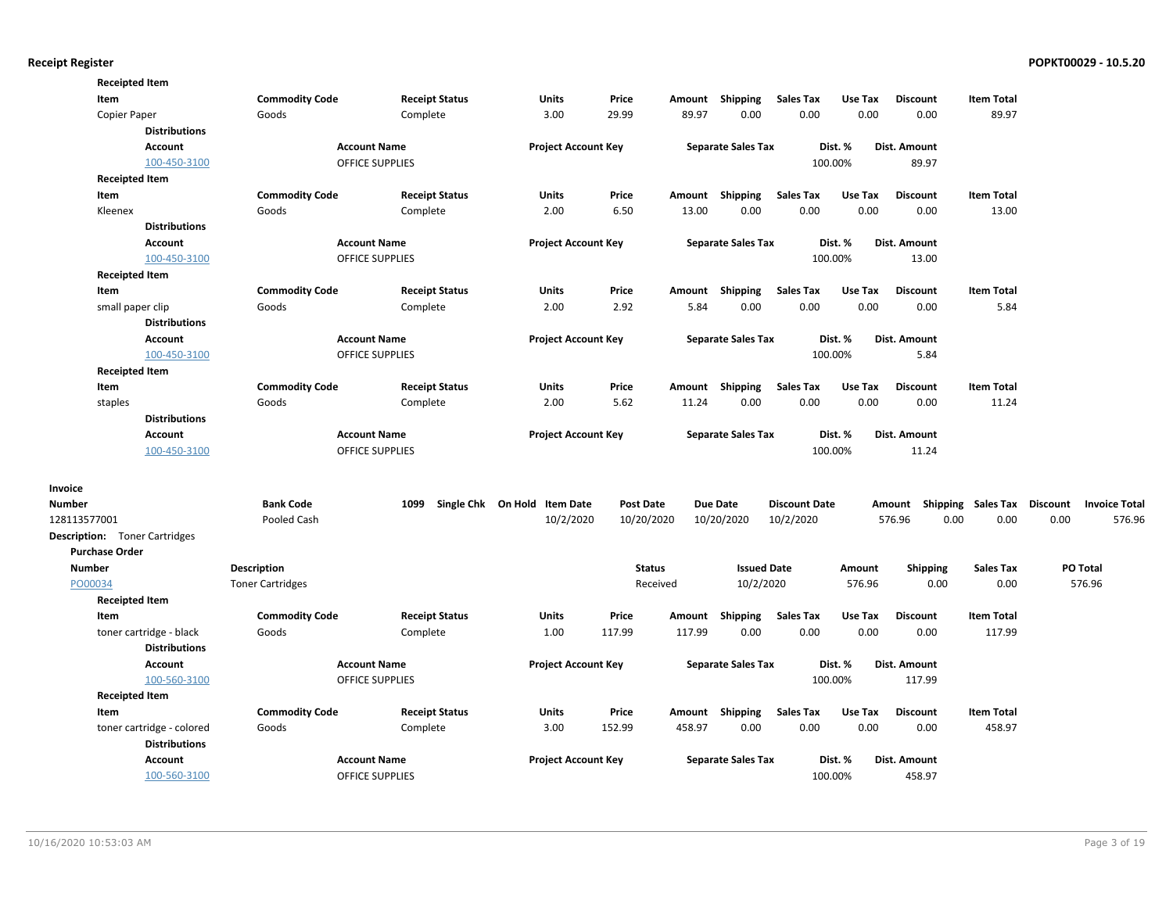| <b>Commodity Code</b><br>Units<br><b>Item Total</b><br>Item<br><b>Receipt Status</b><br>Price<br>Shipping<br><b>Sales Tax</b><br>Use Tax<br><b>Discount</b><br>Amount<br>3.00<br>29.99<br>89.97<br>0.00<br>0.00<br>0.00<br>89.97<br>Copier Paper<br>Goods<br>Complete<br>0.00<br><b>Distributions</b><br><b>Account Name</b><br><b>Project Account Key</b><br><b>Separate Sales Tax</b><br>Dist. %<br>Dist. Amount<br><b>Account</b><br>100.00%<br>100-450-3100<br><b>OFFICE SUPPLIES</b><br>89.97<br><b>Receipted Item</b><br><b>Sales Tax</b><br>Item<br><b>Commodity Code</b><br><b>Receipt Status</b><br><b>Units</b><br>Price<br>Shipping<br>Use Tax<br><b>Discount</b><br><b>Item Total</b><br>Amount<br>2.00<br>6.50<br>13.00<br>0.00<br>0.00<br>0.00<br>Kleenex<br>0.00<br>13.00<br>Goods<br>Complete<br><b>Distributions</b><br><b>Account Name</b><br><b>Project Account Key</b><br><b>Separate Sales Tax</b><br>Dist. %<br>Dist. Amount<br><b>Account</b><br><b>OFFICE SUPPLIES</b><br>100.00%<br>100-450-3100<br>13.00<br><b>Receipted Item</b><br>Item<br><b>Commodity Code</b><br><b>Receipt Status</b><br>Units<br>Price<br>Shipping<br><b>Sales Tax</b><br>Use Tax<br><b>Discount</b><br><b>Item Total</b><br>Amount<br>0.00<br>small paper clip<br>Goods<br>2.00<br>2.92<br>5.84<br>0.00<br>0.00<br>0.00<br>5.84<br>Complete<br><b>Distributions</b><br><b>Account Name</b><br><b>Project Account Key</b><br><b>Separate Sales Tax</b><br>Dist. %<br>Dist. Amount<br><b>Account</b><br>100-450-3100<br><b>OFFICE SUPPLIES</b><br>100.00%<br>5.84<br><b>Receipted Item</b><br><b>Commodity Code</b><br>Price<br>Amount Shipping<br><b>Sales Tax</b><br>Use Tax<br><b>Discount</b><br><b>Item Total</b><br>Item<br><b>Receipt Status</b><br><b>Units</b><br>2.00<br>5.62<br>11.24<br>0.00<br>0.00<br>0.00<br>0.00<br>11.24<br>Goods<br>Complete<br>staples<br><b>Distributions</b><br>Account<br><b>Account Name</b><br><b>Project Account Key</b><br><b>Separate Sales Tax</b><br>Dist. %<br>Dist. Amount<br>100-450-3100<br><b>OFFICE SUPPLIES</b><br>100.00%<br>11.24<br>Invoice<br>Single Chk On Hold Item Date<br><b>Bank Code</b><br>1099<br><b>Post Date</b><br><b>Due Date</b><br><b>Discount Date</b><br><b>Shipping Sales Tax</b><br><b>Discount</b><br><b>Invoice Total</b><br>Number<br>Amount<br>10/2/2020<br>10/20/2020<br>576.96<br>0.00<br>0.00<br>0.00<br>576.96<br>128113577001<br>Pooled Cash<br>10/20/2020<br>10/2/2020<br><b>Description:</b> Toner Cartridges<br><b>Purchase Order</b><br>PO Total<br>Number<br>Description<br><b>Status</b><br><b>Issued Date</b><br><b>Shipping</b><br><b>Sales Tax</b><br>Amount<br>PO00034<br><b>Toner Cartridges</b><br>Received<br>10/2/2020<br>576.96<br>0.00<br>0.00<br>576.96<br><b>Receipted Item</b><br><b>Receipt Status</b><br>Price<br>Shipping<br><b>Sales Tax</b><br>Use Tax<br><b>Discount</b><br><b>Item Total</b><br>Item<br><b>Commodity Code</b><br>Units<br>Amount<br>Complete<br>1.00<br>117.99<br>117.99<br>0.00<br>0.00<br>0.00<br>0.00<br>117.99<br>toner cartridge - black<br>Goods<br><b>Distributions</b><br><b>Account Name</b><br><b>Project Account Key</b><br><b>Separate Sales Tax</b><br>Dist. %<br>Dist. Amount<br><b>Account</b><br>100.00%<br>100-560-3100<br><b>OFFICE SUPPLIES</b><br>117.99<br><b>Receipted Item</b><br><b>Commodity Code</b><br>Item<br><b>Receipt Status</b><br><b>Units</b><br>Price<br>Shipping<br><b>Sales Tax</b><br>Use Tax<br><b>Discount</b><br><b>Item Total</b><br>Amount<br>3.00<br>458.97<br>0.00<br>0.00<br>0.00<br>0.00<br>458.97<br>toner cartridge - colored<br>Goods<br>Complete<br>152.99<br><b>Distributions</b><br><b>Project Account Key</b><br><b>Account</b><br><b>Account Name</b><br><b>Separate Sales Tax</b><br>Dist. %<br>Dist. Amount<br>100-560-3100<br><b>OFFICE SUPPLIES</b><br>100.00%<br>458.97 | <b>Receipted Item</b> |  |  |  |  |  |  |  |
|------------------------------------------------------------------------------------------------------------------------------------------------------------------------------------------------------------------------------------------------------------------------------------------------------------------------------------------------------------------------------------------------------------------------------------------------------------------------------------------------------------------------------------------------------------------------------------------------------------------------------------------------------------------------------------------------------------------------------------------------------------------------------------------------------------------------------------------------------------------------------------------------------------------------------------------------------------------------------------------------------------------------------------------------------------------------------------------------------------------------------------------------------------------------------------------------------------------------------------------------------------------------------------------------------------------------------------------------------------------------------------------------------------------------------------------------------------------------------------------------------------------------------------------------------------------------------------------------------------------------------------------------------------------------------------------------------------------------------------------------------------------------------------------------------------------------------------------------------------------------------------------------------------------------------------------------------------------------------------------------------------------------------------------------------------------------------------------------------------------------------------------------------------------------------------------------------------------------------------------------------------------------------------------------------------------------------------------------------------------------------------------------------------------------------------------------------------------------------------------------------------------------------------------------------------------------------------------------------------------------------------------------------------------------------------------------------------------------------------------------------------------------------------------------------------------------------------------------------------------------------------------------------------------------------------------------------------------------------------------------------------------------------------------------------------------------------------------------------------------------------------------------------------------------------------------------------------------------------------------------------------------------------------------------------------------------------------------------------------------------------------------------------------------------------------------------------------------------------------------------------------------------------------------------------------------------------------------------------------------------------------------------------------------------------------------------------------------------------------------------------------------------------------------------------------------------------------------------------------------|-----------------------|--|--|--|--|--|--|--|
|                                                                                                                                                                                                                                                                                                                                                                                                                                                                                                                                                                                                                                                                                                                                                                                                                                                                                                                                                                                                                                                                                                                                                                                                                                                                                                                                                                                                                                                                                                                                                                                                                                                                                                                                                                                                                                                                                                                                                                                                                                                                                                                                                                                                                                                                                                                                                                                                                                                                                                                                                                                                                                                                                                                                                                                                                                                                                                                                                                                                                                                                                                                                                                                                                                                                                                                                                                                                                                                                                                                                                                                                                                                                                                                                                                                                                                                                  |                       |  |  |  |  |  |  |  |
|                                                                                                                                                                                                                                                                                                                                                                                                                                                                                                                                                                                                                                                                                                                                                                                                                                                                                                                                                                                                                                                                                                                                                                                                                                                                                                                                                                                                                                                                                                                                                                                                                                                                                                                                                                                                                                                                                                                                                                                                                                                                                                                                                                                                                                                                                                                                                                                                                                                                                                                                                                                                                                                                                                                                                                                                                                                                                                                                                                                                                                                                                                                                                                                                                                                                                                                                                                                                                                                                                                                                                                                                                                                                                                                                                                                                                                                                  |                       |  |  |  |  |  |  |  |
|                                                                                                                                                                                                                                                                                                                                                                                                                                                                                                                                                                                                                                                                                                                                                                                                                                                                                                                                                                                                                                                                                                                                                                                                                                                                                                                                                                                                                                                                                                                                                                                                                                                                                                                                                                                                                                                                                                                                                                                                                                                                                                                                                                                                                                                                                                                                                                                                                                                                                                                                                                                                                                                                                                                                                                                                                                                                                                                                                                                                                                                                                                                                                                                                                                                                                                                                                                                                                                                                                                                                                                                                                                                                                                                                                                                                                                                                  |                       |  |  |  |  |  |  |  |
|                                                                                                                                                                                                                                                                                                                                                                                                                                                                                                                                                                                                                                                                                                                                                                                                                                                                                                                                                                                                                                                                                                                                                                                                                                                                                                                                                                                                                                                                                                                                                                                                                                                                                                                                                                                                                                                                                                                                                                                                                                                                                                                                                                                                                                                                                                                                                                                                                                                                                                                                                                                                                                                                                                                                                                                                                                                                                                                                                                                                                                                                                                                                                                                                                                                                                                                                                                                                                                                                                                                                                                                                                                                                                                                                                                                                                                                                  |                       |  |  |  |  |  |  |  |
|                                                                                                                                                                                                                                                                                                                                                                                                                                                                                                                                                                                                                                                                                                                                                                                                                                                                                                                                                                                                                                                                                                                                                                                                                                                                                                                                                                                                                                                                                                                                                                                                                                                                                                                                                                                                                                                                                                                                                                                                                                                                                                                                                                                                                                                                                                                                                                                                                                                                                                                                                                                                                                                                                                                                                                                                                                                                                                                                                                                                                                                                                                                                                                                                                                                                                                                                                                                                                                                                                                                                                                                                                                                                                                                                                                                                                                                                  |                       |  |  |  |  |  |  |  |
|                                                                                                                                                                                                                                                                                                                                                                                                                                                                                                                                                                                                                                                                                                                                                                                                                                                                                                                                                                                                                                                                                                                                                                                                                                                                                                                                                                                                                                                                                                                                                                                                                                                                                                                                                                                                                                                                                                                                                                                                                                                                                                                                                                                                                                                                                                                                                                                                                                                                                                                                                                                                                                                                                                                                                                                                                                                                                                                                                                                                                                                                                                                                                                                                                                                                                                                                                                                                                                                                                                                                                                                                                                                                                                                                                                                                                                                                  |                       |  |  |  |  |  |  |  |
|                                                                                                                                                                                                                                                                                                                                                                                                                                                                                                                                                                                                                                                                                                                                                                                                                                                                                                                                                                                                                                                                                                                                                                                                                                                                                                                                                                                                                                                                                                                                                                                                                                                                                                                                                                                                                                                                                                                                                                                                                                                                                                                                                                                                                                                                                                                                                                                                                                                                                                                                                                                                                                                                                                                                                                                                                                                                                                                                                                                                                                                                                                                                                                                                                                                                                                                                                                                                                                                                                                                                                                                                                                                                                                                                                                                                                                                                  |                       |  |  |  |  |  |  |  |
|                                                                                                                                                                                                                                                                                                                                                                                                                                                                                                                                                                                                                                                                                                                                                                                                                                                                                                                                                                                                                                                                                                                                                                                                                                                                                                                                                                                                                                                                                                                                                                                                                                                                                                                                                                                                                                                                                                                                                                                                                                                                                                                                                                                                                                                                                                                                                                                                                                                                                                                                                                                                                                                                                                                                                                                                                                                                                                                                                                                                                                                                                                                                                                                                                                                                                                                                                                                                                                                                                                                                                                                                                                                                                                                                                                                                                                                                  |                       |  |  |  |  |  |  |  |
|                                                                                                                                                                                                                                                                                                                                                                                                                                                                                                                                                                                                                                                                                                                                                                                                                                                                                                                                                                                                                                                                                                                                                                                                                                                                                                                                                                                                                                                                                                                                                                                                                                                                                                                                                                                                                                                                                                                                                                                                                                                                                                                                                                                                                                                                                                                                                                                                                                                                                                                                                                                                                                                                                                                                                                                                                                                                                                                                                                                                                                                                                                                                                                                                                                                                                                                                                                                                                                                                                                                                                                                                                                                                                                                                                                                                                                                                  |                       |  |  |  |  |  |  |  |
|                                                                                                                                                                                                                                                                                                                                                                                                                                                                                                                                                                                                                                                                                                                                                                                                                                                                                                                                                                                                                                                                                                                                                                                                                                                                                                                                                                                                                                                                                                                                                                                                                                                                                                                                                                                                                                                                                                                                                                                                                                                                                                                                                                                                                                                                                                                                                                                                                                                                                                                                                                                                                                                                                                                                                                                                                                                                                                                                                                                                                                                                                                                                                                                                                                                                                                                                                                                                                                                                                                                                                                                                                                                                                                                                                                                                                                                                  |                       |  |  |  |  |  |  |  |
|                                                                                                                                                                                                                                                                                                                                                                                                                                                                                                                                                                                                                                                                                                                                                                                                                                                                                                                                                                                                                                                                                                                                                                                                                                                                                                                                                                                                                                                                                                                                                                                                                                                                                                                                                                                                                                                                                                                                                                                                                                                                                                                                                                                                                                                                                                                                                                                                                                                                                                                                                                                                                                                                                                                                                                                                                                                                                                                                                                                                                                                                                                                                                                                                                                                                                                                                                                                                                                                                                                                                                                                                                                                                                                                                                                                                                                                                  |                       |  |  |  |  |  |  |  |
|                                                                                                                                                                                                                                                                                                                                                                                                                                                                                                                                                                                                                                                                                                                                                                                                                                                                                                                                                                                                                                                                                                                                                                                                                                                                                                                                                                                                                                                                                                                                                                                                                                                                                                                                                                                                                                                                                                                                                                                                                                                                                                                                                                                                                                                                                                                                                                                                                                                                                                                                                                                                                                                                                                                                                                                                                                                                                                                                                                                                                                                                                                                                                                                                                                                                                                                                                                                                                                                                                                                                                                                                                                                                                                                                                                                                                                                                  |                       |  |  |  |  |  |  |  |
|                                                                                                                                                                                                                                                                                                                                                                                                                                                                                                                                                                                                                                                                                                                                                                                                                                                                                                                                                                                                                                                                                                                                                                                                                                                                                                                                                                                                                                                                                                                                                                                                                                                                                                                                                                                                                                                                                                                                                                                                                                                                                                                                                                                                                                                                                                                                                                                                                                                                                                                                                                                                                                                                                                                                                                                                                                                                                                                                                                                                                                                                                                                                                                                                                                                                                                                                                                                                                                                                                                                                                                                                                                                                                                                                                                                                                                                                  |                       |  |  |  |  |  |  |  |
|                                                                                                                                                                                                                                                                                                                                                                                                                                                                                                                                                                                                                                                                                                                                                                                                                                                                                                                                                                                                                                                                                                                                                                                                                                                                                                                                                                                                                                                                                                                                                                                                                                                                                                                                                                                                                                                                                                                                                                                                                                                                                                                                                                                                                                                                                                                                                                                                                                                                                                                                                                                                                                                                                                                                                                                                                                                                                                                                                                                                                                                                                                                                                                                                                                                                                                                                                                                                                                                                                                                                                                                                                                                                                                                                                                                                                                                                  |                       |  |  |  |  |  |  |  |
|                                                                                                                                                                                                                                                                                                                                                                                                                                                                                                                                                                                                                                                                                                                                                                                                                                                                                                                                                                                                                                                                                                                                                                                                                                                                                                                                                                                                                                                                                                                                                                                                                                                                                                                                                                                                                                                                                                                                                                                                                                                                                                                                                                                                                                                                                                                                                                                                                                                                                                                                                                                                                                                                                                                                                                                                                                                                                                                                                                                                                                                                                                                                                                                                                                                                                                                                                                                                                                                                                                                                                                                                                                                                                                                                                                                                                                                                  |                       |  |  |  |  |  |  |  |
|                                                                                                                                                                                                                                                                                                                                                                                                                                                                                                                                                                                                                                                                                                                                                                                                                                                                                                                                                                                                                                                                                                                                                                                                                                                                                                                                                                                                                                                                                                                                                                                                                                                                                                                                                                                                                                                                                                                                                                                                                                                                                                                                                                                                                                                                                                                                                                                                                                                                                                                                                                                                                                                                                                                                                                                                                                                                                                                                                                                                                                                                                                                                                                                                                                                                                                                                                                                                                                                                                                                                                                                                                                                                                                                                                                                                                                                                  |                       |  |  |  |  |  |  |  |
|                                                                                                                                                                                                                                                                                                                                                                                                                                                                                                                                                                                                                                                                                                                                                                                                                                                                                                                                                                                                                                                                                                                                                                                                                                                                                                                                                                                                                                                                                                                                                                                                                                                                                                                                                                                                                                                                                                                                                                                                                                                                                                                                                                                                                                                                                                                                                                                                                                                                                                                                                                                                                                                                                                                                                                                                                                                                                                                                                                                                                                                                                                                                                                                                                                                                                                                                                                                                                                                                                                                                                                                                                                                                                                                                                                                                                                                                  |                       |  |  |  |  |  |  |  |
|                                                                                                                                                                                                                                                                                                                                                                                                                                                                                                                                                                                                                                                                                                                                                                                                                                                                                                                                                                                                                                                                                                                                                                                                                                                                                                                                                                                                                                                                                                                                                                                                                                                                                                                                                                                                                                                                                                                                                                                                                                                                                                                                                                                                                                                                                                                                                                                                                                                                                                                                                                                                                                                                                                                                                                                                                                                                                                                                                                                                                                                                                                                                                                                                                                                                                                                                                                                                                                                                                                                                                                                                                                                                                                                                                                                                                                                                  |                       |  |  |  |  |  |  |  |
|                                                                                                                                                                                                                                                                                                                                                                                                                                                                                                                                                                                                                                                                                                                                                                                                                                                                                                                                                                                                                                                                                                                                                                                                                                                                                                                                                                                                                                                                                                                                                                                                                                                                                                                                                                                                                                                                                                                                                                                                                                                                                                                                                                                                                                                                                                                                                                                                                                                                                                                                                                                                                                                                                                                                                                                                                                                                                                                                                                                                                                                                                                                                                                                                                                                                                                                                                                                                                                                                                                                                                                                                                                                                                                                                                                                                                                                                  |                       |  |  |  |  |  |  |  |
|                                                                                                                                                                                                                                                                                                                                                                                                                                                                                                                                                                                                                                                                                                                                                                                                                                                                                                                                                                                                                                                                                                                                                                                                                                                                                                                                                                                                                                                                                                                                                                                                                                                                                                                                                                                                                                                                                                                                                                                                                                                                                                                                                                                                                                                                                                                                                                                                                                                                                                                                                                                                                                                                                                                                                                                                                                                                                                                                                                                                                                                                                                                                                                                                                                                                                                                                                                                                                                                                                                                                                                                                                                                                                                                                                                                                                                                                  |                       |  |  |  |  |  |  |  |
|                                                                                                                                                                                                                                                                                                                                                                                                                                                                                                                                                                                                                                                                                                                                                                                                                                                                                                                                                                                                                                                                                                                                                                                                                                                                                                                                                                                                                                                                                                                                                                                                                                                                                                                                                                                                                                                                                                                                                                                                                                                                                                                                                                                                                                                                                                                                                                                                                                                                                                                                                                                                                                                                                                                                                                                                                                                                                                                                                                                                                                                                                                                                                                                                                                                                                                                                                                                                                                                                                                                                                                                                                                                                                                                                                                                                                                                                  |                       |  |  |  |  |  |  |  |
|                                                                                                                                                                                                                                                                                                                                                                                                                                                                                                                                                                                                                                                                                                                                                                                                                                                                                                                                                                                                                                                                                                                                                                                                                                                                                                                                                                                                                                                                                                                                                                                                                                                                                                                                                                                                                                                                                                                                                                                                                                                                                                                                                                                                                                                                                                                                                                                                                                                                                                                                                                                                                                                                                                                                                                                                                                                                                                                                                                                                                                                                                                                                                                                                                                                                                                                                                                                                                                                                                                                                                                                                                                                                                                                                                                                                                                                                  |                       |  |  |  |  |  |  |  |
|                                                                                                                                                                                                                                                                                                                                                                                                                                                                                                                                                                                                                                                                                                                                                                                                                                                                                                                                                                                                                                                                                                                                                                                                                                                                                                                                                                                                                                                                                                                                                                                                                                                                                                                                                                                                                                                                                                                                                                                                                                                                                                                                                                                                                                                                                                                                                                                                                                                                                                                                                                                                                                                                                                                                                                                                                                                                                                                                                                                                                                                                                                                                                                                                                                                                                                                                                                                                                                                                                                                                                                                                                                                                                                                                                                                                                                                                  |                       |  |  |  |  |  |  |  |
|                                                                                                                                                                                                                                                                                                                                                                                                                                                                                                                                                                                                                                                                                                                                                                                                                                                                                                                                                                                                                                                                                                                                                                                                                                                                                                                                                                                                                                                                                                                                                                                                                                                                                                                                                                                                                                                                                                                                                                                                                                                                                                                                                                                                                                                                                                                                                                                                                                                                                                                                                                                                                                                                                                                                                                                                                                                                                                                                                                                                                                                                                                                                                                                                                                                                                                                                                                                                                                                                                                                                                                                                                                                                                                                                                                                                                                                                  |                       |  |  |  |  |  |  |  |
|                                                                                                                                                                                                                                                                                                                                                                                                                                                                                                                                                                                                                                                                                                                                                                                                                                                                                                                                                                                                                                                                                                                                                                                                                                                                                                                                                                                                                                                                                                                                                                                                                                                                                                                                                                                                                                                                                                                                                                                                                                                                                                                                                                                                                                                                                                                                                                                                                                                                                                                                                                                                                                                                                                                                                                                                                                                                                                                                                                                                                                                                                                                                                                                                                                                                                                                                                                                                                                                                                                                                                                                                                                                                                                                                                                                                                                                                  |                       |  |  |  |  |  |  |  |
|                                                                                                                                                                                                                                                                                                                                                                                                                                                                                                                                                                                                                                                                                                                                                                                                                                                                                                                                                                                                                                                                                                                                                                                                                                                                                                                                                                                                                                                                                                                                                                                                                                                                                                                                                                                                                                                                                                                                                                                                                                                                                                                                                                                                                                                                                                                                                                                                                                                                                                                                                                                                                                                                                                                                                                                                                                                                                                                                                                                                                                                                                                                                                                                                                                                                                                                                                                                                                                                                                                                                                                                                                                                                                                                                                                                                                                                                  |                       |  |  |  |  |  |  |  |
|                                                                                                                                                                                                                                                                                                                                                                                                                                                                                                                                                                                                                                                                                                                                                                                                                                                                                                                                                                                                                                                                                                                                                                                                                                                                                                                                                                                                                                                                                                                                                                                                                                                                                                                                                                                                                                                                                                                                                                                                                                                                                                                                                                                                                                                                                                                                                                                                                                                                                                                                                                                                                                                                                                                                                                                                                                                                                                                                                                                                                                                                                                                                                                                                                                                                                                                                                                                                                                                                                                                                                                                                                                                                                                                                                                                                                                                                  |                       |  |  |  |  |  |  |  |
|                                                                                                                                                                                                                                                                                                                                                                                                                                                                                                                                                                                                                                                                                                                                                                                                                                                                                                                                                                                                                                                                                                                                                                                                                                                                                                                                                                                                                                                                                                                                                                                                                                                                                                                                                                                                                                                                                                                                                                                                                                                                                                                                                                                                                                                                                                                                                                                                                                                                                                                                                                                                                                                                                                                                                                                                                                                                                                                                                                                                                                                                                                                                                                                                                                                                                                                                                                                                                                                                                                                                                                                                                                                                                                                                                                                                                                                                  |                       |  |  |  |  |  |  |  |
|                                                                                                                                                                                                                                                                                                                                                                                                                                                                                                                                                                                                                                                                                                                                                                                                                                                                                                                                                                                                                                                                                                                                                                                                                                                                                                                                                                                                                                                                                                                                                                                                                                                                                                                                                                                                                                                                                                                                                                                                                                                                                                                                                                                                                                                                                                                                                                                                                                                                                                                                                                                                                                                                                                                                                                                                                                                                                                                                                                                                                                                                                                                                                                                                                                                                                                                                                                                                                                                                                                                                                                                                                                                                                                                                                                                                                                                                  |                       |  |  |  |  |  |  |  |
|                                                                                                                                                                                                                                                                                                                                                                                                                                                                                                                                                                                                                                                                                                                                                                                                                                                                                                                                                                                                                                                                                                                                                                                                                                                                                                                                                                                                                                                                                                                                                                                                                                                                                                                                                                                                                                                                                                                                                                                                                                                                                                                                                                                                                                                                                                                                                                                                                                                                                                                                                                                                                                                                                                                                                                                                                                                                                                                                                                                                                                                                                                                                                                                                                                                                                                                                                                                                                                                                                                                                                                                                                                                                                                                                                                                                                                                                  |                       |  |  |  |  |  |  |  |
|                                                                                                                                                                                                                                                                                                                                                                                                                                                                                                                                                                                                                                                                                                                                                                                                                                                                                                                                                                                                                                                                                                                                                                                                                                                                                                                                                                                                                                                                                                                                                                                                                                                                                                                                                                                                                                                                                                                                                                                                                                                                                                                                                                                                                                                                                                                                                                                                                                                                                                                                                                                                                                                                                                                                                                                                                                                                                                                                                                                                                                                                                                                                                                                                                                                                                                                                                                                                                                                                                                                                                                                                                                                                                                                                                                                                                                                                  |                       |  |  |  |  |  |  |  |
|                                                                                                                                                                                                                                                                                                                                                                                                                                                                                                                                                                                                                                                                                                                                                                                                                                                                                                                                                                                                                                                                                                                                                                                                                                                                                                                                                                                                                                                                                                                                                                                                                                                                                                                                                                                                                                                                                                                                                                                                                                                                                                                                                                                                                                                                                                                                                                                                                                                                                                                                                                                                                                                                                                                                                                                                                                                                                                                                                                                                                                                                                                                                                                                                                                                                                                                                                                                                                                                                                                                                                                                                                                                                                                                                                                                                                                                                  |                       |  |  |  |  |  |  |  |
|                                                                                                                                                                                                                                                                                                                                                                                                                                                                                                                                                                                                                                                                                                                                                                                                                                                                                                                                                                                                                                                                                                                                                                                                                                                                                                                                                                                                                                                                                                                                                                                                                                                                                                                                                                                                                                                                                                                                                                                                                                                                                                                                                                                                                                                                                                                                                                                                                                                                                                                                                                                                                                                                                                                                                                                                                                                                                                                                                                                                                                                                                                                                                                                                                                                                                                                                                                                                                                                                                                                                                                                                                                                                                                                                                                                                                                                                  |                       |  |  |  |  |  |  |  |
|                                                                                                                                                                                                                                                                                                                                                                                                                                                                                                                                                                                                                                                                                                                                                                                                                                                                                                                                                                                                                                                                                                                                                                                                                                                                                                                                                                                                                                                                                                                                                                                                                                                                                                                                                                                                                                                                                                                                                                                                                                                                                                                                                                                                                                                                                                                                                                                                                                                                                                                                                                                                                                                                                                                                                                                                                                                                                                                                                                                                                                                                                                                                                                                                                                                                                                                                                                                                                                                                                                                                                                                                                                                                                                                                                                                                                                                                  |                       |  |  |  |  |  |  |  |
|                                                                                                                                                                                                                                                                                                                                                                                                                                                                                                                                                                                                                                                                                                                                                                                                                                                                                                                                                                                                                                                                                                                                                                                                                                                                                                                                                                                                                                                                                                                                                                                                                                                                                                                                                                                                                                                                                                                                                                                                                                                                                                                                                                                                                                                                                                                                                                                                                                                                                                                                                                                                                                                                                                                                                                                                                                                                                                                                                                                                                                                                                                                                                                                                                                                                                                                                                                                                                                                                                                                                                                                                                                                                                                                                                                                                                                                                  |                       |  |  |  |  |  |  |  |
|                                                                                                                                                                                                                                                                                                                                                                                                                                                                                                                                                                                                                                                                                                                                                                                                                                                                                                                                                                                                                                                                                                                                                                                                                                                                                                                                                                                                                                                                                                                                                                                                                                                                                                                                                                                                                                                                                                                                                                                                                                                                                                                                                                                                                                                                                                                                                                                                                                                                                                                                                                                                                                                                                                                                                                                                                                                                                                                                                                                                                                                                                                                                                                                                                                                                                                                                                                                                                                                                                                                                                                                                                                                                                                                                                                                                                                                                  |                       |  |  |  |  |  |  |  |
|                                                                                                                                                                                                                                                                                                                                                                                                                                                                                                                                                                                                                                                                                                                                                                                                                                                                                                                                                                                                                                                                                                                                                                                                                                                                                                                                                                                                                                                                                                                                                                                                                                                                                                                                                                                                                                                                                                                                                                                                                                                                                                                                                                                                                                                                                                                                                                                                                                                                                                                                                                                                                                                                                                                                                                                                                                                                                                                                                                                                                                                                                                                                                                                                                                                                                                                                                                                                                                                                                                                                                                                                                                                                                                                                                                                                                                                                  |                       |  |  |  |  |  |  |  |
|                                                                                                                                                                                                                                                                                                                                                                                                                                                                                                                                                                                                                                                                                                                                                                                                                                                                                                                                                                                                                                                                                                                                                                                                                                                                                                                                                                                                                                                                                                                                                                                                                                                                                                                                                                                                                                                                                                                                                                                                                                                                                                                                                                                                                                                                                                                                                                                                                                                                                                                                                                                                                                                                                                                                                                                                                                                                                                                                                                                                                                                                                                                                                                                                                                                                                                                                                                                                                                                                                                                                                                                                                                                                                                                                                                                                                                                                  |                       |  |  |  |  |  |  |  |
|                                                                                                                                                                                                                                                                                                                                                                                                                                                                                                                                                                                                                                                                                                                                                                                                                                                                                                                                                                                                                                                                                                                                                                                                                                                                                                                                                                                                                                                                                                                                                                                                                                                                                                                                                                                                                                                                                                                                                                                                                                                                                                                                                                                                                                                                                                                                                                                                                                                                                                                                                                                                                                                                                                                                                                                                                                                                                                                                                                                                                                                                                                                                                                                                                                                                                                                                                                                                                                                                                                                                                                                                                                                                                                                                                                                                                                                                  |                       |  |  |  |  |  |  |  |
|                                                                                                                                                                                                                                                                                                                                                                                                                                                                                                                                                                                                                                                                                                                                                                                                                                                                                                                                                                                                                                                                                                                                                                                                                                                                                                                                                                                                                                                                                                                                                                                                                                                                                                                                                                                                                                                                                                                                                                                                                                                                                                                                                                                                                                                                                                                                                                                                                                                                                                                                                                                                                                                                                                                                                                                                                                                                                                                                                                                                                                                                                                                                                                                                                                                                                                                                                                                                                                                                                                                                                                                                                                                                                                                                                                                                                                                                  |                       |  |  |  |  |  |  |  |
|                                                                                                                                                                                                                                                                                                                                                                                                                                                                                                                                                                                                                                                                                                                                                                                                                                                                                                                                                                                                                                                                                                                                                                                                                                                                                                                                                                                                                                                                                                                                                                                                                                                                                                                                                                                                                                                                                                                                                                                                                                                                                                                                                                                                                                                                                                                                                                                                                                                                                                                                                                                                                                                                                                                                                                                                                                                                                                                                                                                                                                                                                                                                                                                                                                                                                                                                                                                                                                                                                                                                                                                                                                                                                                                                                                                                                                                                  |                       |  |  |  |  |  |  |  |
|                                                                                                                                                                                                                                                                                                                                                                                                                                                                                                                                                                                                                                                                                                                                                                                                                                                                                                                                                                                                                                                                                                                                                                                                                                                                                                                                                                                                                                                                                                                                                                                                                                                                                                                                                                                                                                                                                                                                                                                                                                                                                                                                                                                                                                                                                                                                                                                                                                                                                                                                                                                                                                                                                                                                                                                                                                                                                                                                                                                                                                                                                                                                                                                                                                                                                                                                                                                                                                                                                                                                                                                                                                                                                                                                                                                                                                                                  |                       |  |  |  |  |  |  |  |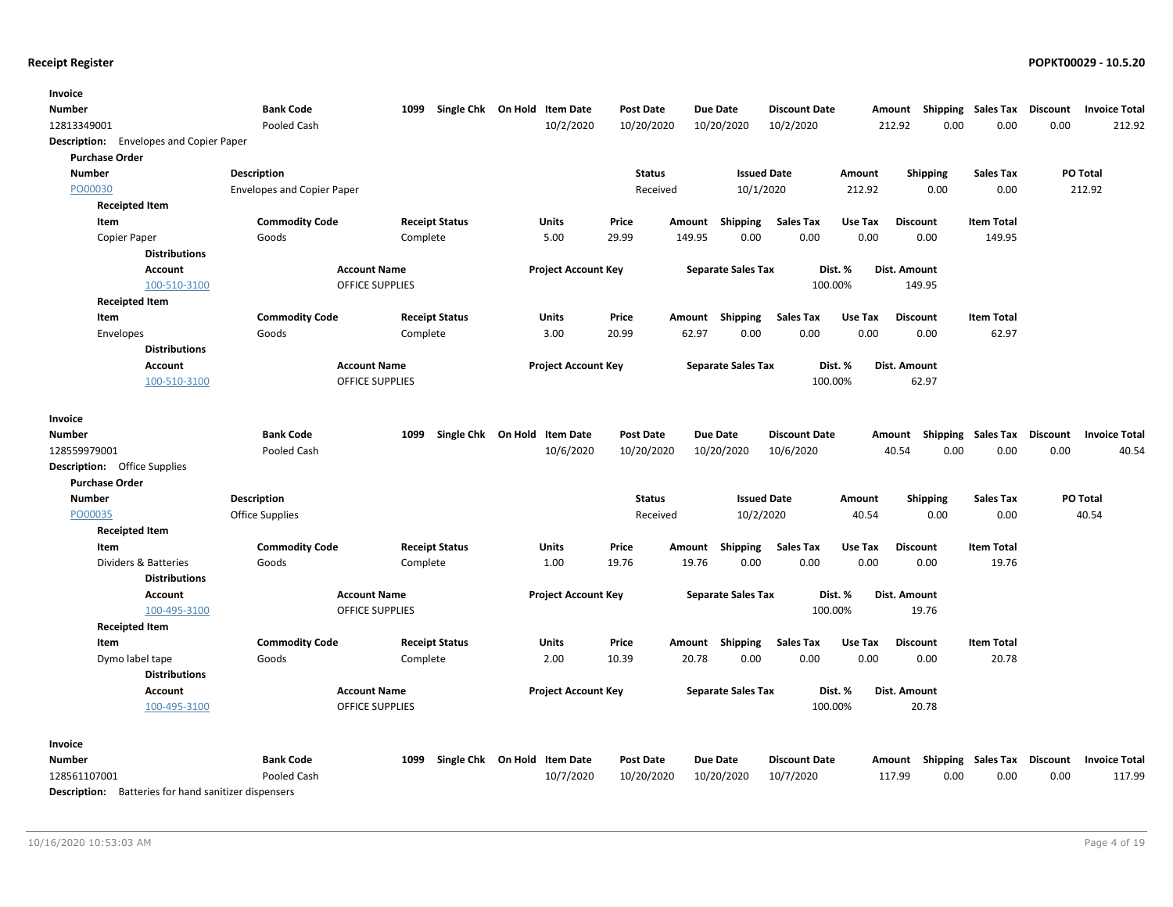| Invoice                                        |                                   |                        |                              |                  |                 |                           |                      |         |                                      |                   |                 |                                |
|------------------------------------------------|-----------------------------------|------------------------|------------------------------|------------------|-----------------|---------------------------|----------------------|---------|--------------------------------------|-------------------|-----------------|--------------------------------|
| Number                                         | <b>Bank Code</b>                  | 1099                   | Single Chk On Hold Item Date | <b>Post Date</b> | <b>Due Date</b> |                           | <b>Discount Date</b> |         | Amount Shipping Sales Tax            |                   | <b>Discount</b> | <b>Invoice Total</b>           |
| 12813349001                                    | Pooled Cash                       |                        | 10/2/2020                    | 10/20/2020       |                 | 10/20/2020                | 10/2/2020            |         | 212.92<br>0.00                       | 0.00              | 0.00            | 212.92                         |
| <b>Description:</b> Envelopes and Copier Paper |                                   |                        |                              |                  |                 |                           |                      |         |                                      |                   |                 |                                |
| <b>Purchase Order</b>                          |                                   |                        |                              |                  |                 |                           |                      |         |                                      |                   |                 |                                |
| Number                                         | <b>Description</b>                |                        |                              | <b>Status</b>    |                 | <b>Issued Date</b>        |                      | Amount  | <b>Shipping</b>                      | <b>Sales Tax</b>  |                 | PO Total                       |
| PO00030                                        | <b>Envelopes and Copier Paper</b> |                        |                              | Received         |                 | 10/1/2020                 |                      | 212.92  | 0.00                                 | 0.00              |                 | 212.92                         |
| <b>Receipted Item</b>                          |                                   |                        |                              |                  |                 |                           |                      |         |                                      |                   |                 |                                |
| Item                                           | <b>Commodity Code</b>             | <b>Receipt Status</b>  | Units                        | Price            | Amount          | Shipping                  | <b>Sales Tax</b>     | Use Tax | <b>Discount</b>                      | <b>Item Total</b> |                 |                                |
| Copier Paper                                   | Goods                             | Complete               | 5.00                         | 29.99            | 149.95          | 0.00                      | 0.00                 | 0.00    | 0.00                                 | 149.95            |                 |                                |
| <b>Distributions</b>                           |                                   |                        |                              |                  |                 |                           |                      |         |                                      |                   |                 |                                |
| Account                                        | <b>Account Name</b>               |                        | <b>Project Account Key</b>   |                  |                 | <b>Separate Sales Tax</b> | Dist. %              |         | Dist. Amount                         |                   |                 |                                |
| 100-510-3100                                   |                                   | <b>OFFICE SUPPLIES</b> |                              |                  |                 |                           | 100.00%              |         | 149.95                               |                   |                 |                                |
| <b>Receipted Item</b>                          |                                   |                        |                              |                  |                 |                           |                      |         |                                      |                   |                 |                                |
| Item                                           | <b>Commodity Code</b>             | <b>Receipt Status</b>  | Units                        | Price            | Amount          | Shipping                  | <b>Sales Tax</b>     | Use Tax | <b>Discount</b>                      | <b>Item Total</b> |                 |                                |
| Envelopes                                      | Goods                             | Complete               | 3.00                         | 20.99            | 62.97           | 0.00                      | 0.00                 | 0.00    | 0.00                                 | 62.97             |                 |                                |
| <b>Distributions</b>                           |                                   |                        |                              |                  |                 |                           |                      |         |                                      |                   |                 |                                |
| <b>Account</b>                                 | <b>Account Name</b>               |                        | <b>Project Account Key</b>   |                  |                 | <b>Separate Sales Tax</b> | Dist. %              |         | Dist. Amount                         |                   |                 |                                |
| 100-510-3100                                   |                                   | <b>OFFICE SUPPLIES</b> |                              |                  |                 |                           | 100.00%              |         | 62.97                                |                   |                 |                                |
|                                                |                                   |                        |                              |                  |                 |                           |                      |         |                                      |                   |                 |                                |
| Invoice                                        |                                   |                        |                              |                  |                 |                           |                      |         |                                      |                   |                 |                                |
| Number                                         | <b>Bank Code</b>                  | 1099                   | Single Chk On Hold Item Date | <b>Post Date</b> | <b>Due Date</b> |                           | <b>Discount Date</b> |         | Shipping<br>Amount                   | Sales Tax         | <b>Discount</b> | <b>Invoice Total</b>           |
| 128559979001                                   | Pooled Cash                       |                        | 10/6/2020                    | 10/20/2020       |                 | 10/20/2020                | 10/6/2020            |         | 40.54<br>0.00                        | 0.00              | 0.00            | 40.54                          |
| <b>Description:</b> Office Supplies            |                                   |                        |                              |                  |                 |                           |                      |         |                                      |                   |                 |                                |
| <b>Purchase Order</b>                          |                                   |                        |                              |                  |                 |                           |                      |         |                                      |                   |                 |                                |
| <b>Number</b>                                  | <b>Description</b>                |                        |                              | <b>Status</b>    |                 | <b>Issued Date</b>        |                      | Amount  | <b>Shipping</b>                      | <b>Sales Tax</b>  |                 | PO Total                       |
| PO00035                                        | <b>Office Supplies</b>            |                        |                              | Received         |                 | 10/2/2020                 |                      | 40.54   | 0.00                                 | 0.00              |                 | 40.54                          |
| <b>Receipted Item</b>                          |                                   |                        |                              |                  |                 |                           |                      |         |                                      |                   |                 |                                |
| Item                                           | <b>Commodity Code</b>             | <b>Receipt Status</b>  | <b>Units</b>                 | Price            | Amount          | <b>Shipping</b>           | <b>Sales Tax</b>     | Use Tax | <b>Discount</b>                      | <b>Item Total</b> |                 |                                |
| Dividers & Batteries                           | Goods                             | Complete               | 1.00                         | 19.76            | 19.76           | 0.00                      | 0.00                 | 0.00    | 0.00                                 | 19.76             |                 |                                |
| <b>Distributions</b>                           |                                   |                        |                              |                  |                 |                           |                      |         |                                      |                   |                 |                                |
| Account                                        | <b>Account Name</b>               |                        | <b>Project Account Key</b>   |                  |                 | <b>Separate Sales Tax</b> | Dist. %              |         | Dist. Amount                         |                   |                 |                                |
| 100-495-3100                                   |                                   | <b>OFFICE SUPPLIES</b> |                              |                  |                 |                           | 100.00%              |         | 19.76                                |                   |                 |                                |
| <b>Receipted Item</b>                          |                                   |                        |                              |                  |                 |                           |                      |         |                                      |                   |                 |                                |
| Item                                           | <b>Commodity Code</b>             | <b>Receipt Status</b>  | Units                        | Price            | Amount Shipping |                           | <b>Sales Tax</b>     | Use Tax | <b>Discount</b>                      | <b>Item Total</b> |                 |                                |
| Dymo label tape                                | Goods                             | Complete               | 2.00                         | 10.39            | 20.78           | 0.00                      | 0.00                 | 0.00    | 0.00                                 | 20.78             |                 |                                |
| <b>Distributions</b>                           |                                   |                        |                              |                  |                 |                           |                      |         |                                      |                   |                 |                                |
| Account                                        | <b>Account Name</b>               |                        | <b>Project Account Key</b>   |                  |                 | <b>Separate Sales Tax</b> | Dist. %              |         | Dist. Amount                         |                   |                 |                                |
| 100-495-3100                                   |                                   | <b>OFFICE SUPPLIES</b> |                              |                  |                 |                           | 100.00%              |         | 20.78                                |                   |                 |                                |
|                                                |                                   |                        |                              |                  |                 |                           |                      |         |                                      |                   |                 |                                |
| Invoice                                        |                                   |                        |                              |                  |                 |                           |                      |         |                                      |                   |                 |                                |
|                                                | <b>Bank Code</b>                  |                        |                              |                  |                 |                           |                      |         |                                      |                   |                 |                                |
| Number                                         | Pooled Cash                       | 1099                   | Single Chk On Hold Item Date | <b>Post Date</b> | <b>Due Date</b> |                           | <b>Discount Date</b> |         | Shipping<br>Amount<br>0.00<br>117.99 | Sales Tax<br>0.00 | <b>Discount</b> | <b>Invoice Total</b><br>117.99 |
| 128561107001                                   |                                   |                        | 10/7/2020                    | 10/20/2020       |                 | 10/20/2020                | 10/7/2020            |         |                                      |                   | 0.00            |                                |

Description: Batteries for hand sanitizer dispensers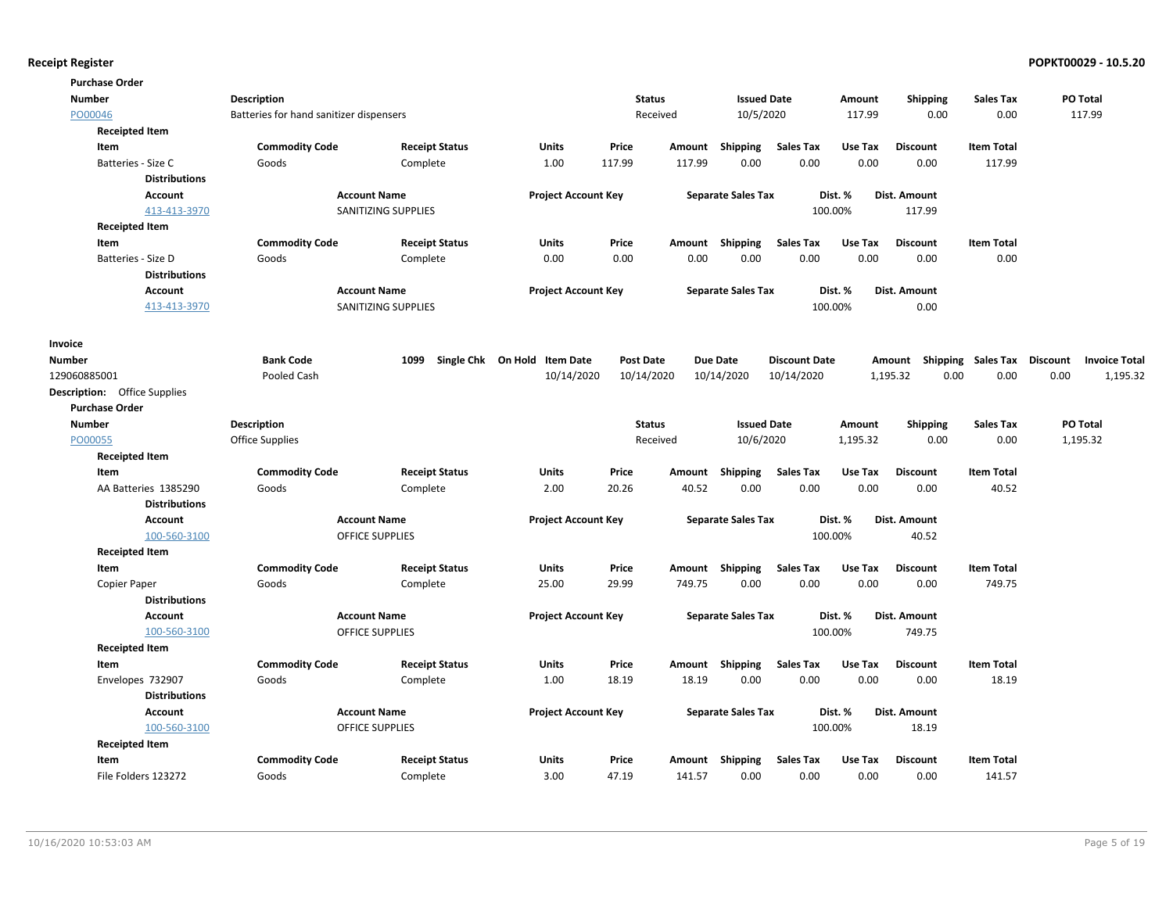| <b>Purchase Order</b>               |                                         |                        |                              |                  |          |                           |                      |          |                                    |                   |      |                      |
|-------------------------------------|-----------------------------------------|------------------------|------------------------------|------------------|----------|---------------------------|----------------------|----------|------------------------------------|-------------------|------|----------------------|
| <b>Number</b>                       | Description                             |                        |                              | <b>Status</b>    |          | <b>Issued Date</b>        |                      | Amount   | <b>Shipping</b>                    | Sales Tax         |      | PO Total             |
| PO00046                             | Batteries for hand sanitizer dispensers |                        |                              |                  | Received | 10/5/2020                 |                      | 117.99   | 0.00                               | 0.00              |      | 117.99               |
| <b>Receipted Item</b>               |                                         |                        |                              |                  |          |                           |                      |          |                                    |                   |      |                      |
| Item                                | <b>Commodity Code</b>                   | <b>Receipt Status</b>  | Units                        | Price            | Amount   | Shipping                  | <b>Sales Tax</b>     | Use Tax  | <b>Discount</b>                    | <b>Item Total</b> |      |                      |
| Batteries - Size C                  | Goods                                   | Complete               | 1.00                         | 117.99           | 117.99   | 0.00                      | 0.00                 | 0.00     | 0.00                               | 117.99            |      |                      |
| <b>Distributions</b>                |                                         |                        |                              |                  |          |                           |                      |          |                                    |                   |      |                      |
| <b>Account</b>                      |                                         | <b>Account Name</b>    | <b>Project Account Key</b>   |                  |          | <b>Separate Sales Tax</b> |                      | Dist. %  | Dist. Amount                       |                   |      |                      |
| 413-413-3970                        |                                         | SANITIZING SUPPLIES    |                              |                  |          |                           | 100.00%              |          | 117.99                             |                   |      |                      |
| <b>Receipted Item</b>               |                                         |                        |                              |                  |          |                           |                      |          |                                    |                   |      |                      |
| Item                                | <b>Commodity Code</b>                   | <b>Receipt Status</b>  | <b>Units</b>                 | Price            | Amount   | Shipping                  | <b>Sales Tax</b>     | Use Tax  | <b>Discount</b>                    | <b>Item Total</b> |      |                      |
| Batteries - Size D                  | Goods                                   | Complete               | 0.00                         | 0.00             | 0.00     | 0.00                      | 0.00                 | 0.00     | 0.00                               | 0.00              |      |                      |
| <b>Distributions</b>                |                                         |                        |                              |                  |          |                           |                      |          |                                    |                   |      |                      |
| <b>Account</b>                      |                                         | <b>Account Name</b>    | <b>Project Account Key</b>   |                  |          | <b>Separate Sales Tax</b> |                      | Dist. %  | Dist. Amount                       |                   |      |                      |
| 413-413-3970                        |                                         | SANITIZING SUPPLIES    |                              |                  |          |                           | 100.00%              |          | 0.00                               |                   |      |                      |
| Invoice                             |                                         |                        |                              |                  |          |                           |                      |          |                                    |                   |      |                      |
| Number                              | <b>Bank Code</b>                        | 1099                   | Single Chk On Hold Item Date | <b>Post Date</b> |          | <b>Due Date</b>           | <b>Discount Date</b> |          | Amount Shipping Sales Tax Discount |                   |      | <b>Invoice Total</b> |
| 129060885001                        | Pooled Cash                             |                        | 10/14/2020                   | 10/14/2020       |          | 10/14/2020                | 10/14/2020           |          | 1,195.32<br>0.00                   | 0.00              | 0.00 | 1,195.32             |
| <b>Description:</b> Office Supplies |                                         |                        |                              |                  |          |                           |                      |          |                                    |                   |      |                      |
| <b>Purchase Order</b>               |                                         |                        |                              |                  |          |                           |                      |          |                                    |                   |      |                      |
| <b>Number</b>                       | <b>Description</b>                      |                        |                              | <b>Status</b>    |          | <b>Issued Date</b>        |                      | Amount   | <b>Shipping</b>                    | <b>Sales Tax</b>  |      | PO Total             |
| PO00055                             | Office Supplies                         |                        |                              |                  | Received | 10/6/2020                 |                      | 1,195.32 | 0.00                               | 0.00              |      | 1,195.32             |
| <b>Receipted Item</b>               |                                         |                        |                              |                  |          |                           |                      |          |                                    |                   |      |                      |
| Item                                | <b>Commodity Code</b>                   | <b>Receipt Status</b>  | <b>Units</b>                 | Price            | Amount   | Shipping                  | <b>Sales Tax</b>     | Use Tax  | <b>Discount</b>                    | <b>Item Total</b> |      |                      |
| AA Batteries 1385290                | Goods                                   | Complete               | 2.00                         | 20.26            | 40.52    | 0.00                      | 0.00                 | 0.00     | 0.00                               | 40.52             |      |                      |
| <b>Distributions</b>                |                                         |                        |                              |                  |          |                           |                      |          |                                    |                   |      |                      |
| <b>Account</b>                      |                                         | <b>Account Name</b>    | <b>Project Account Key</b>   |                  |          | <b>Separate Sales Tax</b> |                      | Dist. %  | Dist. Amount                       |                   |      |                      |
| 100-560-3100                        |                                         | OFFICE SUPPLIES        |                              |                  |          |                           | 100.00%              |          | 40.52                              |                   |      |                      |
| <b>Receipted Item</b>               |                                         |                        |                              |                  |          |                           |                      |          |                                    |                   |      |                      |
| Item                                | <b>Commodity Code</b>                   | <b>Receipt Status</b>  | <b>Units</b>                 | Price            |          | Amount Shipping           | <b>Sales Tax</b>     | Use Tax  | <b>Discount</b>                    | <b>Item Total</b> |      |                      |
| Copier Paper                        | Goods                                   | Complete               | 25.00                        | 29.99            | 749.75   | 0.00                      | 0.00                 | 0.00     | 0.00                               | 749.75            |      |                      |
| <b>Distributions</b>                |                                         |                        |                              |                  |          |                           |                      |          |                                    |                   |      |                      |
| Account                             |                                         | <b>Account Name</b>    | <b>Project Account Key</b>   |                  |          | <b>Separate Sales Tax</b> |                      | Dist. %  | Dist. Amount                       |                   |      |                      |
| 100-560-3100                        |                                         | <b>OFFICE SUPPLIES</b> |                              |                  |          |                           | 100.00%              |          | 749.75                             |                   |      |                      |
| <b>Receipted Item</b>               |                                         |                        |                              |                  |          |                           |                      |          |                                    |                   |      |                      |
| Item                                | <b>Commodity Code</b>                   | <b>Receipt Status</b>  | <b>Units</b>                 | Price            | Amount   | Shipping                  | <b>Sales Tax</b>     | Use Tax  | <b>Discount</b>                    | <b>Item Total</b> |      |                      |
| Envelopes 732907                    | Goods                                   | Complete               | 1.00                         | 18.19            | 18.19    | 0.00                      | 0.00                 | 0.00     | 0.00                               | 18.19             |      |                      |
| <b>Distributions</b>                |                                         |                        |                              |                  |          |                           |                      |          |                                    |                   |      |                      |
| <b>Account</b>                      |                                         | <b>Account Name</b>    | <b>Project Account Key</b>   |                  |          | <b>Separate Sales Tax</b> |                      | Dist. %  | Dist. Amount                       |                   |      |                      |
| 100-560-3100                        |                                         | <b>OFFICE SUPPLIES</b> |                              |                  |          |                           | 100.00%              |          | 18.19                              |                   |      |                      |
| <b>Receipted Item</b>               |                                         |                        |                              |                  |          |                           |                      |          |                                    |                   |      |                      |
| Item                                | <b>Commodity Code</b>                   | <b>Receipt Status</b>  | <b>Units</b>                 | Price            | Amount   | Shipping                  | <b>Sales Tax</b>     | Use Tax  | <b>Discount</b>                    | <b>Item Total</b> |      |                      |
| File Folders 123272                 | Goods                                   | Complete               | 3.00                         | 47.19            | 141.57   | 0.00                      | 0.00                 | 0.00     | 0.00                               | 141.57            |      |                      |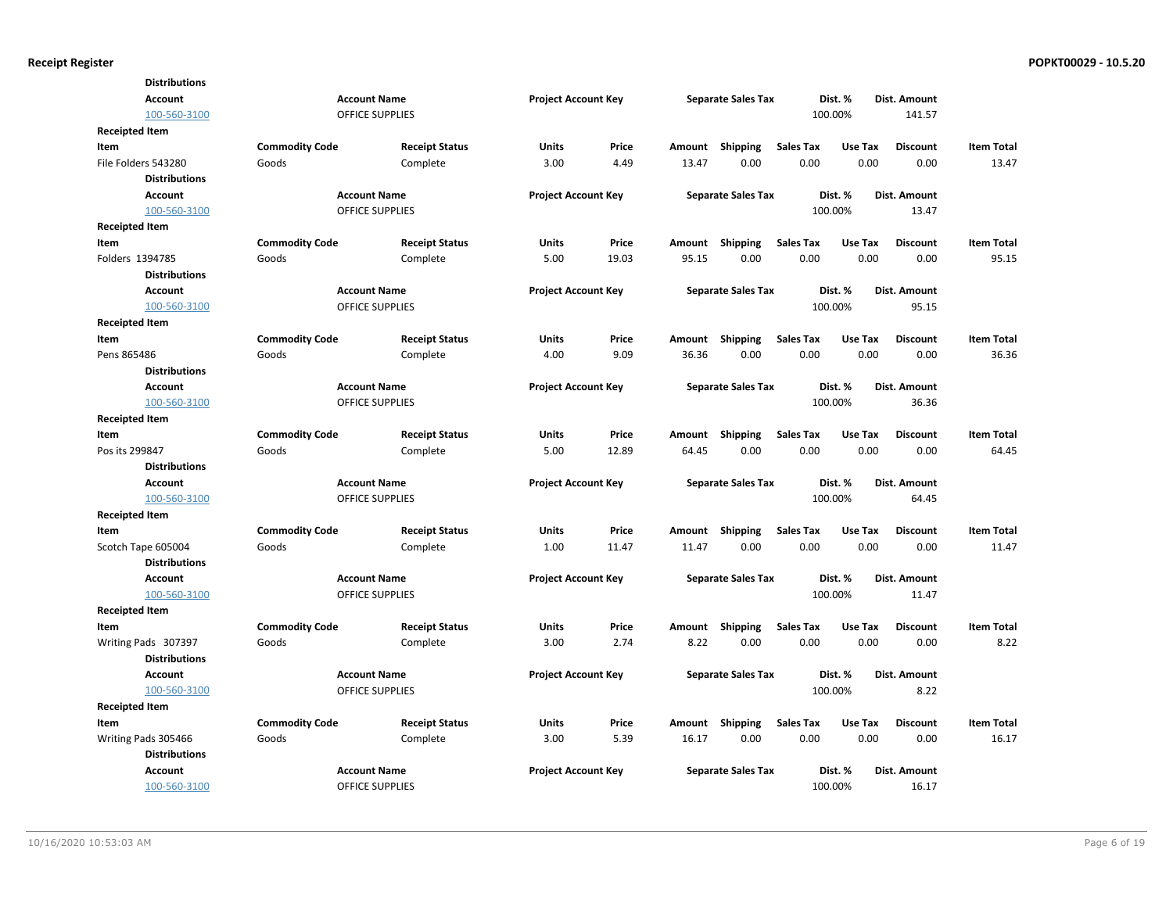|                       | <b>Distributions</b> |                       |                        |                            |       |        |                           |                  |         |                     |                   |
|-----------------------|----------------------|-----------------------|------------------------|----------------------------|-------|--------|---------------------------|------------------|---------|---------------------|-------------------|
|                       | <b>Account</b>       |                       | <b>Account Name</b>    | <b>Project Account Key</b> |       |        | <b>Separate Sales Tax</b> |                  | Dist. % | Dist. Amount        |                   |
|                       | 100-560-3100         |                       | <b>OFFICE SUPPLIES</b> |                            |       |        |                           |                  | 100.00% | 141.57              |                   |
| Receipted Item        |                      |                       |                        |                            |       |        |                           |                  |         |                     |                   |
| ltem                  |                      | <b>Commodity Code</b> | <b>Receipt Status</b>  | Units                      | Price | Amount | Shipping                  | <b>Sales Tax</b> | Use Tax | <b>Discount</b>     | <b>Item Total</b> |
|                       | File Folders 543280  | Goods                 | Complete               | 3.00                       | 4.49  | 13.47  | 0.00                      | 0.00             | 0.00    | 0.00                | 13.47             |
|                       | <b>Distributions</b> |                       |                        |                            |       |        |                           |                  |         |                     |                   |
|                       | <b>Account</b>       |                       | <b>Account Name</b>    | <b>Project Account Key</b> |       |        | <b>Separate Sales Tax</b> |                  | Dist. % | Dist. Amount        |                   |
|                       | 100-560-3100         |                       | <b>OFFICE SUPPLIES</b> |                            |       |        |                           |                  | 100.00% | 13.47               |                   |
| Receipted Item        |                      |                       |                        |                            |       |        |                           |                  |         |                     |                   |
| ltem                  |                      | <b>Commodity Code</b> | <b>Receipt Status</b>  | <b>Units</b>               | Price | Amount | Shipping                  | <b>Sales Tax</b> | Use Tax | <b>Discount</b>     | <b>Item Total</b> |
| Folders 1394785       |                      | Goods                 | Complete               | 5.00                       | 19.03 | 95.15  | 0.00                      | 0.00             | 0.00    | 0.00                | 95.15             |
|                       | <b>Distributions</b> |                       |                        |                            |       |        |                           |                  |         |                     |                   |
|                       | <b>Account</b>       |                       | <b>Account Name</b>    | <b>Project Account Key</b> |       |        | <b>Separate Sales Tax</b> |                  | Dist. % | Dist. Amount        |                   |
|                       | 100-560-3100         |                       | <b>OFFICE SUPPLIES</b> |                            |       |        |                           |                  | 100.00% | 95.15               |                   |
| <b>Receipted Item</b> |                      |                       |                        |                            |       |        |                           |                  |         |                     |                   |
| ltem                  |                      | <b>Commodity Code</b> | <b>Receipt Status</b>  | Units                      | Price | Amount | Shipping                  | <b>Sales Tax</b> | Use Tax | <b>Discount</b>     | <b>Item Total</b> |
| Pens 865486           |                      | Goods                 | Complete               | 4.00                       | 9.09  | 36.36  | 0.00                      | 0.00             | 0.00    | 0.00                | 36.36             |
|                       | <b>Distributions</b> |                       |                        |                            |       |        |                           |                  |         |                     |                   |
|                       | <b>Account</b>       |                       | <b>Account Name</b>    | <b>Project Account Key</b> |       |        | <b>Separate Sales Tax</b> |                  | Dist. % | Dist. Amount        |                   |
|                       | 100-560-3100         |                       | <b>OFFICE SUPPLIES</b> |                            |       |        |                           |                  | 100.00% | 36.36               |                   |
| <b>Receipted Item</b> |                      |                       |                        |                            |       |        |                           |                  |         |                     |                   |
| ltem                  |                      | <b>Commodity Code</b> | <b>Receipt Status</b>  | Units                      | Price | Amount | Shipping                  | <b>Sales Tax</b> | Use Tax | <b>Discount</b>     | <b>Item Total</b> |
| Pos its 299847        |                      | Goods                 | Complete               | 5.00                       | 12.89 | 64.45  | 0.00                      | 0.00             | 0.00    | 0.00                | 64.45             |
|                       | <b>Distributions</b> |                       |                        |                            |       |        |                           |                  |         |                     |                   |
|                       | <b>Account</b>       |                       | <b>Account Name</b>    | <b>Project Account Key</b> |       |        | <b>Separate Sales Tax</b> |                  | Dist. % | Dist. Amount        |                   |
|                       | 100-560-3100         |                       | <b>OFFICE SUPPLIES</b> |                            |       |        |                           |                  | 100.00% | 64.45               |                   |
| Receipted Item        |                      |                       |                        |                            |       |        |                           |                  |         |                     |                   |
| ltem                  |                      | <b>Commodity Code</b> | <b>Receipt Status</b>  | Units                      | Price | Amount | Shipping                  | <b>Sales Tax</b> | Use Tax | <b>Discount</b>     | <b>Item Total</b> |
|                       | Scotch Tape 605004   | Goods                 | Complete               | 1.00                       | 11.47 | 11.47  | 0.00                      | 0.00             | 0.00    | 0.00                | 11.47             |
|                       | <b>Distributions</b> |                       |                        |                            |       |        |                           |                  |         |                     |                   |
|                       | Account              |                       | <b>Account Name</b>    | <b>Project Account Key</b> |       |        | <b>Separate Sales Tax</b> |                  | Dist. % | Dist. Amount        |                   |
|                       | 100-560-3100         |                       | <b>OFFICE SUPPLIES</b> |                            |       |        |                           |                  | 100.00% | 11.47               |                   |
| <b>Receipted Item</b> |                      |                       |                        |                            |       |        |                           |                  |         |                     |                   |
| ltem                  |                      | <b>Commodity Code</b> | <b>Receipt Status</b>  | Units                      | Price | Amount | Shipping                  | <b>Sales Tax</b> | Use Tax | <b>Discount</b>     | <b>Item Total</b> |
|                       | Writing Pads 307397  | Goods                 | Complete               | 3.00                       | 2.74  | 8.22   | 0.00                      | 0.00             | 0.00    | 0.00                | 8.22              |
|                       | <b>Distributions</b> |                       |                        |                            |       |        |                           |                  |         |                     |                   |
|                       | <b>Account</b>       |                       | <b>Account Name</b>    | <b>Project Account Key</b> |       |        | <b>Separate Sales Tax</b> |                  | Dist. % | Dist. Amount        |                   |
|                       | 100-560-3100         |                       | <b>OFFICE SUPPLIES</b> |                            |       |        |                           |                  | 100.00% | 8.22                |                   |
| Receipted Item        |                      |                       |                        |                            |       |        |                           |                  |         |                     |                   |
| ltem                  |                      | <b>Commodity Code</b> | <b>Receipt Status</b>  | <b>Units</b>               | Price | Amount | Shipping                  | <b>Sales Tax</b> | Use Tax | <b>Discount</b>     | <b>Item Total</b> |
|                       | Writing Pads 305466  | Goods                 | Complete               | 3.00                       | 5.39  | 16.17  | 0.00                      | 0.00             | 0.00    | 0.00                | 16.17             |
|                       | <b>Distributions</b> |                       |                        |                            |       |        |                           |                  |         |                     |                   |
|                       | <b>Account</b>       |                       | <b>Account Name</b>    | <b>Project Account Key</b> |       |        | <b>Separate Sales Tax</b> |                  | Dist. % | <b>Dist. Amount</b> |                   |
|                       | 100-560-3100         |                       | <b>OFFICE SUPPLIES</b> |                            |       |        |                           |                  | 100.00% | 16.17               |                   |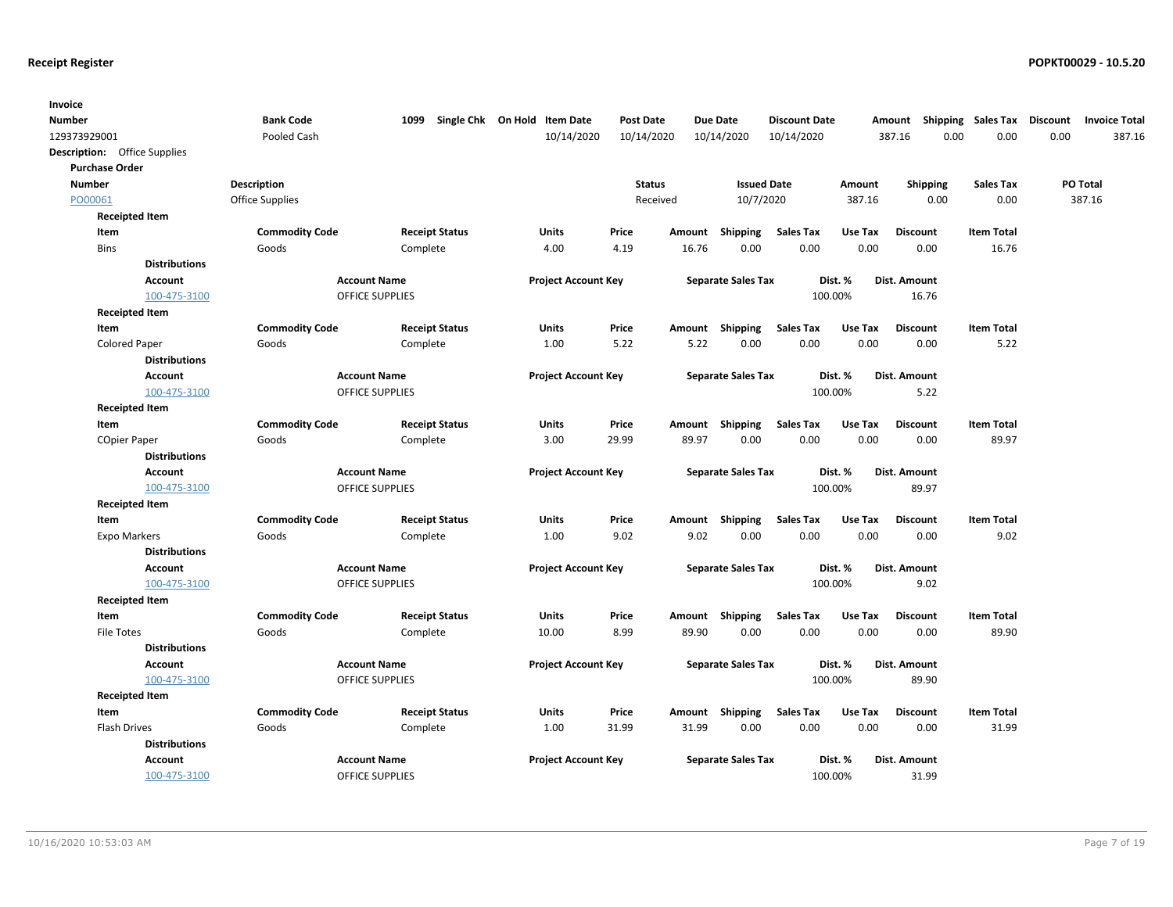| Invoice                             |                       |                        |                        |                                   |                  |        |                           |                      |         |                     |                    |          |                      |
|-------------------------------------|-----------------------|------------------------|------------------------|-----------------------------------|------------------|--------|---------------------------|----------------------|---------|---------------------|--------------------|----------|----------------------|
| <b>Number</b>                       |                       | <b>Bank Code</b>       |                        | 1099 Single Chk On Hold Item Date | <b>Post Date</b> |        | <b>Due Date</b>           | <b>Discount Date</b> |         | Amount              | Shipping Sales Tax | Discount | <b>Invoice Total</b> |
| 129373929001                        |                       | Pooled Cash            |                        | 10/14/2020                        | 10/14/2020       |        | 10/14/2020                | 10/14/2020           |         | 387.16              | 0.00<br>0.00       | 0.00     | 387.16               |
| <b>Description:</b> Office Supplies |                       |                        |                        |                                   |                  |        |                           |                      |         |                     |                    |          |                      |
| <b>Purchase Order</b>               |                       |                        |                        |                                   |                  |        |                           |                      |         |                     |                    |          |                      |
| <b>Number</b>                       |                       | <b>Description</b>     |                        |                                   | <b>Status</b>    |        | <b>Issued Date</b>        |                      | Amount  | <b>Shipping</b>     | <b>Sales Tax</b>   |          | PO Total             |
| PO00061                             |                       | <b>Office Supplies</b> |                        |                                   | Received         |        | 10/7/2020                 |                      | 387.16  | 0.00                | 0.00               |          | 387.16               |
| <b>Receipted Item</b>               |                       |                        |                        |                                   |                  |        |                           |                      |         |                     |                    |          |                      |
| Item                                |                       | <b>Commodity Code</b>  | <b>Receipt Status</b>  | Units                             | Price            | Amount | Shipping                  | <b>Sales Tax</b>     | Use Tax | <b>Discount</b>     | <b>Item Total</b>  |          |                      |
| <b>Bins</b>                         |                       | Goods                  | Complete               | 4.00                              | 4.19             | 16.76  | 0.00                      | 0.00                 | 0.00    | 0.00                | 16.76              |          |                      |
|                                     | <b>Distributions</b>  |                        |                        |                                   |                  |        |                           |                      |         |                     |                    |          |                      |
|                                     | <b>Account</b>        |                        | <b>Account Name</b>    | <b>Project Account Key</b>        |                  |        | <b>Separate Sales Tax</b> |                      | Dist. % | <b>Dist. Amount</b> |                    |          |                      |
|                                     | 100-475-3100          |                        | <b>OFFICE SUPPLIES</b> |                                   |                  |        |                           |                      | 100.00% | 16.76               |                    |          |                      |
|                                     | <b>Receipted Item</b> |                        |                        |                                   |                  |        |                           |                      |         |                     |                    |          |                      |
| Item                                |                       | <b>Commodity Code</b>  | <b>Receipt Status</b>  | <b>Units</b>                      | Price            | Amount | Shipping                  | <b>Sales Tax</b>     | Use Tax | <b>Discount</b>     | <b>Item Total</b>  |          |                      |
| <b>Colored Paper</b>                |                       | Goods                  | Complete               | 1.00                              | 5.22             | 5.22   | 0.00                      | 0.00                 | 0.00    | 0.00                | 5.22               |          |                      |
|                                     | <b>Distributions</b>  |                        |                        |                                   |                  |        |                           |                      |         |                     |                    |          |                      |
|                                     | <b>Account</b>        |                        | <b>Account Name</b>    | <b>Project Account Key</b>        |                  |        | <b>Separate Sales Tax</b> |                      | Dist. % | Dist. Amount        |                    |          |                      |
|                                     | 100-475-3100          |                        | <b>OFFICE SUPPLIES</b> |                                   |                  |        |                           |                      | 100.00% | 5.22                |                    |          |                      |
|                                     | <b>Receipted Item</b> |                        |                        |                                   |                  |        |                           |                      |         |                     |                    |          |                      |
| Item                                |                       | <b>Commodity Code</b>  | <b>Receipt Status</b>  | Units                             | Price            |        | Amount Shipping           | <b>Sales Tax</b>     | Use Tax | <b>Discount</b>     | <b>Item Total</b>  |          |                      |
| <b>COpier Paper</b>                 |                       | Goods                  | Complete               | 3.00                              | 29.99            | 89.97  | 0.00                      | 0.00                 | 0.00    | 0.00                | 89.97              |          |                      |
|                                     | <b>Distributions</b>  |                        |                        |                                   |                  |        |                           |                      |         |                     |                    |          |                      |
|                                     | <b>Account</b>        |                        | <b>Account Name</b>    | <b>Project Account Key</b>        |                  |        | <b>Separate Sales Tax</b> |                      | Dist. % | Dist. Amount        |                    |          |                      |
|                                     | 100-475-3100          |                        | OFFICE SUPPLIES        |                                   |                  |        |                           |                      | 100.00% | 89.97               |                    |          |                      |
| <b>Receipted Item</b>               |                       |                        |                        |                                   |                  |        |                           |                      |         |                     |                    |          |                      |
| Item                                |                       | <b>Commodity Code</b>  | <b>Receipt Status</b>  | Units                             | Price            |        | Amount Shipping           | <b>Sales Tax</b>     | Use Tax | <b>Discount</b>     | <b>Item Total</b>  |          |                      |
| <b>Expo Markers</b>                 |                       | Goods                  | Complete               | 1.00                              | 9.02             | 9.02   | 0.00                      | 0.00                 | 0.00    | 0.00                | 9.02               |          |                      |
|                                     | <b>Distributions</b>  |                        |                        |                                   |                  |        |                           |                      |         |                     |                    |          |                      |
|                                     | <b>Account</b>        |                        | <b>Account Name</b>    | <b>Project Account Key</b>        |                  |        | <b>Separate Sales Tax</b> |                      | Dist. % | Dist. Amount        |                    |          |                      |
|                                     | 100-475-3100          |                        | <b>OFFICE SUPPLIES</b> |                                   |                  |        |                           |                      | 100.00% | 9.02                |                    |          |                      |
|                                     | <b>Receipted Item</b> |                        |                        |                                   |                  |        |                           |                      |         |                     |                    |          |                      |
| Item                                |                       | <b>Commodity Code</b>  | <b>Receipt Status</b>  | Units                             | Price            | Amount | Shipping                  | <b>Sales Tax</b>     | Use Tax | <b>Discount</b>     | <b>Item Total</b>  |          |                      |
| <b>File Totes</b>                   |                       | Goods                  | Complete               | 10.00                             | 8.99             | 89.90  | 0.00                      | 0.00                 | 0.00    | 0.00                | 89.90              |          |                      |
|                                     | <b>Distributions</b>  |                        |                        |                                   |                  |        |                           |                      |         |                     |                    |          |                      |
|                                     | <b>Account</b>        |                        | <b>Account Name</b>    | <b>Project Account Key</b>        |                  |        | <b>Separate Sales Tax</b> |                      | Dist. % | <b>Dist. Amount</b> |                    |          |                      |
|                                     | 100-475-3100          |                        | <b>OFFICE SUPPLIES</b> |                                   |                  |        |                           |                      | 100.00% | 89.90               |                    |          |                      |
|                                     | <b>Receipted Item</b> |                        |                        |                                   |                  |        |                           |                      |         |                     |                    |          |                      |
| Item                                |                       | <b>Commodity Code</b>  | <b>Receipt Status</b>  | Units                             | Price            | Amount | Shipping                  | <b>Sales Tax</b>     | Use Tax | <b>Discount</b>     | <b>Item Total</b>  |          |                      |
| <b>Flash Drives</b>                 |                       | Goods                  | Complete               | 1.00                              | 31.99            | 31.99  | 0.00                      | 0.00                 | 0.00    | 0.00                | 31.99              |          |                      |
|                                     | <b>Distributions</b>  |                        |                        |                                   |                  |        |                           |                      |         |                     |                    |          |                      |
|                                     | Account               |                        | <b>Account Name</b>    | <b>Project Account Key</b>        |                  |        | <b>Separate Sales Tax</b> |                      | Dist. % | Dist. Amount        |                    |          |                      |
|                                     | 100-475-3100          |                        | <b>OFFICE SUPPLIES</b> |                                   |                  |        |                           |                      | 100.00% | 31.99               |                    |          |                      |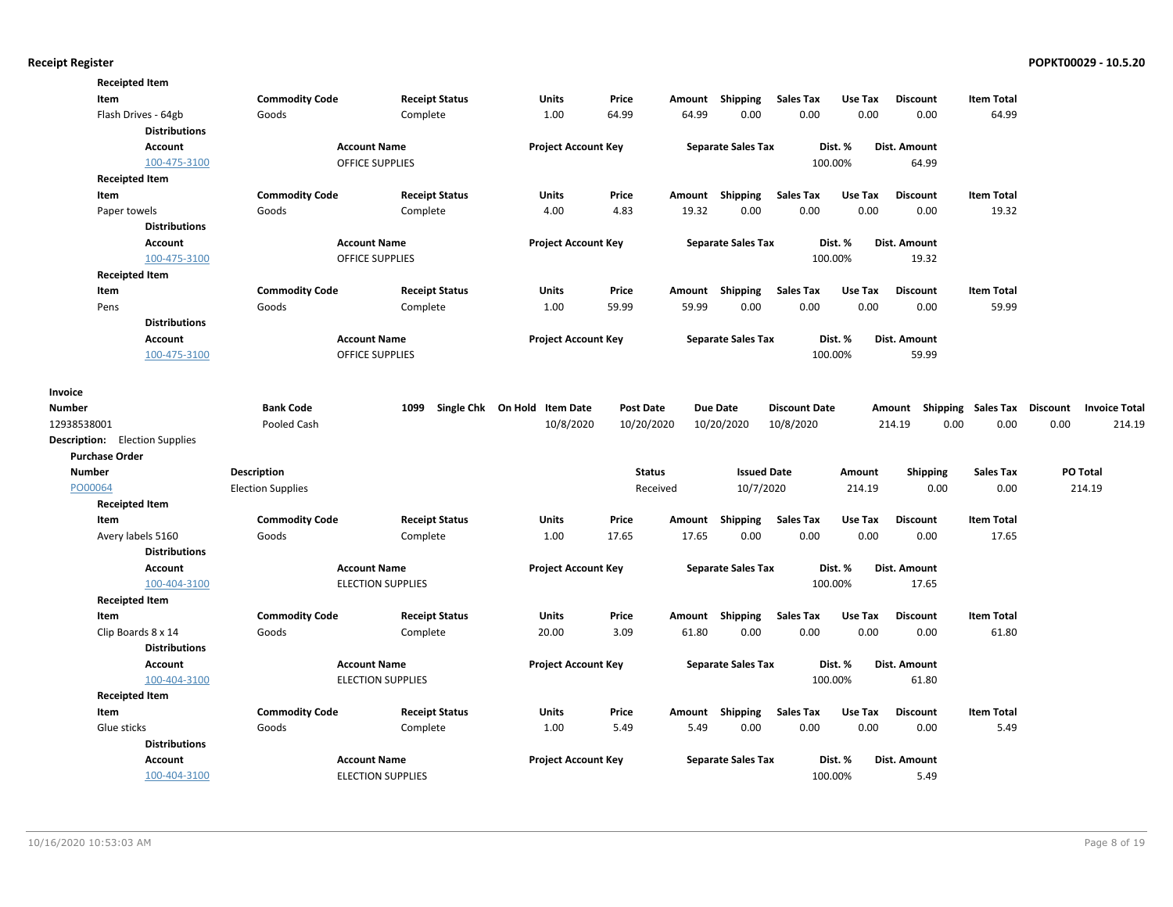|                          | <b>Receipted Item</b>                 |                          |                          |                              |                  |        |                           |                      |         |                 |                    |                                         |        |
|--------------------------|---------------------------------------|--------------------------|--------------------------|------------------------------|------------------|--------|---------------------------|----------------------|---------|-----------------|--------------------|-----------------------------------------|--------|
|                          | Item                                  | <b>Commodity Code</b>    | <b>Receipt Status</b>    | <b>Units</b>                 | Price            |        | Amount Shipping           | <b>Sales Tax</b>     | Use Tax | <b>Discount</b> | <b>Item Total</b>  |                                         |        |
|                          | Flash Drives - 64gb                   | Goods                    | Complete                 | 1.00                         | 64.99            | 64.99  | 0.00                      | 0.00                 | 0.00    | 0.00            | 64.99              |                                         |        |
|                          | <b>Distributions</b>                  |                          |                          |                              |                  |        |                           |                      |         |                 |                    |                                         |        |
|                          | <b>Account</b>                        |                          | <b>Account Name</b>      | <b>Project Account Key</b>   |                  |        | <b>Separate Sales Tax</b> |                      | Dist. % | Dist. Amount    |                    |                                         |        |
|                          | 100-475-3100                          |                          | <b>OFFICE SUPPLIES</b>   |                              |                  |        |                           |                      | 100.00% | 64.99           |                    |                                         |        |
|                          | <b>Receipted Item</b>                 |                          |                          |                              |                  |        |                           |                      |         |                 |                    |                                         |        |
|                          | Item                                  | <b>Commodity Code</b>    | <b>Receipt Status</b>    | <b>Units</b>                 | Price            |        | Amount Shipping           | <b>Sales Tax</b>     | Use Tax | <b>Discount</b> | <b>Item Total</b>  |                                         |        |
|                          | Paper towels                          | Goods                    | Complete                 | 4.00                         | 4.83             | 19.32  | 0.00                      | 0.00                 | 0.00    | 0.00            | 19.32              |                                         |        |
|                          | <b>Distributions</b>                  |                          |                          |                              |                  |        |                           |                      |         |                 |                    |                                         |        |
|                          | Account                               |                          | <b>Account Name</b>      | <b>Project Account Key</b>   |                  |        | <b>Separate Sales Tax</b> |                      | Dist. % | Dist. Amount    |                    |                                         |        |
|                          | 100-475-3100                          |                          | <b>OFFICE SUPPLIES</b>   |                              |                  |        |                           |                      | 100.00% | 19.32           |                    |                                         |        |
|                          | <b>Receipted Item</b>                 |                          |                          |                              |                  |        |                           |                      |         |                 |                    |                                         |        |
|                          | Item                                  | <b>Commodity Code</b>    | <b>Receipt Status</b>    | Units                        | Price            | Amount | Shipping                  | <b>Sales Tax</b>     | Use Tax | <b>Discount</b> | <b>Item Total</b>  |                                         |        |
|                          | Pens                                  | Goods                    | Complete                 | 1.00                         | 59.99            | 59.99  | 0.00                      | 0.00                 | 0.00    | 0.00            | 59.99              |                                         |        |
|                          | <b>Distributions</b>                  |                          |                          |                              |                  |        |                           |                      |         |                 |                    |                                         |        |
|                          | Account                               |                          | <b>Account Name</b>      | <b>Project Account Key</b>   |                  |        | <b>Separate Sales Tax</b> |                      | Dist. % | Dist. Amount    |                    |                                         |        |
|                          | 100-475-3100                          |                          | <b>OFFICE SUPPLIES</b>   |                              |                  |        |                           |                      | 100.00% | 59.99           |                    |                                         |        |
|                          |                                       |                          |                          |                              |                  |        |                           |                      |         |                 |                    |                                         |        |
| Invoice<br><b>Number</b> |                                       | <b>Bank Code</b>         | 1099                     | Single Chk On Hold Item Date | <b>Post Date</b> |        | <b>Due Date</b>           | <b>Discount Date</b> |         | Amount          | Shipping Sales Tax | <b>Discount</b><br><b>Invoice Total</b> |        |
| 12938538001              |                                       | Pooled Cash              |                          | 10/8/2020                    | 10/20/2020       |        | 10/20/2020                | 10/8/2020            |         | 214.19<br>0.00  | 0.00               | 0.00                                    | 214.19 |
|                          | <b>Description:</b> Election Supplies |                          |                          |                              |                  |        |                           |                      |         |                 |                    |                                         |        |
|                          | <b>Purchase Order</b>                 |                          |                          |                              |                  |        |                           |                      |         |                 |                    |                                         |        |
| <b>Number</b>            |                                       | <b>Description</b>       |                          |                              | <b>Status</b>    |        | <b>Issued Date</b>        |                      | Amount  | <b>Shipping</b> | <b>Sales Tax</b>   | <b>PO Total</b>                         |        |
| PO00064                  |                                       | <b>Election Supplies</b> |                          |                              | Received         |        | 10/7/2020                 |                      | 214.19  | 0.00            | 0.00               | 214.19                                  |        |
|                          | <b>Receipted Item</b>                 |                          |                          |                              |                  |        |                           |                      |         |                 |                    |                                         |        |
|                          | Item                                  | <b>Commodity Code</b>    | <b>Receipt Status</b>    | Units                        | Price            | Amount | Shipping                  | <b>Sales Tax</b>     | Use Tax | <b>Discount</b> | <b>Item Total</b>  |                                         |        |
|                          | Avery labels 5160                     | Goods                    | Complete                 | 1.00                         | 17.65            | 17.65  | 0.00                      | 0.00                 | 0.00    | 0.00            | 17.65              |                                         |        |
|                          | <b>Distributions</b>                  |                          |                          |                              |                  |        |                           |                      |         |                 |                    |                                         |        |
|                          | Account                               |                          | <b>Account Name</b>      | <b>Project Account Key</b>   |                  |        | <b>Separate Sales Tax</b> |                      | Dist. % | Dist. Amount    |                    |                                         |        |
|                          | 100-404-3100                          |                          | <b>ELECTION SUPPLIES</b> |                              |                  |        |                           |                      | 100.00% | 17.65           |                    |                                         |        |
|                          | <b>Receipted Item</b>                 |                          |                          |                              |                  |        |                           |                      |         |                 |                    |                                         |        |
|                          | Item                                  | <b>Commodity Code</b>    | <b>Receipt Status</b>    | <b>Units</b>                 | Price            |        | Amount Shipping           | <b>Sales Tax</b>     | Use Tax | <b>Discount</b> | <b>Item Total</b>  |                                         |        |
|                          | Clip Boards 8 x 14                    | Goods                    | Complete                 | 20.00                        | 3.09             | 61.80  | 0.00                      | 0.00                 | 0.00    | 0.00            | 61.80              |                                         |        |
|                          | <b>Distributions</b>                  |                          |                          |                              |                  |        |                           |                      |         |                 |                    |                                         |        |
|                          | Account                               |                          | <b>Account Name</b>      | <b>Project Account Key</b>   |                  |        | <b>Separate Sales Tax</b> |                      | Dist. % | Dist. Amount    |                    |                                         |        |
|                          | 100-404-3100                          |                          | <b>ELECTION SUPPLIES</b> |                              |                  |        |                           |                      | 100.00% | 61.80           |                    |                                         |        |
|                          | <b>Receipted Item</b>                 |                          |                          |                              |                  |        |                           |                      |         |                 |                    |                                         |        |
|                          | Item                                  | <b>Commodity Code</b>    | <b>Receipt Status</b>    | Units                        | Price            |        | Amount Shipping           | <b>Sales Tax</b>     | Use Tax | <b>Discount</b> | <b>Item Total</b>  |                                         |        |
|                          | Glue sticks                           | Goods                    | Complete                 | 1.00                         | 5.49             | 5.49   | 0.00                      | 0.00                 | 0.00    | 0.00            | 5.49               |                                         |        |
|                          | <b>Distributions</b>                  |                          |                          |                              |                  |        |                           |                      |         |                 |                    |                                         |        |
|                          | <b>Account</b>                        |                          | <b>Account Name</b>      | <b>Project Account Key</b>   |                  |        | <b>Separate Sales Tax</b> |                      | Dist. % | Dist. Amount    |                    |                                         |        |
|                          | 100-404-3100                          |                          | <b>ELECTION SUPPLIES</b> |                              |                  |        |                           |                      | 100.00% | 5.49            |                    |                                         |        |
|                          |                                       |                          |                          |                              |                  |        |                           |                      |         |                 |                    |                                         |        |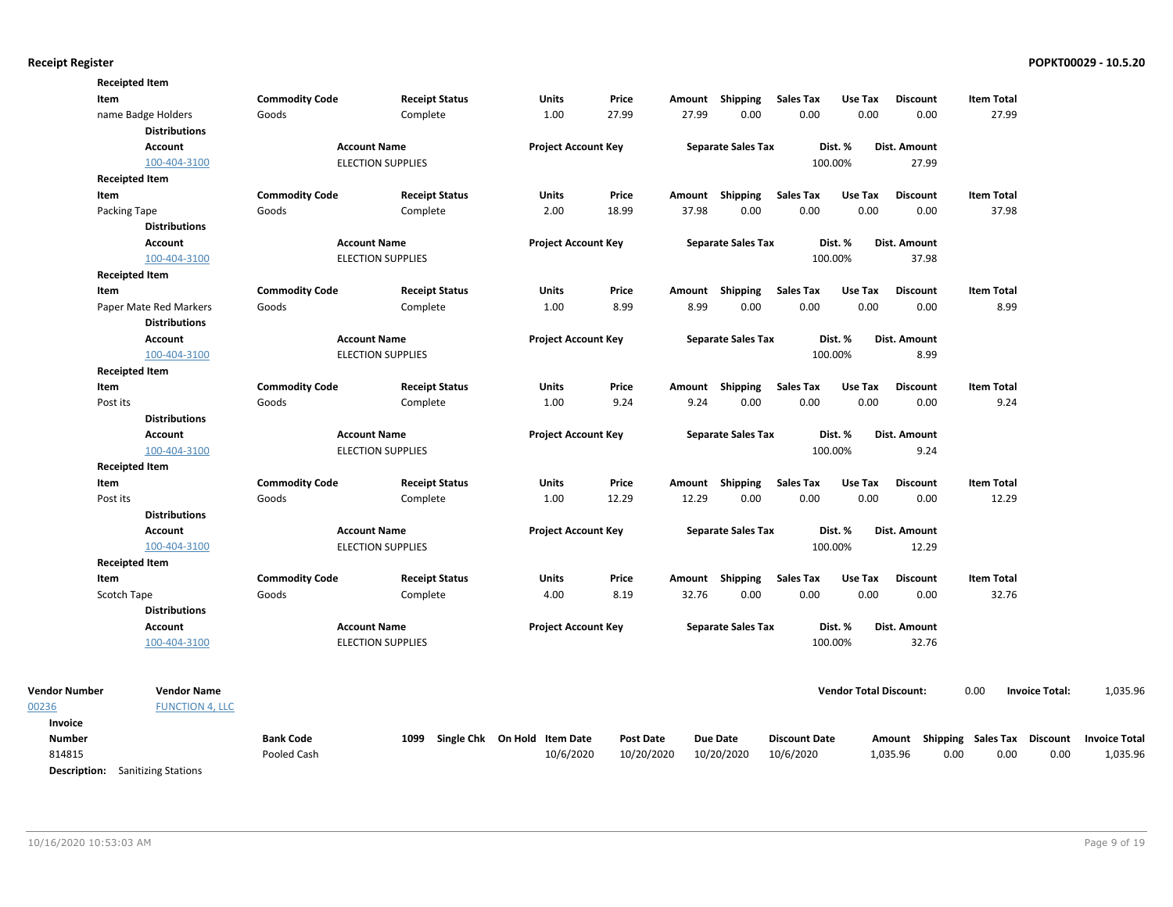| Item                  | <b>Receipted Item</b>  | <b>Commodity Code</b> | <b>Receipt Status</b>    | <b>Units</b>                 | Price            |       | Amount Shipping           | <b>Sales Tax</b>     | Use Tax                       | <b>Discount</b> | <b>Item Total</b>                  |                       |                      |
|-----------------------|------------------------|-----------------------|--------------------------|------------------------------|------------------|-------|---------------------------|----------------------|-------------------------------|-----------------|------------------------------------|-----------------------|----------------------|
|                       | name Badge Holders     | Goods                 | Complete                 | 1.00                         | 27.99            | 27.99 | 0.00                      | 0.00                 | 0.00                          | 0.00            | 27.99                              |                       |                      |
|                       | <b>Distributions</b>   |                       |                          |                              |                  |       |                           |                      |                               |                 |                                    |                       |                      |
|                       | Account                |                       | <b>Account Name</b>      | <b>Project Account Key</b>   |                  |       | <b>Separate Sales Tax</b> |                      | Dist. %                       | Dist. Amount    |                                    |                       |                      |
|                       | 100-404-3100           |                       | <b>ELECTION SUPPLIES</b> |                              |                  |       |                           |                      | 100.00%                       | 27.99           |                                    |                       |                      |
| <b>Receipted Item</b> |                        |                       |                          |                              |                  |       |                           |                      |                               |                 |                                    |                       |                      |
| Item                  |                        | <b>Commodity Code</b> | <b>Receipt Status</b>    | <b>Units</b>                 | Price            |       | Amount Shipping           | <b>Sales Tax</b>     | Use Tax                       | <b>Discount</b> | <b>Item Total</b>                  |                       |                      |
| Packing Tape          |                        | Goods                 | Complete                 | 2.00                         | 18.99            | 37.98 | 0.00                      | 0.00                 | 0.00                          | 0.00            | 37.98                              |                       |                      |
|                       | <b>Distributions</b>   |                       |                          |                              |                  |       |                           |                      |                               |                 |                                    |                       |                      |
|                       | <b>Account</b>         |                       | <b>Account Name</b>      | <b>Project Account Key</b>   |                  |       | <b>Separate Sales Tax</b> |                      | Dist. %                       | Dist. Amount    |                                    |                       |                      |
|                       | 100-404-3100           |                       | <b>ELECTION SUPPLIES</b> |                              |                  |       |                           |                      | 100.00%                       | 37.98           |                                    |                       |                      |
| <b>Receipted Item</b> |                        |                       |                          |                              |                  |       |                           |                      |                               |                 |                                    |                       |                      |
| Item                  |                        | <b>Commodity Code</b> | <b>Receipt Status</b>    | <b>Units</b>                 | Price            |       | Amount Shipping           | <b>Sales Tax</b>     | Use Tax                       | <b>Discount</b> | <b>Item Total</b>                  |                       |                      |
|                       | Paper Mate Red Markers | Goods                 | Complete                 | 1.00                         | 8.99             | 8.99  | 0.00                      | 0.00                 | 0.00                          | 0.00            | 8.99                               |                       |                      |
|                       | <b>Distributions</b>   |                       |                          |                              |                  |       |                           |                      |                               |                 |                                    |                       |                      |
|                       | Account                |                       | <b>Account Name</b>      | <b>Project Account Key</b>   |                  |       | <b>Separate Sales Tax</b> |                      | Dist. %                       | Dist. Amount    |                                    |                       |                      |
|                       | 100-404-3100           |                       | <b>ELECTION SUPPLIES</b> |                              |                  |       |                           |                      | 100.00%                       | 8.99            |                                    |                       |                      |
| <b>Receipted Item</b> |                        |                       |                          |                              |                  |       |                           |                      |                               |                 |                                    |                       |                      |
| Item                  |                        | <b>Commodity Code</b> | <b>Receipt Status</b>    | Units                        | Price            |       | Amount Shipping           | <b>Sales Tax</b>     | Use Tax                       | <b>Discount</b> | <b>Item Total</b>                  |                       |                      |
| Post its              |                        | Goods                 | Complete                 | 1.00                         | 9.24             | 9.24  | 0.00                      | 0.00                 | 0.00                          | 0.00            | 9.24                               |                       |                      |
|                       | <b>Distributions</b>   |                       |                          |                              |                  |       |                           |                      |                               |                 |                                    |                       |                      |
|                       | Account                |                       | <b>Account Name</b>      | <b>Project Account Key</b>   |                  |       | <b>Separate Sales Tax</b> |                      | Dist. %                       | Dist. Amount    |                                    |                       |                      |
|                       | 100-404-3100           |                       | <b>ELECTION SUPPLIES</b> |                              |                  |       |                           |                      | 100.00%                       | 9.24            |                                    |                       |                      |
| <b>Receipted Item</b> |                        |                       |                          |                              |                  |       |                           |                      |                               |                 |                                    |                       |                      |
| Item                  |                        | <b>Commodity Code</b> | <b>Receipt Status</b>    | Units                        | Price            |       | Amount Shipping           | <b>Sales Tax</b>     | Use Tax                       | <b>Discount</b> | <b>Item Total</b>                  |                       |                      |
| Post its              |                        | Goods                 | Complete                 | 1.00                         | 12.29            | 12.29 | 0.00                      | 0.00                 | 0.00                          | 0.00            | 12.29                              |                       |                      |
|                       | <b>Distributions</b>   |                       |                          |                              |                  |       |                           |                      |                               |                 |                                    |                       |                      |
|                       | Account                |                       | <b>Account Name</b>      | <b>Project Account Key</b>   |                  |       | <b>Separate Sales Tax</b> |                      | Dist. %                       | Dist. Amount    |                                    |                       |                      |
|                       | 100-404-3100           |                       | <b>ELECTION SUPPLIES</b> |                              |                  |       |                           |                      | 100.00%                       | 12.29           |                                    |                       |                      |
| <b>Receipted Item</b> |                        |                       |                          |                              |                  |       |                           |                      |                               |                 |                                    |                       |                      |
| Item                  |                        | <b>Commodity Code</b> | <b>Receipt Status</b>    | Units                        | Price            |       | Amount Shipping           | <b>Sales Tax</b>     | Use Tax                       | <b>Discount</b> | <b>Item Total</b>                  |                       |                      |
| Scotch Tape           |                        | Goods                 | Complete                 | 4.00                         | 8.19             | 32.76 | 0.00                      | 0.00                 | 0.00                          | 0.00            | 32.76                              |                       |                      |
|                       | <b>Distributions</b>   |                       |                          |                              |                  |       |                           |                      |                               |                 |                                    |                       |                      |
|                       | Account                |                       | <b>Account Name</b>      | <b>Project Account Key</b>   |                  |       | <b>Separate Sales Tax</b> |                      | Dist. %                       | Dist. Amount    |                                    |                       |                      |
|                       | 100-404-3100           |                       | <b>ELECTION SUPPLIES</b> |                              |                  |       |                           |                      | 100.00%                       | 32.76           |                                    |                       |                      |
| <b>Vendor Number</b>  | <b>Vendor Name</b>     |                       |                          |                              |                  |       |                           |                      | <b>Vendor Total Discount:</b> |                 | 0.00                               | <b>Invoice Total:</b> | 1,035.96             |
|                       | <b>FUNCTION 4, LLC</b> |                       |                          |                              |                  |       |                           |                      |                               |                 |                                    |                       |                      |
| Invoice               |                        |                       |                          |                              |                  |       |                           |                      |                               |                 |                                    |                       |                      |
| <b>Number</b>         |                        | <b>Bank Code</b>      | 1099                     | Single Chk On Hold Item Date | <b>Post Date</b> |       | <b>Due Date</b>           | <b>Discount Date</b> |                               |                 | Amount Shipping Sales Tax Discount |                       | <b>Invoice Total</b> |
| 814815                |                        | Pooled Cash           |                          | 10/6/2020                    | 10/20/2020       |       | 10/20/2020                | 10/6/2020            |                               | 1,035.96        | 0.00<br>0.00                       | 0.00                  | 1,035.96             |

Description: Sanitizing Stations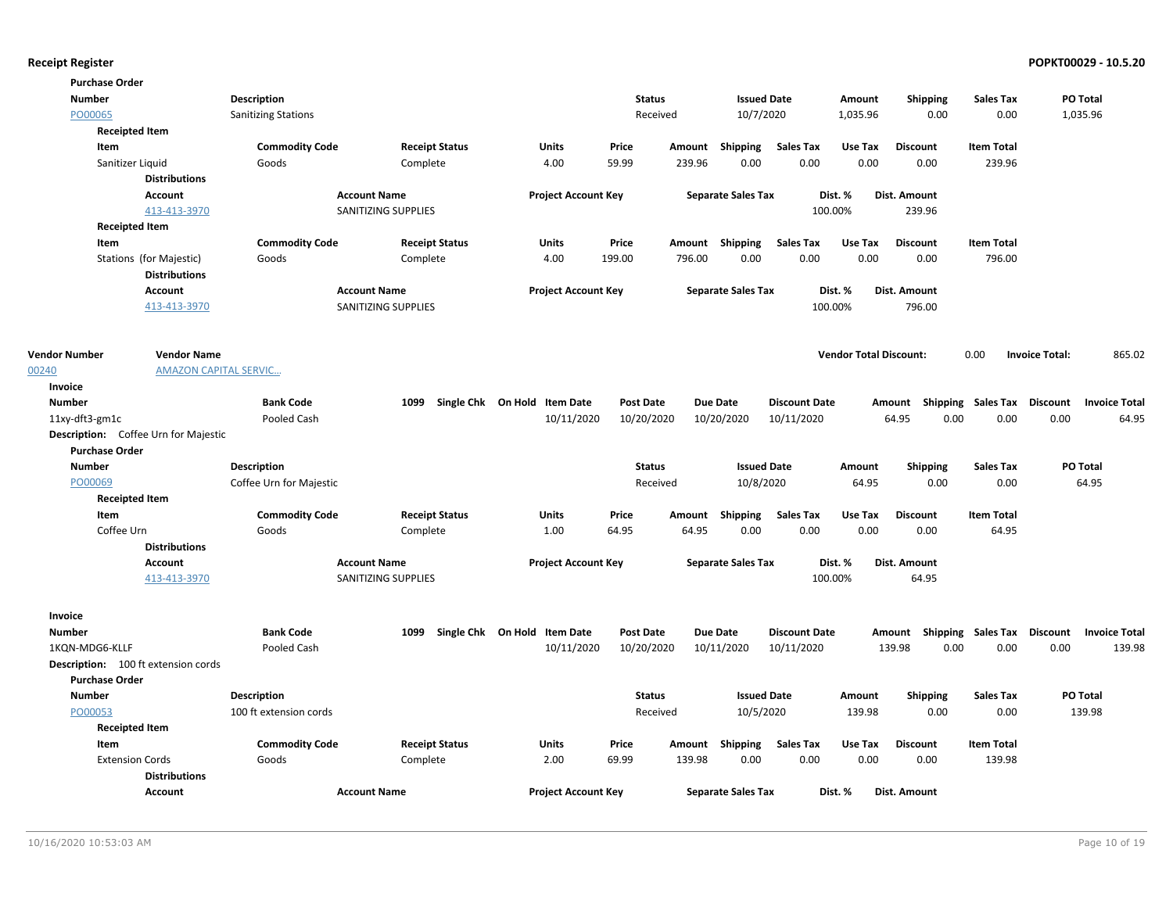| <b>Purchase Order</b>                       |                              |                            |                       |                              |                  |        |                           |                      |                               |                                    |                   |                       |                           |
|---------------------------------------------|------------------------------|----------------------------|-----------------------|------------------------------|------------------|--------|---------------------------|----------------------|-------------------------------|------------------------------------|-------------------|-----------------------|---------------------------|
| <b>Number</b>                               |                              | <b>Description</b>         |                       |                              | <b>Status</b>    |        | <b>Issued Date</b>        |                      | Amount                        | <b>Shipping</b>                    | <b>Sales Tax</b>  |                       | PO Total                  |
| PO00065                                     |                              | <b>Sanitizing Stations</b> |                       |                              | Received         |        | 10/7/2020                 |                      | 1,035.96                      | 0.00                               | 0.00              |                       | 1,035.96                  |
| <b>Receipted Item</b>                       |                              |                            |                       |                              |                  |        |                           |                      |                               |                                    |                   |                       |                           |
| Item                                        |                              | <b>Commodity Code</b>      | <b>Receipt Status</b> | Units                        | Price            | Amount | Shipping                  | <b>Sales Tax</b>     | Use Tax                       | <b>Discount</b>                    | <b>Item Total</b> |                       |                           |
| Sanitizer Liquid                            |                              | Goods                      | Complete              | 4.00                         | 59.99            | 239.96 | 0.00                      | 0.00                 | 0.00                          | 0.00                               | 239.96            |                       |                           |
|                                             | <b>Distributions</b>         |                            |                       |                              |                  |        |                           |                      |                               |                                    |                   |                       |                           |
|                                             | <b>Account</b>               |                            | <b>Account Name</b>   | <b>Project Account Key</b>   |                  |        | <b>Separate Sales Tax</b> |                      | Dist. %                       | Dist. Amount                       |                   |                       |                           |
|                                             | 413-413-3970                 |                            | SANITIZING SUPPLIES   |                              |                  |        |                           |                      | 100.00%                       | 239.96                             |                   |                       |                           |
| <b>Receipted Item</b>                       |                              |                            |                       |                              |                  |        |                           |                      |                               |                                    |                   |                       |                           |
| Item                                        |                              | <b>Commodity Code</b>      | <b>Receipt Status</b> | Units                        | Price            |        | Amount Shipping           | <b>Sales Tax</b>     | Use Tax                       | <b>Discount</b>                    | <b>Item Total</b> |                       |                           |
|                                             | Stations (for Majestic)      | Goods                      | Complete              | 4.00                         | 199.00           | 796.00 | 0.00                      | 0.00                 | 0.00                          | 0.00                               | 796.00            |                       |                           |
|                                             | <b>Distributions</b>         |                            |                       |                              |                  |        |                           |                      |                               |                                    |                   |                       |                           |
|                                             | Account                      |                            | <b>Account Name</b>   | <b>Project Account Key</b>   |                  |        | <b>Separate Sales Tax</b> |                      | Dist. %                       | Dist. Amount                       |                   |                       |                           |
|                                             | 413-413-3970                 |                            | SANITIZING SUPPLIES   |                              |                  |        |                           |                      | 100.00%                       | 796.00                             |                   |                       |                           |
|                                             |                              |                            |                       |                              |                  |        |                           |                      |                               |                                    |                   |                       |                           |
| <b>Vendor Number</b>                        | <b>Vendor Name</b>           |                            |                       |                              |                  |        |                           |                      | <b>Vendor Total Discount:</b> |                                    | 0.00              | <b>Invoice Total:</b> | 865.02                    |
| 00240                                       | <b>AMAZON CAPITAL SERVIC</b> |                            |                       |                              |                  |        |                           |                      |                               |                                    |                   |                       |                           |
| Invoice                                     |                              |                            |                       |                              |                  |        |                           |                      |                               |                                    |                   |                       |                           |
| <b>Number</b>                               |                              | <b>Bank Code</b>           | 1099                  | Single Chk On Hold Item Date | <b>Post Date</b> |        | <b>Due Date</b>           | <b>Discount Date</b> |                               | Amount Shipping Sales Tax Discount |                   |                       | <b>Invoice Total</b>      |
| 11xy-dft3-gm1c                              |                              | Pooled Cash                |                       | 10/11/2020                   | 10/20/2020       |        | 10/20/2020                | 10/11/2020           |                               | 64.95<br>0.00                      | 0.00              | 0.00                  | 64.95                     |
| <b>Description:</b> Coffee Urn for Majestic |                              |                            |                       |                              |                  |        |                           |                      |                               |                                    |                   |                       |                           |
| <b>Purchase Order</b>                       |                              |                            |                       |                              |                  |        |                           |                      |                               |                                    |                   |                       |                           |
| <b>Number</b>                               |                              | Description                |                       |                              | <b>Status</b>    |        | <b>Issued Date</b>        |                      | Amount                        | <b>Shipping</b>                    | Sales Tax         |                       | PO Total                  |
| PO00069                                     |                              | Coffee Urn for Majestic    |                       |                              | Received         |        | 10/8/2020                 |                      | 64.95                         | 0.00                               | 0.00              |                       | 64.95                     |
| <b>Receipted Item</b>                       |                              |                            |                       |                              |                  |        |                           |                      |                               |                                    |                   |                       |                           |
| Item                                        |                              | <b>Commodity Code</b>      | <b>Receipt Status</b> | <b>Units</b>                 | Price            | Amount | Shipping                  | <b>Sales Tax</b>     | Use Tax                       | <b>Discount</b>                    | <b>Item Total</b> |                       |                           |
| Coffee Urn                                  |                              | Goods                      | Complete              | 1.00                         | 64.95            | 64.95  | 0.00                      | 0.00                 | 0.00                          | 0.00                               | 64.95             |                       |                           |
|                                             | <b>Distributions</b>         |                            |                       |                              |                  |        |                           |                      |                               |                                    |                   |                       |                           |
|                                             | <b>Account</b>               |                            | <b>Account Name</b>   | <b>Project Account Key</b>   |                  |        | <b>Separate Sales Tax</b> |                      | Dist. %                       | Dist. Amount                       |                   |                       |                           |
|                                             | 413-413-3970                 |                            | SANITIZING SUPPLIES   |                              |                  |        |                           |                      | 100.00%                       | 64.95                              |                   |                       |                           |
|                                             |                              |                            |                       |                              |                  |        |                           |                      |                               |                                    |                   |                       |                           |
| Invoice                                     |                              |                            |                       |                              |                  |        |                           |                      |                               |                                    |                   |                       |                           |
| <b>Number</b>                               |                              | <b>Bank Code</b>           | 1099                  | Single Chk On Hold Item Date | <b>Post Date</b> |        | <b>Due Date</b>           | <b>Discount Date</b> |                               | Amount Shipping Sales Tax          |                   | Discount              | <b>Invoice Total</b>      |
| 1KON-MDG6-KLLF                              |                              | Pooled Cash                |                       | 10/11/2020                   | 10/20/2020       |        | 10/11/2020                | 10/11/2020           |                               | 139.98<br>0.00                     | 0.00              | 0.00                  | 139.98                    |
| <b>Description:</b> 100 ft extension cords  |                              |                            |                       |                              |                  |        |                           |                      |                               |                                    |                   |                       |                           |
| <b>Purchase Order</b>                       |                              |                            |                       |                              |                  |        |                           |                      |                               |                                    |                   |                       |                           |
| <b>Number</b>                               |                              | <b>Description</b>         |                       |                              | <b>Status</b>    |        | <b>Issued Date</b>        |                      | Amount                        | <b>Shipping</b><br>0.00            | <b>Sales Tax</b>  |                       | <b>PO Total</b><br>139.98 |
| PO00053                                     |                              | 100 ft extension cords     |                       |                              | Received         |        | 10/5/2020                 |                      | 139.98                        |                                    | 0.00              |                       |                           |
| <b>Receipted Item</b><br>Item               |                              | <b>Commodity Code</b>      | <b>Receipt Status</b> | <b>Units</b>                 | Price            | Amount | <b>Shipping</b>           | <b>Sales Tax</b>     | Use Tax                       | <b>Discount</b>                    | <b>Item Total</b> |                       |                           |
| <b>Extension Cords</b>                      |                              | Goods                      | Complete              | 2.00                         | 69.99            | 139.98 | 0.00                      | 0.00                 | 0.00                          | 0.00                               | 139.98            |                       |                           |
|                                             | <b>Distributions</b>         |                            |                       |                              |                  |        |                           |                      |                               |                                    |                   |                       |                           |
|                                             | <b>Account</b>               |                            | <b>Account Name</b>   | <b>Project Account Key</b>   |                  |        | <b>Separate Sales Tax</b> |                      | Dist. %                       | Dist. Amount                       |                   |                       |                           |
|                                             |                              |                            |                       |                              |                  |        |                           |                      |                               |                                    |                   |                       |                           |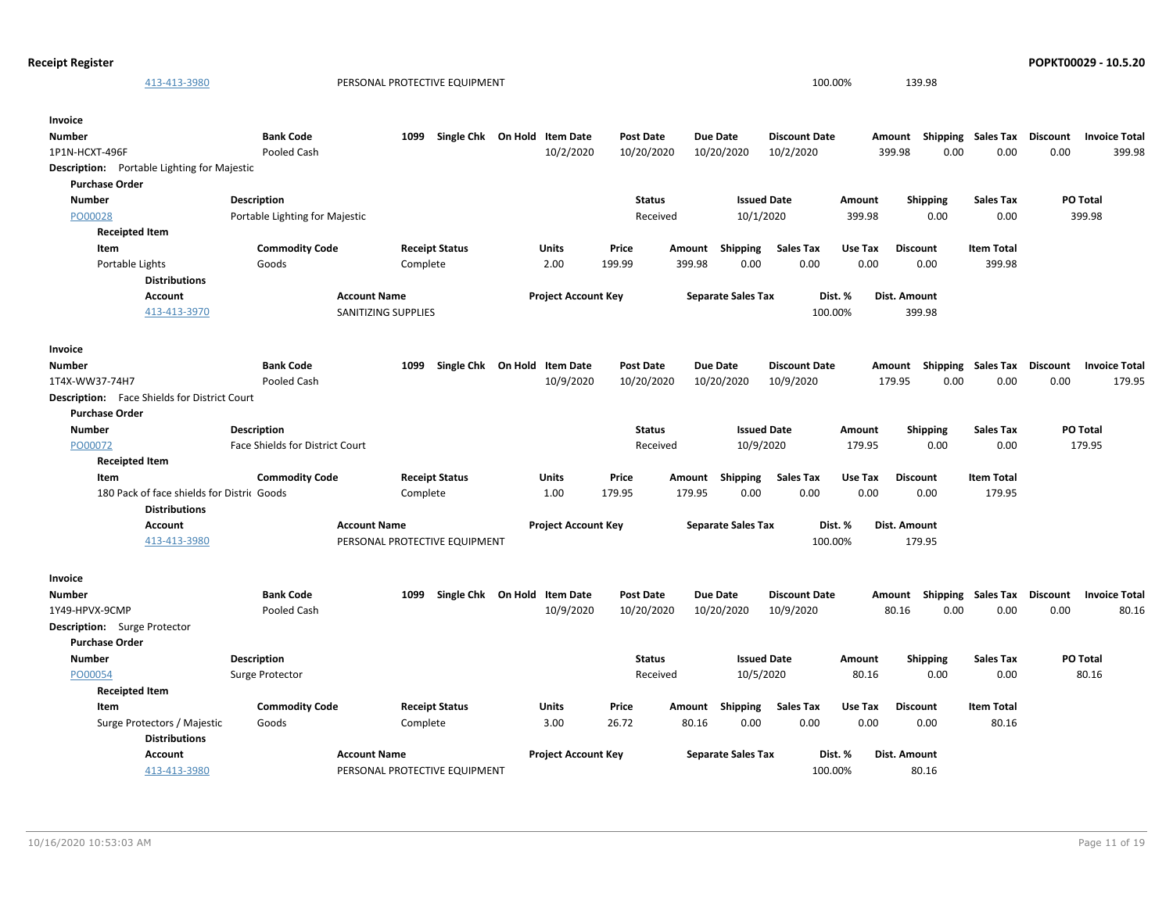| <b>Receipt Register</b>                                                     |                                 |                               |                              |                  |                           |                      |         |                                    |                   |                 | POPKT00029 - 10.5.20 |
|-----------------------------------------------------------------------------|---------------------------------|-------------------------------|------------------------------|------------------|---------------------------|----------------------|---------|------------------------------------|-------------------|-----------------|----------------------|
| 413-413-3980                                                                |                                 | PERSONAL PROTECTIVE EQUIPMENT |                              |                  |                           | 100.00%              |         | 139.98                             |                   |                 |                      |
| Invoice                                                                     |                                 |                               |                              |                  |                           |                      |         |                                    |                   |                 |                      |
| <b>Number</b>                                                               | <b>Bank Code</b>                | 1099                          | Single Chk On Hold Item Date | <b>Post Date</b> | <b>Due Date</b>           | <b>Discount Date</b> |         | Amount Shipping Sales Tax          |                   | Discount        | <b>Invoice Total</b> |
| 1P1N-HCXT-496F                                                              | Pooled Cash                     |                               | 10/2/2020                    | 10/20/2020       | 10/20/2020                | 10/2/2020            | 399.98  | 0.00                               | 0.00              | 0.00            | 399.98               |
| <b>Description:</b> Portable Lighting for Majestic<br><b>Purchase Order</b> |                                 |                               |                              |                  |                           |                      |         |                                    |                   |                 |                      |
| <b>Number</b>                                                               | <b>Description</b>              |                               |                              | <b>Status</b>    |                           | <b>Issued Date</b>   | Amount  | <b>Shipping</b>                    | <b>Sales Tax</b>  |                 | <b>PO Total</b>      |
| PO00028                                                                     | Portable Lighting for Majestic  |                               |                              | Received         |                           | 10/1/2020            | 399.98  | 0.00                               | 0.00              |                 | 399.98               |
| <b>Receipted Item</b>                                                       |                                 |                               |                              |                  |                           |                      |         |                                    |                   |                 |                      |
| Item                                                                        | <b>Commodity Code</b>           | <b>Receipt Status</b>         | Units                        | Price            | Amount Shipping           | Sales Tax            | Use Tax | <b>Discount</b>                    | <b>Item Total</b> |                 |                      |
| Portable Lights                                                             | Goods                           | Complete                      | 2.00                         | 199.99           | 399.98<br>0.00            | 0.00                 | 0.00    | 0.00                               | 399.98            |                 |                      |
| <b>Distributions</b>                                                        |                                 |                               |                              |                  |                           |                      |         |                                    |                   |                 |                      |
| <b>Account</b>                                                              | <b>Account Name</b>             |                               | <b>Project Account Key</b>   |                  | <b>Separate Sales Tax</b> |                      | Dist. % | <b>Dist. Amount</b>                |                   |                 |                      |
| 413-413-3970                                                                |                                 | SANITIZING SUPPLIES           |                              |                  |                           | 100.00%              |         | 399.98                             |                   |                 |                      |
| Invoice                                                                     |                                 |                               |                              |                  |                           |                      |         |                                    |                   |                 |                      |
| <b>Number</b>                                                               | <b>Bank Code</b>                | 1099                          | Single Chk On Hold Item Date | <b>Post Date</b> | <b>Due Date</b>           | <b>Discount Date</b> |         | Amount Shipping Sales Tax Discount |                   |                 | <b>Invoice Total</b> |
| 1T4X-WW37-74H7                                                              | Pooled Cash                     |                               | 10/9/2020                    | 10/20/2020       | 10/20/2020                | 10/9/2020            | 179.95  | 0.00                               | 0.00              | 0.00            | 179.95               |
| <b>Description:</b> Face Shields for District Court                         |                                 |                               |                              |                  |                           |                      |         |                                    |                   |                 |                      |
| <b>Purchase Order</b>                                                       |                                 |                               |                              |                  |                           |                      |         |                                    |                   |                 |                      |
| <b>Number</b>                                                               | <b>Description</b>              |                               |                              | <b>Status</b>    |                           | <b>Issued Date</b>   | Amount  | <b>Shipping</b>                    | <b>Sales Tax</b>  | PO Total        |                      |
| PO00072                                                                     | Face Shields for District Court |                               |                              | Received         |                           | 10/9/2020            | 179.95  | 0.00                               | 0.00              |                 | 179.95               |
| <b>Receipted Item</b>                                                       |                                 |                               |                              |                  |                           |                      |         |                                    |                   |                 |                      |
| Item                                                                        | <b>Commodity Code</b>           | <b>Receipt Status</b>         | Units                        | Price            | Amount Shipping           | Sales Tax            | Use Tax | <b>Discount</b>                    | <b>Item Total</b> |                 |                      |
| 180 Pack of face shields for Distric Goods                                  |                                 | Complete                      | 1.00                         | 179.95           | 179.95<br>0.00            | 0.00                 | 0.00    | 0.00                               | 179.95            |                 |                      |
| <b>Distributions</b>                                                        |                                 |                               |                              |                  |                           |                      |         |                                    |                   |                 |                      |
| <b>Account</b>                                                              | <b>Account Name</b>             |                               | <b>Project Account Key</b>   |                  | <b>Separate Sales Tax</b> |                      | Dist. % | <b>Dist. Amount</b>                |                   |                 |                      |
| 413-413-3980                                                                |                                 | PERSONAL PROTECTIVE EQUIPMENT |                              |                  |                           | 100.00%              |         | 179.95                             |                   |                 |                      |
| Invoice                                                                     |                                 |                               |                              |                  |                           |                      |         |                                    |                   |                 |                      |
| <b>Number</b>                                                               | <b>Bank Code</b>                | 1099                          | Single Chk On Hold Item Date | <b>Post Date</b> | <b>Due Date</b>           | <b>Discount Date</b> |         | Amount Shipping Sales Tax          |                   | <b>Discount</b> | <b>Invoice Total</b> |
| 1Y49-HPVX-9CMP                                                              | Pooled Cash                     |                               | 10/9/2020                    | 10/20/2020       | 10/20/2020                | 10/9/2020            | 80.16   | 0.00                               | 0.00              | 0.00            | 80.16                |
| <b>Description:</b> Surge Protector                                         |                                 |                               |                              |                  |                           |                      |         |                                    |                   |                 |                      |
| <b>Purchase Order</b>                                                       |                                 |                               |                              |                  |                           |                      |         |                                    |                   |                 |                      |
| <b>Number</b>                                                               | <b>Description</b>              |                               |                              | <b>Status</b>    |                           | <b>Issued Date</b>   | Amount  | <b>Shipping</b>                    | <b>Sales Tax</b>  |                 | PO Total             |
| PO00054                                                                     | Surge Protector                 |                               |                              | Received         |                           | 10/5/2020            | 80.16   | 0.00                               | 0.00              |                 | 80.16                |
| <b>Receipted Item</b>                                                       |                                 |                               |                              |                  |                           |                      |         |                                    |                   |                 |                      |
| Item                                                                        | <b>Commodity Code</b>           | <b>Receipt Status</b>         | Units                        | Price            | Shipping<br>Amount        | <b>Sales Tax</b>     | Use Tax | <b>Discount</b>                    | <b>Item Total</b> |                 |                      |
| Surge Protectors / Majestic                                                 | Goods                           | Complete                      | 3.00                         | 26.72            | 0.00<br>80.16             | 0.00                 | 0.00    | 0.00                               | 80.16             |                 |                      |
| <b>Distributions</b>                                                        |                                 |                               |                              |                  |                           |                      |         |                                    |                   |                 |                      |
| Account                                                                     | <b>Account Name</b>             |                               | <b>Project Account Key</b>   |                  | <b>Separate Sales Tax</b> |                      | Dist. % | <b>Dist. Amount</b>                |                   |                 |                      |
| 413-413-3980                                                                |                                 | PERSONAL PROTECTIVE EQUIPMENT |                              |                  |                           | 100.00%              |         | 80.16                              |                   |                 |                      |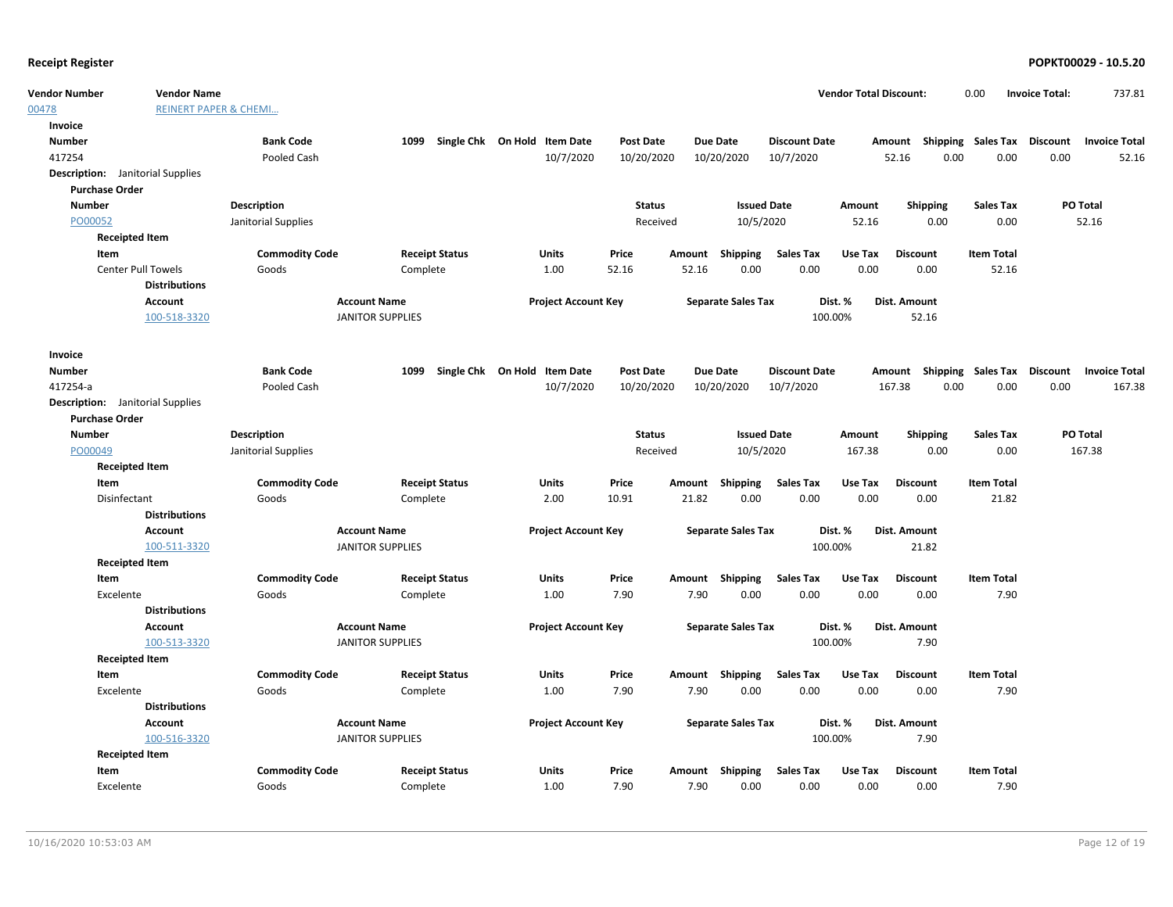00478

| Vendor Number                           | <b>Vendor Name</b>               |                       |                         |                                   |                            |                  |        |                           |                      | <b>Vendor Total Discount:</b> |                 |      | 0.00                      | <b>Invoice Total:</b>              | 737.81               |
|-----------------------------------------|----------------------------------|-----------------------|-------------------------|-----------------------------------|----------------------------|------------------|--------|---------------------------|----------------------|-------------------------------|-----------------|------|---------------------------|------------------------------------|----------------------|
| 00478                                   | <b>REINERT PAPER &amp; CHEMI</b> |                       |                         |                                   |                            |                  |        |                           |                      |                               |                 |      |                           |                                    |                      |
| Invoice                                 |                                  |                       |                         |                                   |                            |                  |        |                           |                      |                               |                 |      |                           |                                    |                      |
| Number                                  |                                  | <b>Bank Code</b>      |                         | 1099 Single Chk On Hold Item Date |                            | <b>Post Date</b> |        | Due Date                  | <b>Discount Date</b> |                               |                 |      |                           | Amount Shipping Sales Tax Discount | <b>Invoice Total</b> |
| 417254                                  |                                  | Pooled Cash           |                         |                                   | 10/7/2020                  | 10/20/2020       |        | 10/20/2020                | 10/7/2020            |                               | 52.16           | 0.00 | 0.00                      | 0.00                               | 52.16                |
| <b>Description:</b> Janitorial Supplies |                                  |                       |                         |                                   |                            |                  |        |                           |                      |                               |                 |      |                           |                                    |                      |
| <b>Purchase Order</b>                   |                                  |                       |                         |                                   |                            |                  |        |                           |                      |                               |                 |      |                           |                                    |                      |
| <b>Number</b>                           |                                  | <b>Description</b>    |                         |                                   |                            | <b>Status</b>    |        | <b>Issued Date</b>        |                      | Amount                        | <b>Shipping</b> |      | <b>Sales Tax</b>          |                                    | PO Total             |
| PO00052                                 |                                  | Janitorial Supplies   |                         |                                   |                            | Received         |        | 10/5/2020                 |                      | 52.16                         | 0.00            |      | 0.00                      |                                    | 52.16                |
|                                         | <b>Receipted Item</b>            |                       |                         |                                   |                            |                  |        |                           |                      |                               |                 |      |                           |                                    |                      |
| Item                                    |                                  | <b>Commodity Code</b> |                         | <b>Receipt Status</b>             | Units                      | Price            | Amount | <b>Shipping</b>           | <b>Sales Tax</b>     | Use Tax                       | <b>Discount</b> |      | <b>Item Total</b>         |                                    |                      |
|                                         | <b>Center Pull Towels</b>        | Goods                 | Complete                |                                   | 1.00                       | 52.16            | 52.16  | 0.00                      | 0.00                 | 0.00                          | 0.00            |      | 52.16                     |                                    |                      |
|                                         | <b>Distributions</b>             |                       |                         |                                   |                            |                  |        |                           |                      |                               |                 |      |                           |                                    |                      |
|                                         | <b>Account</b>                   |                       | <b>Account Name</b>     |                                   | <b>Project Account Key</b> |                  |        | <b>Separate Sales Tax</b> |                      | Dist. %                       | Dist. Amount    |      |                           |                                    |                      |
|                                         | 100-518-3320                     |                       | <b>JANITOR SUPPLIES</b> |                                   |                            |                  |        |                           | 100.00%              |                               | 52.16           |      |                           |                                    |                      |
|                                         |                                  |                       |                         |                                   |                            |                  |        |                           |                      |                               |                 |      |                           |                                    |                      |
| Invoice                                 |                                  |                       |                         |                                   |                            |                  |        |                           |                      |                               |                 |      |                           |                                    |                      |
| <b>Number</b>                           |                                  | <b>Bank Code</b>      | 1099                    | Single Chk On Hold                | <b>Item Date</b>           | <b>Post Date</b> |        | <b>Due Date</b>           | <b>Discount Date</b> |                               | Amount          |      | <b>Shipping Sales Tax</b> | Discount                           | <b>Invoice Total</b> |
| 417254-a                                |                                  | Pooled Cash           |                         |                                   | 10/7/2020                  | 10/20/2020       |        | 10/20/2020                | 10/7/2020            |                               | 167.38          | 0.00 | 0.00                      | 0.00                               | 167.38               |
| <b>Description:</b> Janitorial Supplies |                                  |                       |                         |                                   |                            |                  |        |                           |                      |                               |                 |      |                           |                                    |                      |
| <b>Purchase Order</b>                   |                                  |                       |                         |                                   |                            |                  |        |                           |                      |                               |                 |      |                           |                                    |                      |
| <b>Number</b>                           |                                  | Description           |                         |                                   |                            | <b>Status</b>    |        | <b>Issued Date</b>        |                      | Amount                        | Shipping        |      | <b>Sales Tax</b>          |                                    | PO Total             |
| PO00049                                 |                                  | Janitorial Supplies   |                         |                                   |                            | Received         |        | 10/5/2020                 |                      | 167.38                        | 0.00            |      | 0.00                      |                                    | 167.38               |
|                                         | <b>Receipted Item</b>            |                       |                         |                                   |                            |                  |        |                           |                      |                               |                 |      |                           |                                    |                      |
| Item                                    |                                  | <b>Commodity Code</b> |                         | <b>Receipt Status</b>             | <b>Units</b>               | Price            | Amount | Shipping                  | <b>Sales Tax</b>     | Use Tax                       | <b>Discount</b> |      | <b>Item Total</b>         |                                    |                      |
| Disinfectant                            |                                  | Goods                 | Complete                |                                   | 2.00                       | 10.91            | 21.82  | 0.00                      | 0.00                 | 0.00                          | 0.00            |      | 21.82                     |                                    |                      |
|                                         | <b>Distributions</b>             |                       |                         |                                   |                            |                  |        |                           |                      |                               |                 |      |                           |                                    |                      |
|                                         | Account                          |                       | <b>Account Name</b>     |                                   | <b>Project Account Key</b> |                  |        | <b>Separate Sales Tax</b> |                      | Dist. %                       | Dist. Amount    |      |                           |                                    |                      |
|                                         | 100-511-3320                     |                       | <b>JANITOR SUPPLIES</b> |                                   |                            |                  |        |                           | 100.00%              |                               | 21.82           |      |                           |                                    |                      |
|                                         | <b>Receipted Item</b>            |                       |                         |                                   |                            |                  |        |                           |                      |                               |                 |      |                           |                                    |                      |
| Item                                    |                                  | <b>Commodity Code</b> |                         | <b>Receipt Status</b>             | Units                      | Price            |        | Amount Shipping           | <b>Sales Tax</b>     | Use Tax                       | <b>Discount</b> |      | <b>Item Total</b>         |                                    |                      |
| Excelente                               |                                  | Goods                 | Complete                |                                   | 1.00                       | 7.90             | 7.90   | 0.00                      | 0.00                 | 0.00                          | 0.00            |      | 7.90                      |                                    |                      |
|                                         | <b>Distributions</b>             |                       |                         |                                   |                            |                  |        |                           |                      |                               |                 |      |                           |                                    |                      |
|                                         | Account                          |                       | <b>Account Name</b>     |                                   | <b>Project Account Key</b> |                  |        | <b>Separate Sales Tax</b> |                      | Dist. %                       | Dist. Amount    |      |                           |                                    |                      |
|                                         | 100-513-3320                     |                       | <b>JANITOR SUPPLIES</b> |                                   |                            |                  |        |                           | 100.00%              |                               | 7.90            |      |                           |                                    |                      |
|                                         | <b>Receipted Item</b>            |                       |                         |                                   |                            |                  |        |                           |                      |                               |                 |      |                           |                                    |                      |
| Item                                    |                                  | <b>Commodity Code</b> |                         | <b>Receipt Status</b>             | <b>Units</b>               | Price            |        | Amount Shipping           | <b>Sales Tax</b>     | Use Tax                       | <b>Discount</b> |      | <b>Item Total</b>         |                                    |                      |
| Excelente                               |                                  | Goods                 | Complete                |                                   | 1.00                       | 7.90             | 7.90   | 0.00                      | 0.00                 | 0.00                          | 0.00            |      | 7.90                      |                                    |                      |
|                                         | <b>Distributions</b>             |                       |                         |                                   |                            |                  |        |                           |                      |                               |                 |      |                           |                                    |                      |
|                                         | Account                          |                       | <b>Account Name</b>     |                                   | <b>Project Account Key</b> |                  |        | <b>Separate Sales Tax</b> |                      | Dist. %                       | Dist. Amount    |      |                           |                                    |                      |
|                                         | 100-516-3320                     |                       | <b>JANITOR SUPPLIES</b> |                                   |                            |                  |        |                           | 100.00%              |                               | 7.90            |      |                           |                                    |                      |
|                                         | <b>Receipted Item</b>            |                       |                         |                                   |                            |                  |        |                           |                      |                               |                 |      |                           |                                    |                      |
| Item                                    |                                  | <b>Commodity Code</b> |                         | <b>Receipt Status</b>             | <b>Units</b>               | Price            |        | Amount Shipping           | <b>Sales Tax</b>     | Use Tax                       | <b>Discount</b> |      | <b>Item Total</b>         |                                    |                      |
| Excelente                               |                                  | Goods                 | Complete                |                                   | 1.00                       | 7.90             | 7.90   | 0.00                      | 0.00                 | 0.00                          | 0.00            |      | 7.90                      |                                    |                      |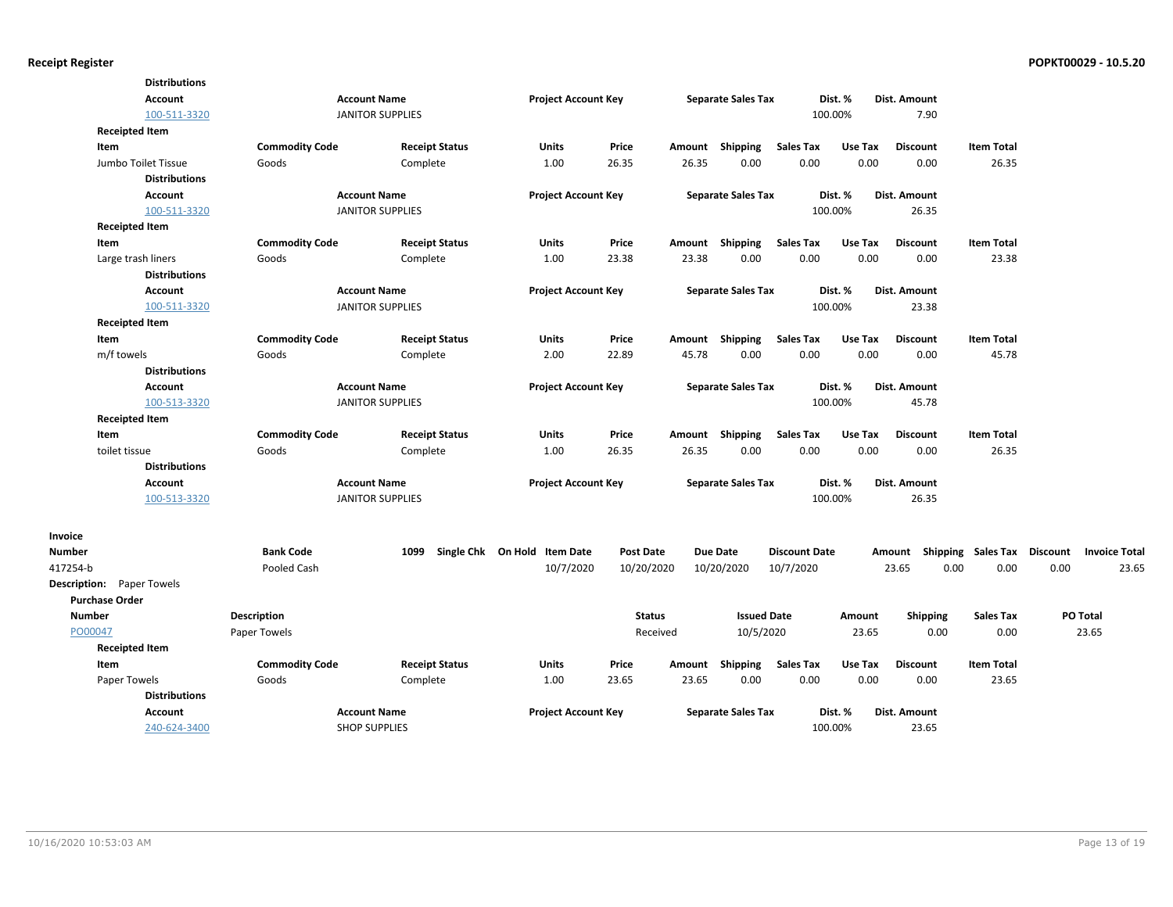|                                  | <b>Distributions</b> |                       |                         |                              |                  |        |                           |                      |         |                     |                   |                 |                      |
|----------------------------------|----------------------|-----------------------|-------------------------|------------------------------|------------------|--------|---------------------------|----------------------|---------|---------------------|-------------------|-----------------|----------------------|
|                                  | <b>Account</b>       |                       | <b>Account Name</b>     | <b>Project Account Key</b>   |                  |        | <b>Separate Sales Tax</b> |                      | Dist. % | Dist. Amount        |                   |                 |                      |
|                                  | 100-511-3320         |                       | <b>JANITOR SUPPLIES</b> |                              |                  |        |                           |                      | 100.00% | 7.90                |                   |                 |                      |
| <b>Receipted Item</b>            |                      |                       |                         |                              |                  |        |                           |                      |         |                     |                   |                 |                      |
| Item                             |                      | <b>Commodity Code</b> | <b>Receipt Status</b>   | <b>Units</b>                 | Price            | Amount | Shipping                  | <b>Sales Tax</b>     | Use Tax | <b>Discount</b>     | <b>Item Total</b> |                 |                      |
| Jumbo Toilet Tissue              |                      | Goods                 | Complete                | 1.00                         | 26.35            | 26.35  | 0.00                      | 0.00                 | 0.00    | 0.00                | 26.35             |                 |                      |
|                                  | <b>Distributions</b> |                       |                         |                              |                  |        |                           |                      |         |                     |                   |                 |                      |
|                                  | Account              |                       | <b>Account Name</b>     | <b>Project Account Key</b>   |                  |        | <b>Separate Sales Tax</b> |                      | Dist. % | Dist. Amount        |                   |                 |                      |
|                                  | 100-511-3320         |                       | <b>JANITOR SUPPLIES</b> |                              |                  |        |                           |                      | 100.00% | 26.35               |                   |                 |                      |
| <b>Receipted Item</b>            |                      |                       |                         |                              |                  |        |                           |                      |         |                     |                   |                 |                      |
| Item                             |                      | <b>Commodity Code</b> | <b>Receipt Status</b>   | Units                        | Price            | Amount | Shipping                  | <b>Sales Tax</b>     | Use Tax | <b>Discount</b>     | <b>Item Total</b> |                 |                      |
| Large trash liners               |                      | Goods                 | Complete                | 1.00                         | 23.38            | 23.38  | 0.00                      | 0.00                 | 0.00    | 0.00                | 23.38             |                 |                      |
|                                  | <b>Distributions</b> |                       |                         |                              |                  |        |                           |                      |         |                     |                   |                 |                      |
|                                  | <b>Account</b>       |                       | <b>Account Name</b>     | <b>Project Account Key</b>   |                  |        | <b>Separate Sales Tax</b> |                      | Dist. % | <b>Dist. Amount</b> |                   |                 |                      |
|                                  | 100-511-3320         |                       | <b>JANITOR SUPPLIES</b> |                              |                  |        |                           |                      | 100.00% | 23.38               |                   |                 |                      |
| <b>Receipted Item</b>            |                      |                       |                         |                              |                  |        |                           |                      |         |                     |                   |                 |                      |
| Item                             |                      | <b>Commodity Code</b> | <b>Receipt Status</b>   | Units                        | Price            | Amount | Shipping                  | <b>Sales Tax</b>     | Use Tax | <b>Discount</b>     | <b>Item Total</b> |                 |                      |
| m/f towels                       |                      | Goods                 | Complete                | 2.00                         | 22.89            | 45.78  | 0.00                      | 0.00                 | 0.00    | 0.00                | 45.78             |                 |                      |
|                                  | <b>Distributions</b> |                       |                         |                              |                  |        |                           |                      |         |                     |                   |                 |                      |
|                                  | <b>Account</b>       |                       | <b>Account Name</b>     | <b>Project Account Key</b>   |                  |        | <b>Separate Sales Tax</b> |                      | Dist. % | Dist. Amount        |                   |                 |                      |
|                                  | 100-513-3320         |                       | <b>JANITOR SUPPLIES</b> |                              |                  |        |                           |                      | 100.00% | 45.78               |                   |                 |                      |
| <b>Receipted Item</b>            |                      |                       |                         |                              |                  |        |                           |                      |         |                     |                   |                 |                      |
| Item                             |                      | <b>Commodity Code</b> | <b>Receipt Status</b>   | Units                        | Price            |        | Amount Shipping           | <b>Sales Tax</b>     | Use Tax | <b>Discount</b>     | <b>Item Total</b> |                 |                      |
| toilet tissue                    |                      | Goods                 | Complete                | 1.00                         | 26.35            | 26.35  | 0.00                      | 0.00                 | 0.00    | 0.00                | 26.35             |                 |                      |
|                                  | <b>Distributions</b> |                       |                         |                              |                  |        |                           |                      |         |                     |                   |                 |                      |
|                                  | <b>Account</b>       |                       | <b>Account Name</b>     | <b>Project Account Key</b>   |                  |        | <b>Separate Sales Tax</b> |                      | Dist. % | <b>Dist. Amount</b> |                   |                 |                      |
|                                  | 100-513-3320         |                       | <b>JANITOR SUPPLIES</b> |                              |                  |        |                           |                      | 100.00% | 26.35               |                   |                 |                      |
| Invoice                          |                      |                       |                         |                              |                  |        |                           |                      |         |                     |                   |                 |                      |
| <b>Number</b>                    |                      | <b>Bank Code</b>      | 1099                    | Single Chk On Hold Item Date | <b>Post Date</b> |        | <b>Due Date</b>           | <b>Discount Date</b> |         | Shipping<br>Amount  | Sales Tax         | <b>Discount</b> | <b>Invoice Total</b> |
| 417254-b                         |                      | Pooled Cash           |                         | 10/7/2020                    | 10/20/2020       |        | 10/20/2020                | 10/7/2020            |         | 23.65               | 0.00<br>0.00      | 0.00            | 23.65                |
| <b>Description:</b> Paper Towels |                      |                       |                         |                              |                  |        |                           |                      |         |                     |                   |                 |                      |
| <b>Purchase Order</b>            |                      |                       |                         |                              |                  |        |                           |                      |         |                     |                   |                 |                      |
| <b>Number</b>                    | <b>Description</b>   |                       |                         |                              | <b>Status</b>    |        | <b>Issued Date</b>        |                      | Amount  | Shipping            | <b>Sales Tax</b>  |                 | PO Total             |
| PO00047                          | Paper Towels         |                       |                         |                              | Received         |        | 10/5/2020                 |                      | 23.65   | 0.00                | 0.00              |                 | 23.65                |
| <b>Receipted Item</b>            |                      |                       |                         |                              |                  |        |                           |                      |         |                     |                   |                 |                      |
| Item                             |                      | <b>Commodity Code</b> | <b>Receipt Status</b>   | Units                        | Price            | Amount | Shipping                  | <b>Sales Tax</b>     | Use Tax | <b>Discount</b>     | <b>Item Total</b> |                 |                      |
| Paper Towels                     |                      | Goods                 | Complete                | 1.00                         | 23.65            | 23.65  | 0.00                      | 0.00                 | 0.00    | 0.00                | 23.65             |                 |                      |
|                                  | <b>Distributions</b> |                       |                         |                              |                  |        |                           |                      |         |                     |                   |                 |                      |
|                                  | Account              |                       | <b>Account Name</b>     | <b>Project Account Key</b>   |                  |        | <b>Separate Sales Tax</b> |                      | Dist. % | Dist. Amount        |                   |                 |                      |
|                                  | 240-624-3400         |                       | <b>SHOP SUPPLIES</b>    |                              |                  |        |                           |                      | 100.00% | 23.65               |                   |                 |                      |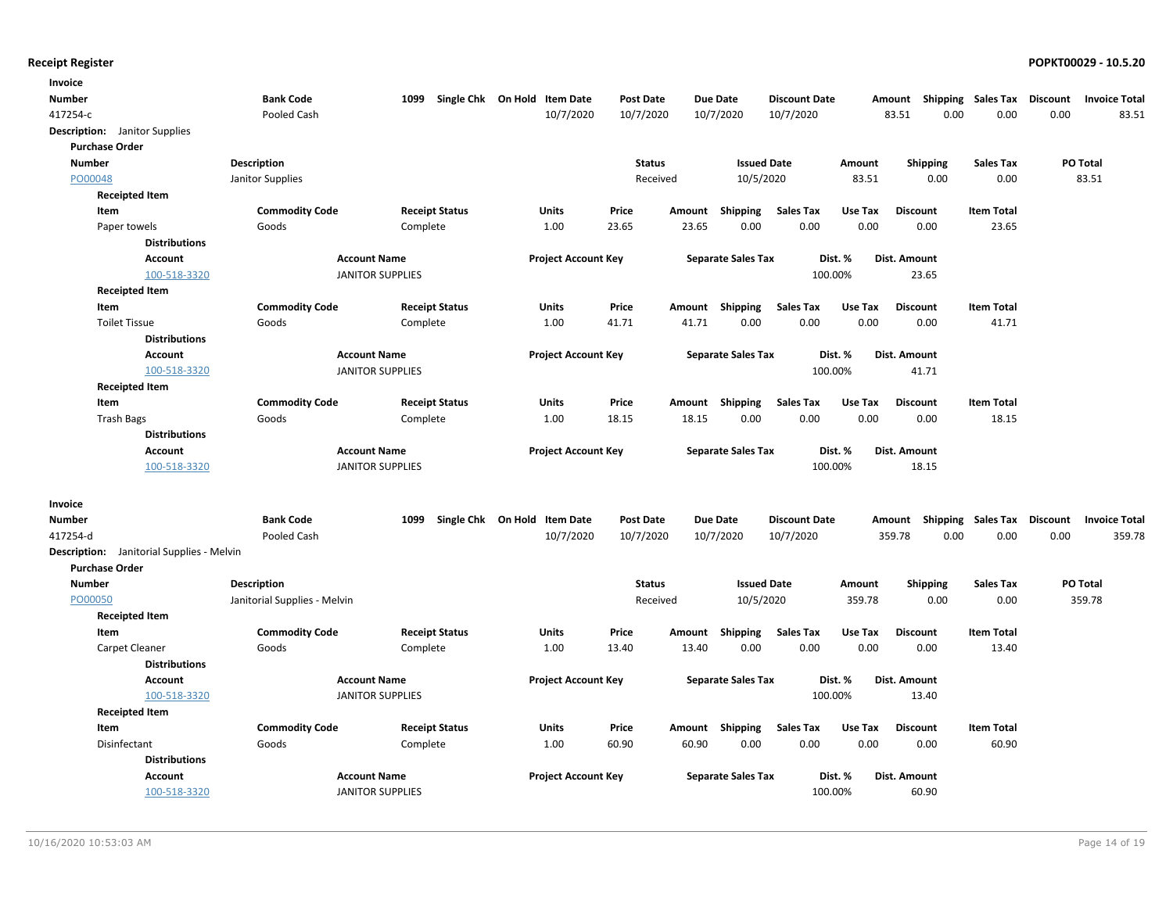| Invoice                                   |                              |                         |                              |                  |        |                           |                      |         |                           |                   |                 |                      |
|-------------------------------------------|------------------------------|-------------------------|------------------------------|------------------|--------|---------------------------|----------------------|---------|---------------------------|-------------------|-----------------|----------------------|
| Number                                    | <b>Bank Code</b>             | 1099                    | Single Chk On Hold Item Date | <b>Post Date</b> |        | <b>Due Date</b>           | <b>Discount Date</b> |         | Amount Shipping Sales Tax |                   | <b>Discount</b> | <b>Invoice Total</b> |
| 417254-c                                  | Pooled Cash                  |                         | 10/7/2020                    | 10/7/2020        |        | 10/7/2020                 | 10/7/2020            |         | 83.51<br>0.00             | 0.00              | 0.00            | 83.51                |
| <b>Description:</b> Janitor Supplies      |                              |                         |                              |                  |        |                           |                      |         |                           |                   |                 |                      |
| <b>Purchase Order</b>                     |                              |                         |                              |                  |        |                           |                      |         |                           |                   |                 |                      |
| <b>Number</b>                             | <b>Description</b>           |                         |                              | <b>Status</b>    |        | <b>Issued Date</b>        |                      | Amount  | <b>Shipping</b>           | <b>Sales Tax</b>  |                 | PO Total             |
| PO00048                                   | Janitor Supplies             |                         |                              | Received         |        | 10/5/2020                 |                      | 83.51   | 0.00                      | 0.00              |                 | 83.51                |
| <b>Receipted Item</b>                     |                              |                         |                              |                  |        |                           |                      |         |                           |                   |                 |                      |
| Item                                      | <b>Commodity Code</b>        | <b>Receipt Status</b>   | Units                        | Price            | Amount | <b>Shipping</b>           | <b>Sales Tax</b>     | Use Tax | <b>Discount</b>           | <b>Item Total</b> |                 |                      |
| Paper towels                              | Goods                        | Complete                | 1.00                         | 23.65            | 23.65  | 0.00                      | 0.00                 | 0.00    | 0.00                      | 23.65             |                 |                      |
| <b>Distributions</b>                      |                              |                         |                              |                  |        |                           |                      |         |                           |                   |                 |                      |
| <b>Account</b>                            |                              | <b>Account Name</b>     | <b>Project Account Key</b>   |                  |        | <b>Separate Sales Tax</b> |                      | Dist. % | Dist. Amount              |                   |                 |                      |
| 100-518-3320                              |                              | <b>JANITOR SUPPLIES</b> |                              |                  |        |                           | 100.00%              |         | 23.65                     |                   |                 |                      |
| <b>Receipted Item</b>                     |                              |                         |                              |                  |        |                           |                      |         |                           |                   |                 |                      |
| Item                                      | <b>Commodity Code</b>        | <b>Receipt Status</b>   | Units                        | Price            | Amount | Shipping                  | <b>Sales Tax</b>     | Use Tax | <b>Discount</b>           | <b>Item Total</b> |                 |                      |
| <b>Toilet Tissue</b>                      | Goods                        | Complete                | 1.00                         | 41.71            | 41.71  | 0.00                      | 0.00                 | 0.00    | 0.00                      | 41.71             |                 |                      |
| <b>Distributions</b>                      |                              |                         |                              |                  |        |                           |                      |         |                           |                   |                 |                      |
| Account                                   |                              | <b>Account Name</b>     | <b>Project Account Key</b>   |                  |        | <b>Separate Sales Tax</b> |                      | Dist. % | Dist. Amount              |                   |                 |                      |
| 100-518-3320                              |                              | <b>JANITOR SUPPLIES</b> |                              |                  |        |                           | 100.00%              |         | 41.71                     |                   |                 |                      |
| <b>Receipted Item</b>                     |                              |                         |                              |                  |        |                           |                      |         |                           |                   |                 |                      |
| Item                                      | <b>Commodity Code</b>        | <b>Receipt Status</b>   | Units                        | Price            | Amount | Shipping                  | <b>Sales Tax</b>     | Use Tax | <b>Discount</b>           | <b>Item Total</b> |                 |                      |
| <b>Trash Bags</b>                         | Goods                        | Complete                | 1.00                         | 18.15            | 18.15  | 0.00                      | 0.00                 | 0.00    | 0.00                      | 18.15             |                 |                      |
| <b>Distributions</b>                      |                              |                         |                              |                  |        |                           |                      |         |                           |                   |                 |                      |
| Account                                   |                              | <b>Account Name</b>     | <b>Project Account Key</b>   |                  |        | <b>Separate Sales Tax</b> |                      | Dist. % | Dist. Amount              |                   |                 |                      |
| 100-518-3320                              |                              | <b>JANITOR SUPPLIES</b> |                              |                  |        |                           | 100.00%              |         | 18.15                     |                   |                 |                      |
| Invoice                                   |                              |                         |                              |                  |        |                           |                      |         |                           |                   |                 |                      |
| Number                                    | <b>Bank Code</b>             | 1099                    | Single Chk On Hold Item Date | <b>Post Date</b> |        | <b>Due Date</b>           | <b>Discount Date</b> |         | Amount Shipping Sales Tax |                   | <b>Discount</b> | <b>Invoice Total</b> |
| 417254-d                                  | Pooled Cash                  |                         | 10/7/2020                    | 10/7/2020        |        | 10/7/2020                 | 10/7/2020            |         | 359.78<br>0.00            | 0.00              | 0.00            | 359.78               |
| Description: Janitorial Supplies - Melvin |                              |                         |                              |                  |        |                           |                      |         |                           |                   |                 |                      |
| <b>Purchase Order</b>                     |                              |                         |                              |                  |        |                           |                      |         |                           |                   |                 |                      |
| <b>Number</b>                             | <b>Description</b>           |                         |                              | <b>Status</b>    |        | <b>Issued Date</b>        |                      | Amount  | <b>Shipping</b>           | <b>Sales Tax</b>  |                 | <b>PO Total</b>      |
| PO00050                                   | Janitorial Supplies - Melvin |                         |                              | Received         |        | 10/5/2020                 |                      | 359.78  | 0.00                      | 0.00              |                 | 359.78               |
| <b>Receipted Item</b>                     |                              |                         |                              |                  |        |                           |                      |         |                           |                   |                 |                      |
| Item                                      | <b>Commodity Code</b>        | <b>Receipt Status</b>   | Units                        | Price            | Amount | <b>Shipping</b>           | <b>Sales Tax</b>     | Use Tax | <b>Discount</b>           | <b>Item Total</b> |                 |                      |
| Carpet Cleaner                            | Goods                        | Complete                | 1.00                         | 13.40            | 13.40  | 0.00                      | 0.00                 | 0.00    | 0.00                      | 13.40             |                 |                      |
| <b>Distributions</b>                      |                              |                         |                              |                  |        |                           |                      |         |                           |                   |                 |                      |
| <b>Account</b>                            |                              | <b>Account Name</b>     | <b>Project Account Key</b>   |                  |        | <b>Separate Sales Tax</b> |                      | Dist. % | Dist. Amount              |                   |                 |                      |
| 100-518-3320                              |                              | <b>JANITOR SUPPLIES</b> |                              |                  |        |                           | 100.00%              |         | 13.40                     |                   |                 |                      |
| <b>Receipted Item</b>                     |                              |                         |                              |                  |        |                           |                      |         |                           |                   |                 |                      |
| Item                                      | <b>Commodity Code</b>        | <b>Receipt Status</b>   | Units                        | Price            | Amount | Shipping                  | <b>Sales Tax</b>     | Use Tax | <b>Discount</b>           | <b>Item Total</b> |                 |                      |
| Disinfectant                              | Goods                        | Complete                | 1.00                         | 60.90            | 60.90  | 0.00                      | 0.00                 | 0.00    | 0.00                      | 60.90             |                 |                      |
| <b>Distributions</b>                      |                              |                         |                              |                  |        |                           |                      |         |                           |                   |                 |                      |
| <b>Account</b>                            |                              | <b>Account Name</b>     | <b>Project Account Key</b>   |                  |        | <b>Separate Sales Tax</b> |                      | Dist. % | Dist. Amount              |                   |                 |                      |
| 100-518-3320                              |                              | <b>JANITOR SUPPLIES</b> |                              |                  |        |                           | 100.00%              |         | 60.90                     |                   |                 |                      |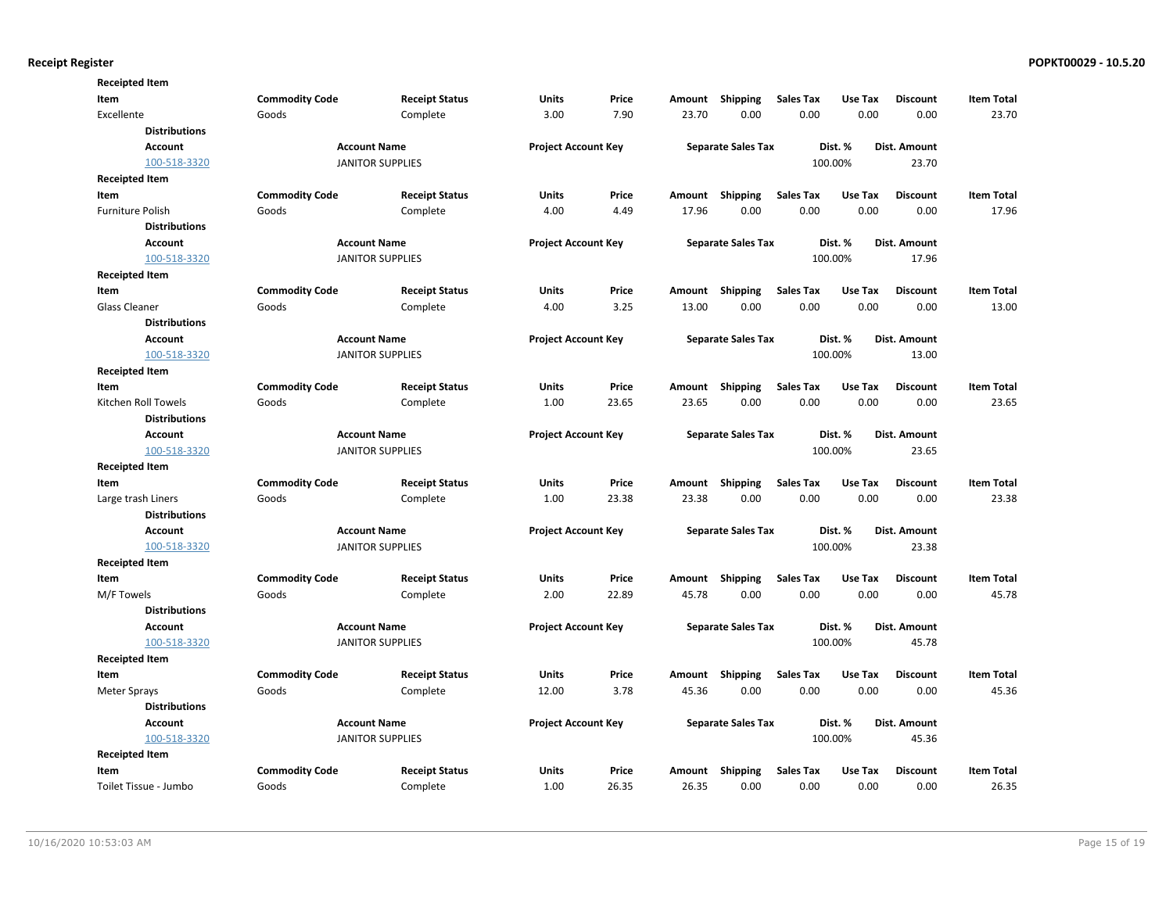| <b>Receipted Item</b> |                       |                         |                            |                                                         |        |                           |                                |         |                     |                   |
|-----------------------|-----------------------|-------------------------|----------------------------|---------------------------------------------------------|--------|---------------------------|--------------------------------|---------|---------------------|-------------------|
| Item                  | <b>Commodity Code</b> | <b>Receipt Status</b>   | Units                      | Price                                                   | Amount | <b>Shipping</b>           | <b>Sales Tax</b>               | Use Tax | <b>Discount</b>     | <b>Item Total</b> |
| Excellente            | Goods                 | Complete                | 3.00                       | 7.90                                                    | 23.70  | 0.00                      | 0.00                           | 0.00    | 0.00                | 23.70             |
| <b>Distributions</b>  |                       |                         |                            |                                                         |        |                           |                                |         |                     |                   |
| Account               |                       | <b>Account Name</b>     |                            | <b>Project Account Key</b><br><b>Separate Sales Tax</b> |        |                           | Dist. %<br><b>Dist. Amount</b> |         |                     |                   |
| 100-518-3320          |                       | <b>JANITOR SUPPLIES</b> |                            |                                                         |        |                           |                                | 100.00% | 23.70               |                   |
| <b>Receipted Item</b> |                       |                         |                            |                                                         |        |                           |                                |         |                     |                   |
| Item                  | <b>Commodity Code</b> | <b>Receipt Status</b>   | Units                      | Price                                                   | Amount | Shipping                  | <b>Sales Tax</b>               | Use Tax | <b>Discount</b>     | <b>Item Total</b> |
| Furniture Polish      | Goods                 | Complete                | 4.00                       | 4.49                                                    | 17.96  | 0.00                      | 0.00                           | 0.00    | 0.00                | 17.96             |
| <b>Distributions</b>  |                       |                         |                            |                                                         |        |                           |                                |         |                     |                   |
| Account               |                       | <b>Account Name</b>     | <b>Project Account Key</b> |                                                         |        | <b>Separate Sales Tax</b> |                                | Dist. % | <b>Dist. Amount</b> |                   |
| 100-518-3320          |                       | <b>JANITOR SUPPLIES</b> |                            |                                                         |        |                           |                                | 100.00% | 17.96               |                   |
| <b>Receipted Item</b> |                       |                         |                            |                                                         |        |                           |                                |         |                     |                   |
| Item                  | <b>Commodity Code</b> | <b>Receipt Status</b>   | Units                      | Price                                                   | Amount | Shipping                  | <b>Sales Tax</b>               | Use Tax | <b>Discount</b>     | <b>Item Total</b> |
| <b>Glass Cleaner</b>  | Goods                 | Complete                | 4.00                       | 3.25                                                    | 13.00  | 0.00                      | 0.00                           | 0.00    | 0.00                | 13.00             |
| <b>Distributions</b>  |                       |                         |                            |                                                         |        |                           |                                |         |                     |                   |
| Account               |                       | <b>Account Name</b>     | <b>Project Account Key</b> |                                                         |        | <b>Separate Sales Tax</b> |                                | Dist. % | <b>Dist. Amount</b> |                   |
| 100-518-3320          |                       | <b>JANITOR SUPPLIES</b> |                            |                                                         |        |                           |                                | 100.00% | 13.00               |                   |
| <b>Receipted Item</b> |                       |                         |                            |                                                         |        |                           |                                |         |                     |                   |
| Item                  | <b>Commodity Code</b> | <b>Receipt Status</b>   | Units                      | Price                                                   | Amount | Shipping                  | <b>Sales Tax</b>               | Use Tax | <b>Discount</b>     | <b>Item Total</b> |
| Kitchen Roll Towels   | Goods                 | Complete                | 1.00                       | 23.65                                                   | 23.65  | 0.00                      | 0.00                           | 0.00    | 0.00                | 23.65             |
| <b>Distributions</b>  |                       |                         |                            |                                                         |        |                           |                                |         |                     |                   |
| Account               |                       | <b>Account Name</b>     | <b>Project Account Key</b> |                                                         |        | <b>Separate Sales Tax</b> |                                | Dist. % | <b>Dist. Amount</b> |                   |
| 100-518-3320          |                       | <b>JANITOR SUPPLIES</b> |                            |                                                         |        |                           |                                | 100.00% | 23.65               |                   |
| <b>Receipted Item</b> |                       |                         |                            |                                                         |        |                           |                                |         |                     |                   |
| Item                  | <b>Commodity Code</b> | <b>Receipt Status</b>   | Units                      | Price                                                   | Amount | Shipping                  | <b>Sales Tax</b>               | Use Tax | <b>Discount</b>     | <b>Item Total</b> |
| Large trash Liners    | Goods                 | Complete                | 1.00                       | 23.38                                                   | 23.38  | 0.00                      | 0.00                           | 0.00    | 0.00                | 23.38             |
| <b>Distributions</b>  |                       |                         |                            |                                                         |        |                           |                                |         |                     |                   |
| <b>Account</b>        |                       | <b>Account Name</b>     | <b>Project Account Key</b> |                                                         |        | <b>Separate Sales Tax</b> |                                | Dist. % | Dist. Amount        |                   |
| 100-518-3320          |                       | <b>JANITOR SUPPLIES</b> |                            |                                                         |        |                           |                                | 100.00% | 23.38               |                   |
| <b>Receipted Item</b> |                       |                         |                            |                                                         |        |                           |                                |         |                     |                   |
| Item                  | <b>Commodity Code</b> | <b>Receipt Status</b>   | Units                      | Price                                                   | Amount | Shipping                  | <b>Sales Tax</b>               | Use Tax | <b>Discount</b>     | <b>Item Total</b> |
| M/F Towels            | Goods                 | Complete                | 2.00                       | 22.89                                                   | 45.78  | 0.00                      | 0.00                           | 0.00    | 0.00                | 45.78             |
| <b>Distributions</b>  |                       |                         |                            |                                                         |        |                           |                                |         |                     |                   |
| <b>Account</b>        |                       | <b>Account Name</b>     | <b>Project Account Key</b> |                                                         |        | <b>Separate Sales Tax</b> |                                | Dist. % | Dist. Amount        |                   |
| 100-518-3320          |                       | <b>JANITOR SUPPLIES</b> |                            |                                                         |        |                           |                                | 100.00% | 45.78               |                   |
| <b>Receipted Item</b> |                       |                         |                            |                                                         |        |                           |                                |         |                     |                   |
| Item                  | <b>Commodity Code</b> | <b>Receipt Status</b>   | Units                      | Price                                                   | Amount | <b>Shipping</b>           | <b>Sales Tax</b>               | Use Tax | <b>Discount</b>     | <b>Item Total</b> |
| Meter Sprays          | Goods                 | Complete                | 12.00                      | 3.78                                                    | 45.36  | 0.00                      | 0.00                           | 0.00    | 0.00                | 45.36             |
| <b>Distributions</b>  |                       |                         |                            |                                                         |        |                           |                                |         |                     |                   |
| <b>Account</b>        |                       | <b>Account Name</b>     | <b>Project Account Key</b> |                                                         |        | <b>Separate Sales Tax</b> |                                | Dist. % | Dist. Amount        |                   |
| 100-518-3320          |                       | <b>JANITOR SUPPLIES</b> |                            |                                                         |        |                           |                                | 100.00% | 45.36               |                   |
| <b>Receipted Item</b> |                       |                         |                            |                                                         |        |                           |                                |         |                     |                   |
| Item                  | <b>Commodity Code</b> | <b>Receipt Status</b>   | Units                      | Price                                                   | Amount | Shipping                  | <b>Sales Tax</b>               | Use Tax | <b>Discount</b>     | <b>Item Total</b> |
| Toilet Tissue - Jumbo | Goods                 | Complete                | 1.00                       | 26.35                                                   | 26.35  | 0.00                      | 0.00                           | 0.00    | 0.00                | 26.35             |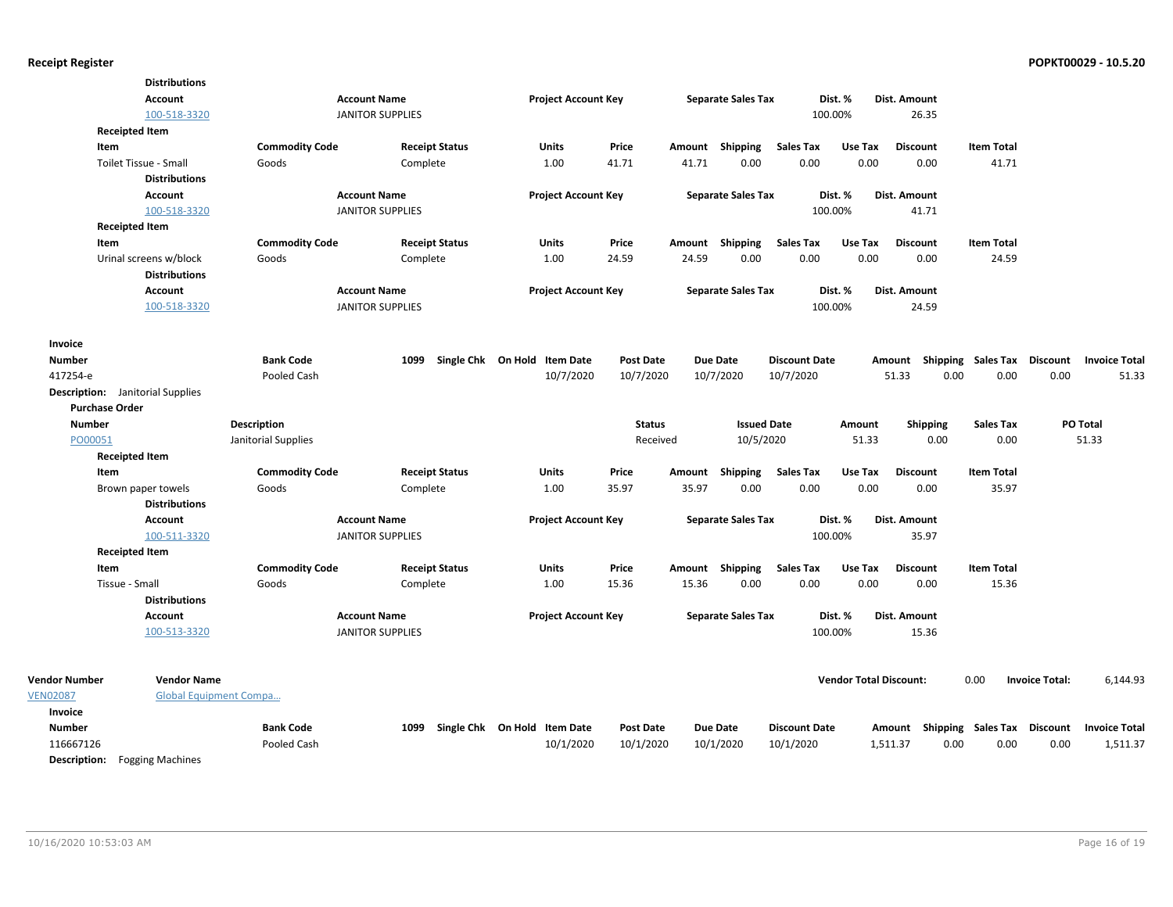| <b>Distributions</b>   |                                                                                                                                                                          |                                                                                                                                        |                                                                                                                                                                                                                                                                                                     |                                           |                                                                                                                                                                                         |                                |                                                                                                                                                                                                                                                           |                                                                                                                              |                                                                                                                                                       |                                                                                                                                                                  |                                                                                        |                                                  |
|------------------------|--------------------------------------------------------------------------------------------------------------------------------------------------------------------------|----------------------------------------------------------------------------------------------------------------------------------------|-----------------------------------------------------------------------------------------------------------------------------------------------------------------------------------------------------------------------------------------------------------------------------------------------------|-------------------------------------------|-----------------------------------------------------------------------------------------------------------------------------------------------------------------------------------------|--------------------------------|-----------------------------------------------------------------------------------------------------------------------------------------------------------------------------------------------------------------------------------------------------------|------------------------------------------------------------------------------------------------------------------------------|-------------------------------------------------------------------------------------------------------------------------------------------------------|------------------------------------------------------------------------------------------------------------------------------------------------------------------|----------------------------------------------------------------------------------------|--------------------------------------------------|
| Account                |                                                                                                                                                                          |                                                                                                                                        |                                                                                                                                                                                                                                                                                                     |                                           |                                                                                                                                                                                         |                                |                                                                                                                                                                                                                                                           |                                                                                                                              |                                                                                                                                                       |                                                                                                                                                                  |                                                                                        |                                                  |
| 100-518-3320           |                                                                                                                                                                          |                                                                                                                                        |                                                                                                                                                                                                                                                                                                     |                                           |                                                                                                                                                                                         |                                |                                                                                                                                                                                                                                                           |                                                                                                                              | 26.35                                                                                                                                                 |                                                                                                                                                                  |                                                                                        |                                                  |
| <b>Receipted Item</b>  |                                                                                                                                                                          |                                                                                                                                        |                                                                                                                                                                                                                                                                                                     |                                           |                                                                                                                                                                                         |                                |                                                                                                                                                                                                                                                           |                                                                                                                              |                                                                                                                                                       |                                                                                                                                                                  |                                                                                        |                                                  |
| Item                   | <b>Commodity Code</b>                                                                                                                                                    | <b>Receipt Status</b>                                                                                                                  | Units                                                                                                                                                                                                                                                                                               | Price                                     |                                                                                                                                                                                         |                                |                                                                                                                                                                                                                                                           | Use Tax                                                                                                                      | <b>Discount</b>                                                                                                                                       | <b>Item Total</b>                                                                                                                                                |                                                                                        |                                                  |
| Toilet Tissue - Small  | Goods                                                                                                                                                                    | Complete                                                                                                                               | 1.00                                                                                                                                                                                                                                                                                                | 41.71                                     | 41.71                                                                                                                                                                                   | 0.00                           | 0.00                                                                                                                                                                                                                                                      | 0.00                                                                                                                         | 0.00                                                                                                                                                  | 41.71                                                                                                                                                            |                                                                                        |                                                  |
| <b>Distributions</b>   |                                                                                                                                                                          |                                                                                                                                        |                                                                                                                                                                                                                                                                                                     |                                           |                                                                                                                                                                                         |                                |                                                                                                                                                                                                                                                           |                                                                                                                              |                                                                                                                                                       |                                                                                                                                                                  |                                                                                        |                                                  |
| <b>Account</b>         |                                                                                                                                                                          |                                                                                                                                        |                                                                                                                                                                                                                                                                                                     |                                           |                                                                                                                                                                                         |                                |                                                                                                                                                                                                                                                           |                                                                                                                              |                                                                                                                                                       |                                                                                                                                                                  |                                                                                        |                                                  |
| 100-518-3320           |                                                                                                                                                                          |                                                                                                                                        |                                                                                                                                                                                                                                                                                                     |                                           |                                                                                                                                                                                         |                                |                                                                                                                                                                                                                                                           |                                                                                                                              | 41.71                                                                                                                                                 |                                                                                                                                                                  |                                                                                        |                                                  |
| <b>Receipted Item</b>  |                                                                                                                                                                          |                                                                                                                                        |                                                                                                                                                                                                                                                                                                     |                                           |                                                                                                                                                                                         |                                |                                                                                                                                                                                                                                                           |                                                                                                                              |                                                                                                                                                       |                                                                                                                                                                  |                                                                                        |                                                  |
| Item                   | <b>Commodity Code</b>                                                                                                                                                    | <b>Receipt Status</b>                                                                                                                  | <b>Units</b>                                                                                                                                                                                                                                                                                        | Price                                     |                                                                                                                                                                                         |                                |                                                                                                                                                                                                                                                           | Use Tax                                                                                                                      | <b>Discount</b>                                                                                                                                       | <b>Item Total</b>                                                                                                                                                |                                                                                        |                                                  |
| Urinal screens w/block | Goods                                                                                                                                                                    | Complete                                                                                                                               | 1.00                                                                                                                                                                                                                                                                                                | 24.59                                     | 24.59                                                                                                                                                                                   | 0.00                           | 0.00                                                                                                                                                                                                                                                      | 0.00                                                                                                                         | 0.00                                                                                                                                                  | 24.59                                                                                                                                                            |                                                                                        |                                                  |
| <b>Distributions</b>   |                                                                                                                                                                          |                                                                                                                                        |                                                                                                                                                                                                                                                                                                     |                                           |                                                                                                                                                                                         |                                |                                                                                                                                                                                                                                                           |                                                                                                                              |                                                                                                                                                       |                                                                                                                                                                  |                                                                                        |                                                  |
| <b>Account</b>         |                                                                                                                                                                          |                                                                                                                                        |                                                                                                                                                                                                                                                                                                     |                                           |                                                                                                                                                                                         |                                |                                                                                                                                                                                                                                                           |                                                                                                                              |                                                                                                                                                       |                                                                                                                                                                  |                                                                                        |                                                  |
| 100-518-3320           |                                                                                                                                                                          |                                                                                                                                        |                                                                                                                                                                                                                                                                                                     |                                           |                                                                                                                                                                                         |                                |                                                                                                                                                                                                                                                           |                                                                                                                              | 24.59                                                                                                                                                 |                                                                                                                                                                  |                                                                                        |                                                  |
|                        |                                                                                                                                                                          |                                                                                                                                        |                                                                                                                                                                                                                                                                                                     |                                           |                                                                                                                                                                                         |                                |                                                                                                                                                                                                                                                           |                                                                                                                              |                                                                                                                                                       |                                                                                                                                                                  |                                                                                        |                                                  |
|                        |                                                                                                                                                                          |                                                                                                                                        |                                                                                                                                                                                                                                                                                                     |                                           |                                                                                                                                                                                         |                                |                                                                                                                                                                                                                                                           |                                                                                                                              |                                                                                                                                                       |                                                                                                                                                                  |                                                                                        | <b>Invoice Total</b>                             |
|                        |                                                                                                                                                                          |                                                                                                                                        |                                                                                                                                                                                                                                                                                                     |                                           |                                                                                                                                                                                         |                                |                                                                                                                                                                                                                                                           |                                                                                                                              |                                                                                                                                                       |                                                                                                                                                                  |                                                                                        | 51.33                                            |
|                        |                                                                                                                                                                          |                                                                                                                                        |                                                                                                                                                                                                                                                                                                     |                                           |                                                                                                                                                                                         |                                |                                                                                                                                                                                                                                                           |                                                                                                                              |                                                                                                                                                       |                                                                                                                                                                  |                                                                                        |                                                  |
|                        |                                                                                                                                                                          |                                                                                                                                        |                                                                                                                                                                                                                                                                                                     |                                           |                                                                                                                                                                                         |                                |                                                                                                                                                                                                                                                           |                                                                                                                              |                                                                                                                                                       |                                                                                                                                                                  |                                                                                        |                                                  |
| <b>Number</b>          |                                                                                                                                                                          |                                                                                                                                        |                                                                                                                                                                                                                                                                                                     |                                           |                                                                                                                                                                                         |                                |                                                                                                                                                                                                                                                           |                                                                                                                              |                                                                                                                                                       |                                                                                                                                                                  |                                                                                        | <b>PO Total</b>                                  |
|                        |                                                                                                                                                                          |                                                                                                                                        |                                                                                                                                                                                                                                                                                                     |                                           |                                                                                                                                                                                         |                                |                                                                                                                                                                                                                                                           |                                                                                                                              |                                                                                                                                                       |                                                                                                                                                                  |                                                                                        | 51.33                                            |
|                        |                                                                                                                                                                          |                                                                                                                                        |                                                                                                                                                                                                                                                                                                     |                                           |                                                                                                                                                                                         |                                |                                                                                                                                                                                                                                                           |                                                                                                                              |                                                                                                                                                       |                                                                                                                                                                  |                                                                                        |                                                  |
| Item                   |                                                                                                                                                                          |                                                                                                                                        | Units                                                                                                                                                                                                                                                                                               | Price                                     |                                                                                                                                                                                         |                                |                                                                                                                                                                                                                                                           | Use Tax                                                                                                                      | <b>Discount</b>                                                                                                                                       | <b>Item Total</b>                                                                                                                                                |                                                                                        |                                                  |
|                        | Goods                                                                                                                                                                    |                                                                                                                                        | 1.00                                                                                                                                                                                                                                                                                                | 35.97                                     |                                                                                                                                                                                         | 0.00                           | 0.00                                                                                                                                                                                                                                                      | 0.00                                                                                                                         |                                                                                                                                                       |                                                                                                                                                                  |                                                                                        |                                                  |
| <b>Distributions</b>   |                                                                                                                                                                          |                                                                                                                                        |                                                                                                                                                                                                                                                                                                     |                                           |                                                                                                                                                                                         |                                |                                                                                                                                                                                                                                                           |                                                                                                                              |                                                                                                                                                       |                                                                                                                                                                  |                                                                                        |                                                  |
| <b>Account</b>         |                                                                                                                                                                          |                                                                                                                                        |                                                                                                                                                                                                                                                                                                     |                                           |                                                                                                                                                                                         |                                |                                                                                                                                                                                                                                                           |                                                                                                                              |                                                                                                                                                       |                                                                                                                                                                  |                                                                                        |                                                  |
| 100-511-3320           |                                                                                                                                                                          |                                                                                                                                        |                                                                                                                                                                                                                                                                                                     |                                           |                                                                                                                                                                                         |                                |                                                                                                                                                                                                                                                           |                                                                                                                              | 35.97                                                                                                                                                 |                                                                                                                                                                  |                                                                                        |                                                  |
| <b>Receipted Item</b>  |                                                                                                                                                                          |                                                                                                                                        |                                                                                                                                                                                                                                                                                                     |                                           |                                                                                                                                                                                         |                                |                                                                                                                                                                                                                                                           |                                                                                                                              |                                                                                                                                                       |                                                                                                                                                                  |                                                                                        |                                                  |
| Item                   | <b>Commodity Code</b>                                                                                                                                                    | <b>Receipt Status</b>                                                                                                                  | <b>Units</b>                                                                                                                                                                                                                                                                                        | Price                                     |                                                                                                                                                                                         |                                |                                                                                                                                                                                                                                                           | Use Tax                                                                                                                      | <b>Discount</b>                                                                                                                                       | <b>Item Total</b>                                                                                                                                                |                                                                                        |                                                  |
| Tissue - Small         | Goods                                                                                                                                                                    | Complete                                                                                                                               | 1.00                                                                                                                                                                                                                                                                                                | 15.36                                     | 15.36                                                                                                                                                                                   | 0.00                           | 0.00                                                                                                                                                                                                                                                      | 0.00                                                                                                                         | 0.00                                                                                                                                                  | 15.36                                                                                                                                                            |                                                                                        |                                                  |
| <b>Distributions</b>   |                                                                                                                                                                          |                                                                                                                                        |                                                                                                                                                                                                                                                                                                     |                                           |                                                                                                                                                                                         |                                |                                                                                                                                                                                                                                                           |                                                                                                                              |                                                                                                                                                       |                                                                                                                                                                  |                                                                                        |                                                  |
| Account                |                                                                                                                                                                          |                                                                                                                                        |                                                                                                                                                                                                                                                                                                     |                                           |                                                                                                                                                                                         |                                |                                                                                                                                                                                                                                                           |                                                                                                                              |                                                                                                                                                       |                                                                                                                                                                  |                                                                                        |                                                  |
| 100-513-3320           |                                                                                                                                                                          |                                                                                                                                        |                                                                                                                                                                                                                                                                                                     |                                           |                                                                                                                                                                                         |                                |                                                                                                                                                                                                                                                           |                                                                                                                              | 15.36                                                                                                                                                 |                                                                                                                                                                  |                                                                                        |                                                  |
|                        |                                                                                                                                                                          |                                                                                                                                        |                                                                                                                                                                                                                                                                                                     |                                           |                                                                                                                                                                                         |                                |                                                                                                                                                                                                                                                           |                                                                                                                              |                                                                                                                                                       |                                                                                                                                                                  |                                                                                        |                                                  |
|                        |                                                                                                                                                                          |                                                                                                                                        |                                                                                                                                                                                                                                                                                                     |                                           |                                                                                                                                                                                         |                                |                                                                                                                                                                                                                                                           |                                                                                                                              |                                                                                                                                                       |                                                                                                                                                                  |                                                                                        | 6,144.93                                         |
|                        |                                                                                                                                                                          |                                                                                                                                        |                                                                                                                                                                                                                                                                                                     |                                           |                                                                                                                                                                                         |                                |                                                                                                                                                                                                                                                           |                                                                                                                              |                                                                                                                                                       |                                                                                                                                                                  |                                                                                        |                                                  |
|                        |                                                                                                                                                                          |                                                                                                                                        |                                                                                                                                                                                                                                                                                                     |                                           |                                                                                                                                                                                         |                                |                                                                                                                                                                                                                                                           |                                                                                                                              |                                                                                                                                                       |                                                                                                                                                                  |                                                                                        |                                                  |
|                        |                                                                                                                                                                          |                                                                                                                                        |                                                                                                                                                                                                                                                                                                     |                                           |                                                                                                                                                                                         |                                |                                                                                                                                                                                                                                                           |                                                                                                                              |                                                                                                                                                       |                                                                                                                                                                  |                                                                                        |                                                  |
| 116667126              | <b>Bank Code</b><br>Pooled Cash                                                                                                                                          | 1099                                                                                                                                   | Single Chk On Hold Item Date<br>10/1/2020                                                                                                                                                                                                                                                           | <b>Post Date</b><br>10/1/2020             | <b>Due Date</b><br>10/1/2020                                                                                                                                                            |                                | <b>Discount Date</b><br>10/1/2020                                                                                                                                                                                                                         |                                                                                                                              | 1,511.37<br>0.00                                                                                                                                      | Amount Shipping Sales Tax Discount<br>0.00                                                                                                                       | 0.00                                                                                   | <b>Invoice Total</b><br>1,511.37                 |
|                        | <b>Description:</b> Janitorial Supplies<br><b>Purchase Order</b><br>PO00051<br><b>Receipted Item</b><br>Brown paper towels<br><b>Vendor Name</b><br><b>Vendor Number</b> | <b>Bank Code</b><br>Pooled Cash<br><b>Description</b><br>Janitorial Supplies<br><b>Commodity Code</b><br><b>Global Equipment Compa</b> | <b>Account Name</b><br><b>JANITOR SUPPLIES</b><br><b>Account Name</b><br><b>JANITOR SUPPLIES</b><br><b>Account Name</b><br><b>JANITOR SUPPLIES</b><br>1099<br><b>Receipt Status</b><br>Complete<br><b>Account Name</b><br><b>JANITOR SUPPLIES</b><br><b>Account Name</b><br><b>JANITOR SUPPLIES</b> | Single Chk On Hold Item Date<br>10/7/2020 | <b>Project Account Key</b><br><b>Project Account Key</b><br><b>Project Account Key</b><br><b>Post Date</b><br><b>Status</b><br><b>Project Account Key</b><br><b>Project Account Key</b> | 10/7/2020<br>Received<br>35.97 | <b>Separate Sales Tax</b><br>Amount Shipping<br><b>Separate Sales Tax</b><br>Amount Shipping<br><b>Separate Sales Tax</b><br><b>Due Date</b><br>10/7/2020<br>Amount Shipping<br><b>Separate Sales Tax</b><br>Amount Shipping<br><b>Separate Sales Tax</b> | <b>Sales Tax</b><br><b>Sales Tax</b><br>10/7/2020<br><b>Issued Date</b><br>10/5/2020<br><b>Sales Tax</b><br><b>Sales Tax</b> | Dist. %<br>100.00%<br>Dist. %<br>100.00%<br>Dist. %<br>100.00%<br><b>Discount Date</b><br>Amount<br>51.33<br>Dist. %<br>100.00%<br>Dist. %<br>100.00% | Dist. Amount<br><b>Dist. Amount</b><br>Dist. Amount<br>51.33<br><b>Shipping</b><br>0.00<br>0.00<br>Dist. Amount<br>Dist. Amount<br><b>Vendor Total Discount:</b> | Amount Shipping Sales Tax<br>0.00<br>0.00<br><b>Sales Tax</b><br>0.00<br>35.97<br>0.00 | <b>Discount</b><br>0.00<br><b>Invoice Total:</b> |

Description: Fogging Machines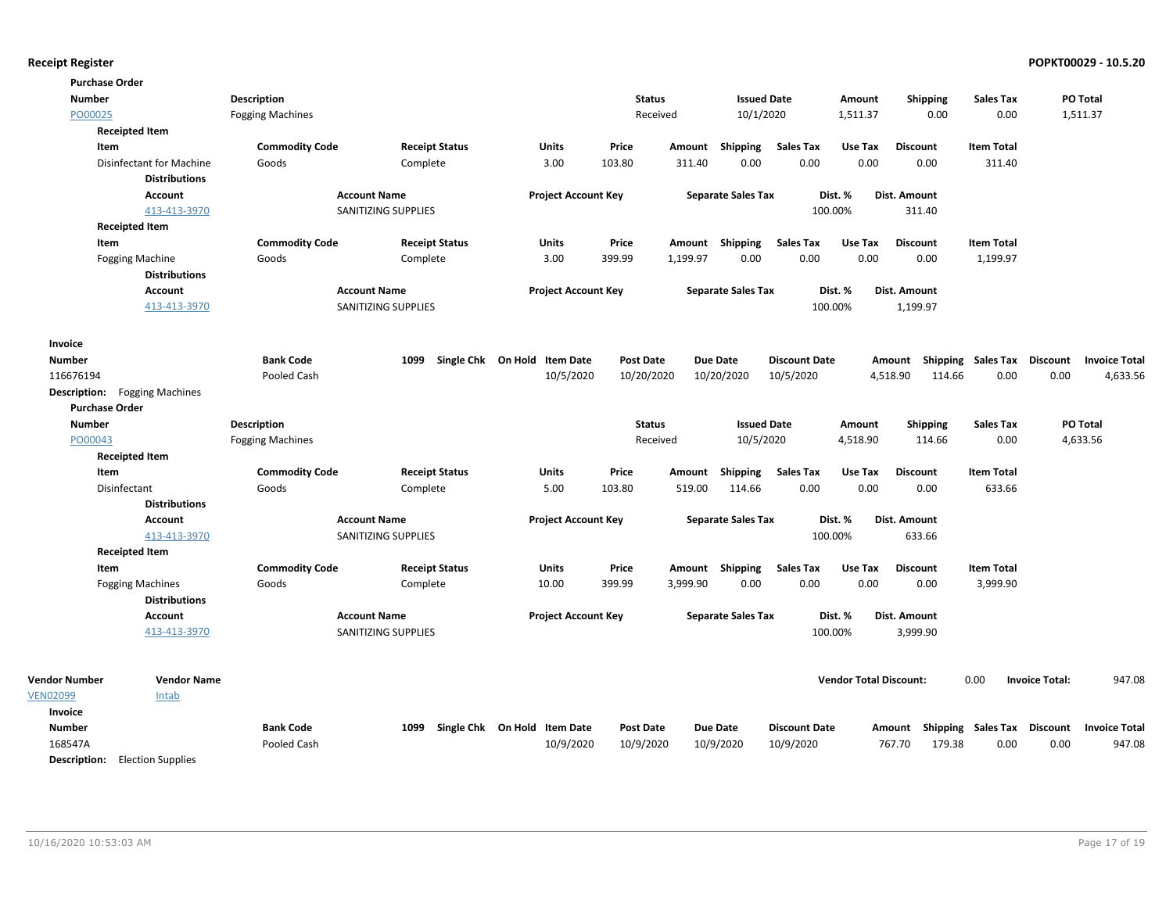| <b>Purchase Order</b>                 |                         |                     |                       |                              |                  |          |                           |                      |                               |                                    |                             |                       |                      |
|---------------------------------------|-------------------------|---------------------|-----------------------|------------------------------|------------------|----------|---------------------------|----------------------|-------------------------------|------------------------------------|-----------------------------|-----------------------|----------------------|
| <b>Number</b>                         | <b>Description</b>      |                     |                       |                              | <b>Status</b>    |          | <b>Issued Date</b>        |                      | Amount                        | <b>Shipping</b>                    | <b>Sales Tax</b>            |                       | PO Total             |
| PO00025                               | <b>Fogging Machines</b> |                     |                       |                              | Received         |          | 10/1/2020                 |                      | 1,511.37                      | 0.00                               | 0.00                        |                       | 1,511.37             |
| <b>Receipted Item</b>                 |                         |                     |                       |                              |                  |          |                           |                      |                               |                                    |                             |                       |                      |
| Item                                  | <b>Commodity Code</b>   |                     | <b>Receipt Status</b> | <b>Units</b>                 | Price            |          | Amount Shipping           | <b>Sales Tax</b>     | Use Tax                       | <b>Discount</b>                    | <b>Item Total</b>           |                       |                      |
| <b>Disinfectant for Machine</b>       | Goods                   | Complete            |                       | 3.00                         | 103.80           | 311.40   | 0.00                      | 0.00                 | 0.00                          | 0.00                               | 311.40                      |                       |                      |
| <b>Distributions</b>                  |                         |                     |                       |                              |                  |          |                           |                      |                               |                                    |                             |                       |                      |
| <b>Account</b>                        |                         | <b>Account Name</b> |                       | <b>Project Account Key</b>   |                  |          | <b>Separate Sales Tax</b> |                      | Dist. %                       | Dist. Amount                       |                             |                       |                      |
| 413-413-3970                          |                         | SANITIZING SUPPLIES |                       |                              |                  |          |                           | 100.00%              |                               | 311.40                             |                             |                       |                      |
| <b>Receipted Item</b>                 |                         |                     |                       |                              |                  |          |                           |                      |                               |                                    |                             |                       |                      |
| Item                                  | <b>Commodity Code</b>   |                     | <b>Receipt Status</b> | <b>Units</b>                 | Price            |          | Amount Shipping           | <b>Sales Tax</b>     | Use Tax                       | <b>Discount</b>                    | <b>Item Total</b>           |                       |                      |
| <b>Fogging Machine</b>                | Goods                   | Complete            |                       | 3.00                         | 399.99           | 1,199.97 | 0.00                      | 0.00                 | 0.00                          | 0.00                               | 1,199.97                    |                       |                      |
| <b>Distributions</b>                  |                         |                     |                       |                              |                  |          |                           |                      |                               |                                    |                             |                       |                      |
| <b>Account</b>                        |                         | <b>Account Name</b> |                       | <b>Project Account Key</b>   |                  |          | <b>Separate Sales Tax</b> |                      | Dist. %                       | Dist. Amount                       |                             |                       |                      |
| 413-413-3970                          |                         | SANITIZING SUPPLIES |                       |                              |                  |          |                           | 100.00%              |                               | 1,199.97                           |                             |                       |                      |
| Invoice                               |                         |                     |                       |                              |                  |          |                           |                      |                               |                                    |                             |                       |                      |
| <b>Number</b>                         | <b>Bank Code</b>        | 1099                |                       | Single Chk On Hold Item Date | <b>Post Date</b> |          | <b>Due Date</b>           | <b>Discount Date</b> |                               | Amount                             | Shipping Sales Tax Discount |                       | <b>Invoice Total</b> |
| 116676194                             | Pooled Cash             |                     |                       | 10/5/2020                    | 10/20/2020       |          | 10/20/2020                | 10/5/2020            |                               | 4,518.90<br>114.66                 | 0.00                        | 0.00                  | 4,633.56             |
| <b>Description:</b> Fogging Machines  |                         |                     |                       |                              |                  |          |                           |                      |                               |                                    |                             |                       |                      |
| <b>Purchase Order</b>                 |                         |                     |                       |                              |                  |          |                           |                      |                               |                                    |                             |                       |                      |
| <b>Number</b>                         | <b>Description</b>      |                     |                       |                              | <b>Status</b>    |          | <b>Issued Date</b>        |                      | Amount                        | Shipping                           | <b>Sales Tax</b>            |                       | PO Total             |
| PO00043                               | <b>Fogging Machines</b> |                     |                       |                              | Received         |          | 10/5/2020                 |                      | 4,518.90                      | 114.66                             | 0.00                        |                       | 4,633.56             |
| <b>Receipted Item</b>                 |                         |                     |                       |                              |                  |          |                           |                      |                               |                                    |                             |                       |                      |
| Item                                  | <b>Commodity Code</b>   |                     | <b>Receipt Status</b> | Units                        | Price            | Amount   | <b>Shipping</b>           | <b>Sales Tax</b>     | Use Tax                       | <b>Discount</b>                    | <b>Item Total</b>           |                       |                      |
| Disinfectant                          | Goods                   | Complete            |                       | 5.00                         | 103.80           | 519.00   | 114.66                    | 0.00                 | 0.00                          | 0.00                               | 633.66                      |                       |                      |
| <b>Distributions</b>                  |                         |                     |                       |                              |                  |          |                           |                      |                               |                                    |                             |                       |                      |
| Account                               |                         | <b>Account Name</b> |                       | <b>Project Account Key</b>   |                  |          | <b>Separate Sales Tax</b> |                      | Dist. %                       | Dist. Amount                       |                             |                       |                      |
| 413-413-3970                          |                         | SANITIZING SUPPLIES |                       |                              |                  |          |                           | 100.00%              |                               | 633.66                             |                             |                       |                      |
| <b>Receipted Item</b>                 |                         |                     |                       |                              |                  |          |                           |                      |                               |                                    |                             |                       |                      |
| Item                                  | <b>Commodity Code</b>   |                     | <b>Receipt Status</b> | Units                        | Price            |          | Amount Shipping           | <b>Sales Tax</b>     | Use Tax                       | <b>Discount</b>                    | <b>Item Total</b>           |                       |                      |
| <b>Fogging Machines</b>               | Goods                   | Complete            |                       | 10.00                        | 399.99           | 3,999.90 | 0.00                      | 0.00                 | 0.00                          | 0.00                               | 3,999.90                    |                       |                      |
| <b>Distributions</b>                  |                         |                     |                       |                              |                  |          |                           |                      |                               |                                    |                             |                       |                      |
| Account                               |                         | <b>Account Name</b> |                       | <b>Project Account Key</b>   |                  |          | <b>Separate Sales Tax</b> |                      | Dist. %                       | Dist. Amount                       |                             |                       |                      |
| 413-413-3970                          |                         | SANITIZING SUPPLIES |                       |                              |                  |          |                           | 100.00%              |                               | 3,999.90                           |                             |                       |                      |
|                                       |                         |                     |                       |                              |                  |          |                           |                      |                               |                                    |                             |                       |                      |
| <b>Vendor Number</b>                  | <b>Vendor Name</b>      |                     |                       |                              |                  |          |                           |                      | <b>Vendor Total Discount:</b> |                                    | 0.00                        | <b>Invoice Total:</b> | 947.08               |
| <b>VEN02099</b><br>Intab              |                         |                     |                       |                              |                  |          |                           |                      |                               |                                    |                             |                       |                      |
| Invoice                               |                         |                     |                       |                              |                  |          |                           |                      |                               |                                    |                             |                       |                      |
| <b>Number</b>                         | <b>Bank Code</b>        | 1099                |                       | Single Chk On Hold Item Date | <b>Post Date</b> |          | <b>Due Date</b>           | <b>Discount Date</b> |                               | Amount Shipping Sales Tax Discount |                             |                       | <b>Invoice Total</b> |
| 168547A                               | Pooled Cash             |                     |                       | 10/9/2020                    | 10/9/2020        |          | 10/9/2020                 | 10/9/2020            |                               | 767.70<br>179.38                   | 0.00                        | 0.00                  | 947.08               |
| <b>Description:</b> Election Supplies |                         |                     |                       |                              |                  |          |                           |                      |                               |                                    |                             |                       |                      |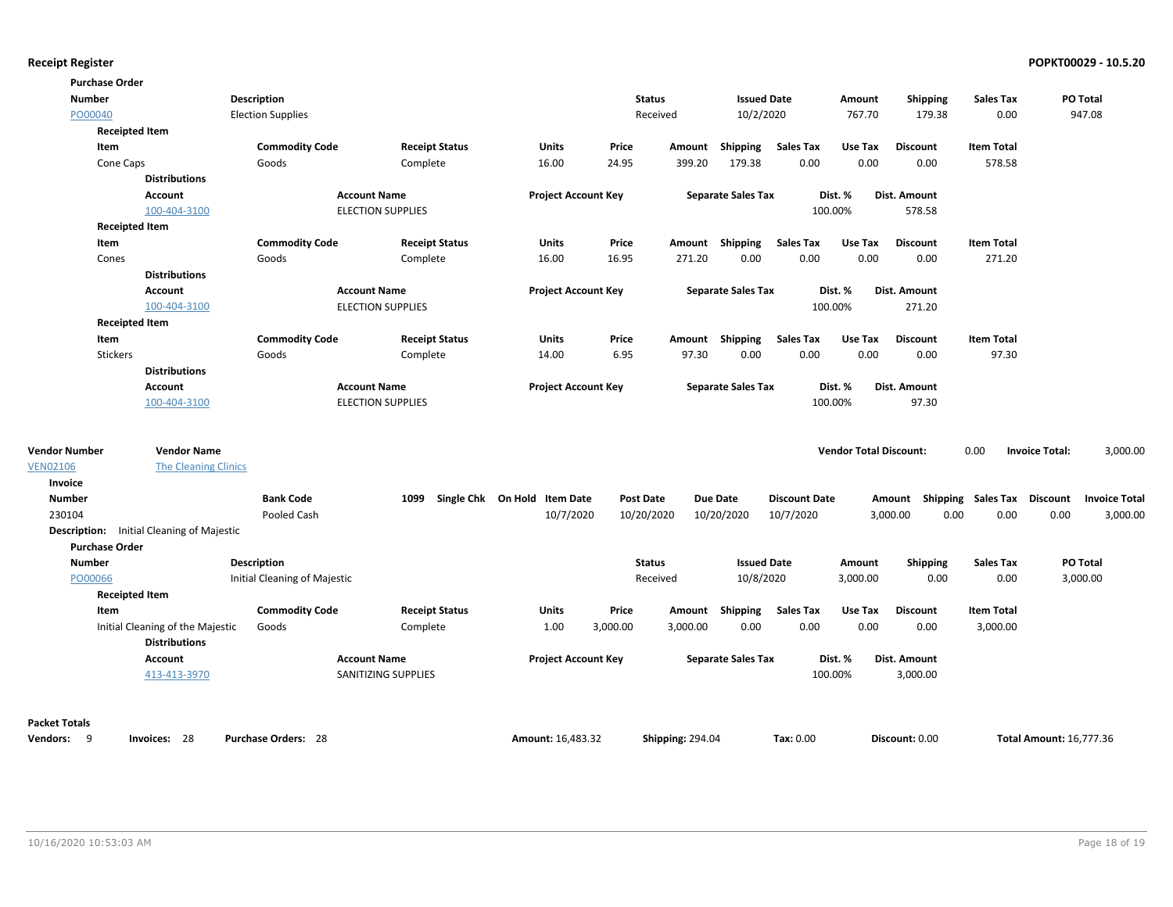| <b>Purchase Order</b> |                                                  |                              |                          |                              |                  |                         |                           |                      |                               |                                    |                   |                                   |
|-----------------------|--------------------------------------------------|------------------------------|--------------------------|------------------------------|------------------|-------------------------|---------------------------|----------------------|-------------------------------|------------------------------------|-------------------|-----------------------------------|
| <b>Number</b>         |                                                  | Description                  |                          |                              |                  | <b>Status</b>           | <b>Issued Date</b>        |                      | Amount                        | <b>Shipping</b>                    | <b>Sales Tax</b>  | PO Total                          |
| PO00040               |                                                  | <b>Election Supplies</b>     |                          |                              |                  | Received                | 10/2/2020                 |                      | 767.70                        | 179.38                             | 0.00              | 947.08                            |
| <b>Receipted Item</b> |                                                  |                              |                          |                              |                  |                         |                           |                      |                               |                                    |                   |                                   |
| Item                  |                                                  | <b>Commodity Code</b>        | <b>Receipt Status</b>    | Units                        | Price            | Amount                  | Shipping                  | <b>Sales Tax</b>     | Use Tax                       | <b>Discount</b>                    | <b>Item Total</b> |                                   |
| Cone Caps             |                                                  | Goods                        | Complete                 | 16.00                        | 24.95            | 399.20                  | 179.38                    | 0.00                 | 0.00                          | 0.00                               | 578.58            |                                   |
|                       | <b>Distributions</b>                             |                              |                          |                              |                  |                         |                           |                      |                               |                                    |                   |                                   |
|                       | Account                                          |                              | <b>Account Name</b>      | <b>Project Account Key</b>   |                  |                         | <b>Separate Sales Tax</b> |                      | Dist. %                       | Dist. Amount                       |                   |                                   |
|                       | 100-404-3100                                     |                              | <b>ELECTION SUPPLIES</b> |                              |                  |                         |                           |                      | 100.00%                       | 578.58                             |                   |                                   |
| <b>Receipted Item</b> |                                                  |                              |                          |                              |                  |                         |                           |                      |                               |                                    |                   |                                   |
| Item                  |                                                  | <b>Commodity Code</b>        | <b>Receipt Status</b>    | Units                        | Price            |                         | Amount Shipping           | <b>Sales Tax</b>     | Use Tax                       | <b>Discount</b>                    | <b>Item Total</b> |                                   |
| Cones                 |                                                  | Goods                        | Complete                 | 16.00                        | 16.95            | 271.20                  | 0.00                      | 0.00                 | 0.00                          | 0.00                               | 271.20            |                                   |
|                       | <b>Distributions</b>                             |                              |                          |                              |                  |                         |                           |                      |                               |                                    |                   |                                   |
|                       | <b>Account</b>                                   |                              | <b>Account Name</b>      | <b>Project Account Key</b>   |                  |                         | <b>Separate Sales Tax</b> |                      | Dist. %                       | <b>Dist. Amount</b>                |                   |                                   |
|                       | 100-404-3100                                     |                              | <b>ELECTION SUPPLIES</b> |                              |                  |                         |                           |                      | 100.00%                       | 271.20                             |                   |                                   |
| <b>Receipted Item</b> |                                                  |                              |                          |                              |                  |                         |                           |                      |                               |                                    |                   |                                   |
| Item                  |                                                  | <b>Commodity Code</b>        | <b>Receipt Status</b>    | Units                        | Price            |                         | Amount Shipping           | <b>Sales Tax</b>     | Use Tax                       | <b>Discount</b>                    | <b>Item Total</b> |                                   |
| Stickers              |                                                  | Goods                        | Complete                 | 14.00                        | 6.95             | 97.30                   | 0.00                      | 0.00                 | 0.00                          | 0.00                               | 97.30             |                                   |
|                       | <b>Distributions</b>                             |                              |                          |                              |                  |                         |                           |                      |                               |                                    |                   |                                   |
|                       | <b>Account</b>                                   |                              | <b>Account Name</b>      | <b>Project Account Key</b>   |                  |                         | <b>Separate Sales Tax</b> |                      | Dist. %                       | Dist. Amount                       |                   |                                   |
|                       | 100-404-3100                                     |                              | <b>ELECTION SUPPLIES</b> |                              |                  |                         |                           |                      | 100.00%                       | 97.30                              |                   |                                   |
| <b>Vendor Number</b>  | <b>Vendor Name</b>                               |                              |                          |                              |                  |                         |                           |                      | <b>Vendor Total Discount:</b> |                                    | 0.00              | 3,000.00<br><b>Invoice Total:</b> |
| <b>VEN02106</b>       | <b>The Cleaning Clinics</b>                      |                              |                          |                              |                  |                         |                           |                      |                               |                                    |                   |                                   |
| <b>Invoice</b>        |                                                  |                              |                          |                              |                  |                         |                           |                      |                               |                                    |                   |                                   |
| <b>Number</b>         |                                                  | <b>Bank Code</b>             | 1099                     | Single Chk On Hold Item Date | <b>Post Date</b> |                         | <b>Due Date</b>           | <b>Discount Date</b> |                               | Amount Shipping Sales Tax Discount |                   | <b>Invoice Total</b>              |
| 230104                |                                                  | Pooled Cash                  |                          | 10/7/2020                    | 10/20/2020       |                         | 10/20/2020                | 10/7/2020            |                               | 3,000.00<br>0.00                   | 0.00              | 0.00<br>3,000.00                  |
|                       | <b>Description:</b> Initial Cleaning of Majestic |                              |                          |                              |                  |                         |                           |                      |                               |                                    |                   |                                   |
| <b>Purchase Order</b> |                                                  |                              |                          |                              |                  |                         |                           |                      |                               |                                    |                   |                                   |
| <b>Number</b>         |                                                  | Description                  |                          |                              |                  | <b>Status</b>           | <b>Issued Date</b>        |                      | Amount                        | Shipping                           | <b>Sales Tax</b>  | PO Total                          |
| PO00066               |                                                  | Initial Cleaning of Majestic |                          |                              |                  | Received                | 10/8/2020                 |                      | 3,000.00                      | 0.00                               | 0.00              | 3,000.00                          |
| <b>Receipted Item</b> |                                                  |                              |                          |                              |                  |                         |                           |                      |                               |                                    |                   |                                   |
| Item                  |                                                  | <b>Commodity Code</b>        | <b>Receipt Status</b>    | Units                        | Price            |                         | Amount Shipping           | <b>Sales Tax</b>     | Use Tax                       | <b>Discount</b>                    | <b>Item Total</b> |                                   |
|                       | Initial Cleaning of the Majestic                 | Goods                        | Complete                 | 1.00                         | 3,000.00         | 3,000.00                | 0.00                      | 0.00                 | 0.00                          | 0.00                               | 3,000.00          |                                   |
|                       | <b>Distributions</b>                             |                              |                          |                              |                  |                         |                           |                      |                               |                                    |                   |                                   |
|                       | <b>Account</b>                                   |                              | <b>Account Name</b>      | <b>Project Account Key</b>   |                  |                         | <b>Separate Sales Tax</b> |                      | Dist. %                       | Dist. Amount                       |                   |                                   |
|                       | 413-413-3970                                     |                              | SANITIZING SUPPLIES      |                              |                  |                         |                           |                      | 100.00%                       | 3,000.00                           |                   |                                   |
|                       |                                                  |                              |                          |                              |                  |                         |                           |                      |                               |                                    |                   |                                   |
| <b>Packet Totals</b>  |                                                  |                              |                          |                              |                  |                         |                           |                      |                               |                                    |                   |                                   |
| Vendors: 9            | Invoices: 28                                     | <b>Purchase Orders: 28</b>   |                          | Amount: 16.483.32            |                  | <b>Shipping: 294.04</b> |                           | Tax: 0.00            |                               | Discount: 0.00                     |                   | <b>Total Amount: 16.777.36</b>    |